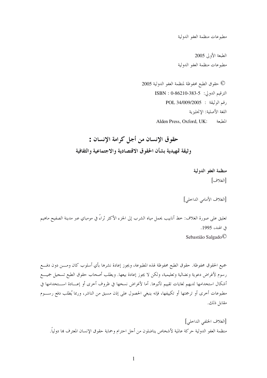مطبوعات منظمة العفو الدولية

الطبعة الأولى 2005 مطبوعات منظمة العفو الدولية

© حقوق الطبع محفوظة لمنظمة العفو الدولية 2005 الترقيم الدولي: ISBN : 0-86210-383-5 رقم الوثيقة: : 009/2005 POL 34/009 اللغة الأصلية: الإنجليزية Alden Press, Oxford, UK: المطبعة

حقوق الانسان من أجل كرامة الانسان : وثيقة تمهيدية بشأن الحقوق الاقتصادية والاجتماعية والثقافية

> منظمة العفو الدولية [الغلاف]

[الغلاف الأمامي الداخلي]

تعليق على صورة الغلاف: خط أنابيب يحمل مياه الشرب إلى الجزء الأكثر ثراءً في مومباي عبر مدينة الصفيح ماهيم في الهند، 1995. Sebastião Salgado<sup>©</sup>

جميع الحقوق محفوظة. حقوق الطبع محفوظة لهذه المطبوعة، ويجوز إعادة نشرها بأي أسلوب كان ومــــن دون دفــــع رسوم لأغراض دعوية ونضالية وتعليمية، ولكن لا يجوز إعادة بيعها. ويطلب أصحاب حقوق الطبع تسجيل جميـــع أشكال استخدامها لديهم لغايات تقييم تأثيرها. أما لأغراض نسخها في ظروف أخرى أو إعـــادة اســـتخدامها في مطبوعات أخرى أو ترجمتها أو تكييفها، فإنه ينبغي الحصول على إذن مسبق من الناشر، وربما يُطلب دفع رســـوم مقابل ذلك.

[الغلاف الخلفي الداخلي] منظمة العفو الدولية حركة عالمية لأشخاص يناضلون من أحل احترام وحماية حقوق الإنسان المعترف بما دولياً.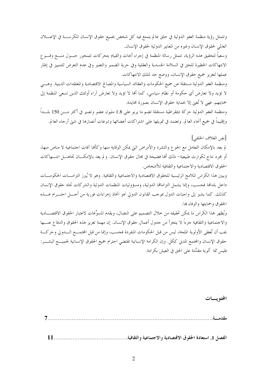وتتمثل رؤية منظمة العفو الدولية في خلق عالم يتمتع فيه كل شخص بجميع حقوق الإنسان المكرســـة في الإعــــلان العالمي لحقوق الإنسان وغيره من المعايير الدولية لحقوق الإنسان. وسعياً لتحقيق هذه الرؤية، تتمثل رسالة المنظمة في إجراء أبحاث والقيام بتحركات تتمحور حـــول منــــع وقــــو ع الانتهاكات الخطيرة للحق في السلامة الجسدية والعقلية وفي حرية الضمير والتعبير وفي عدم التعرض للتمييز في إطار عملها لتعزيز جميع حقوق الإنسان، ووضع حد لتلك الانتهاكات. ومنظمة العفو الدولية مستقلة عن جميع الحكومات والعقائد السياسية والمصالح الاقتصادية والمعتقدات الدينية. وهـــي لا تؤيد ولا تعارض أي حكومة أو نظام سياسي، كما ألها لا تؤيد ولا تعارض آراء أولئك الذين تسعى المنظمة إلى

حمايتهم. فهي لا تُعني إلا بحماية حقوق الإنسان بصورة محايدة. ومنظمة العفو الدولية حركة ديمقراطية مستقلة تضم ما يربو على 1.8 مليون عضو ونصير في أكثر مـــن 150 بلــــداً وإقليماً في جميع أنحاء العالم. وتعتمد في تمويلها على اشتراكات أعضائها وتبرعات أنصارها في شتى أرحاء العالم.

لم يعد بالإمكان التعامل مع الجوع والتشرد والأمراض التي يمكن الوقاية منها وكألها آفات احتماعية لا مناص منها، أو مجرد نتاج لكوارث طبيعية– ذلك أنها فضيحة في مجال حقوق الإنسان. و لم يعد بالإمكـــان تجاهــــل انتــــهاكات الحقوق الاقتصادية والاجتماعية والثقافية للأشخاص.

ويبين هذا الكراس الملامح الرئيسية للحقوق الاقتصادية والاحتماعية والثقافية. وهو لا يُبرز التزامـــات الحكومـــات داحل بلدافما فحسب، وإنما يشمل التزاماقما الدولية، ومسؤوليات المنظمات الدولية والشركات تجاه حقوق الإنسان كذلك. كما يشير إلى واجبات الدول بموجب القانون الدولي نحو اتخاذ إجراءات فورية من أحـــل احتـــرام هــــذه الحقوق وحمايتها والوفاء بما.

ويُظهر هذا الكراس ما يمكن تحقيقه من حلال التصميم على النضال، ويقدم المسوِّغات لاعتبار الحقوق الاقتصـــادية والاحتماعية والثقافية جزءاً لا يتجزأ من جدول أعمال حقوق الإنسان. إن مهمة تعزيز هذه الحقوق والدفاع عنـــها يجب أن تُعطى الأولوية الملحة، ليس من قبل الحكومات المنفردة فحسب، وإنما من قبل المحتمــــع الــــدولي وحركــــة حقوق الإنسان والمجتمع المدني ككل. وإن الكرامة الإنسانية تقتضي احترام جميع الحقوق الإنسانية لجميــــع البشــــر: فليس ثمة ألوية مقدَّمة على الحق في العيش بكرامة.

المحتويسات

[نص الغلاف الخلفي]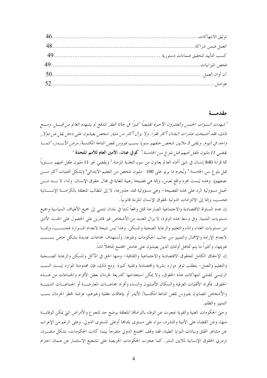#### مقدمسة

" شهدت السنوات الخيمس والعشيرون الأحيرة تقليصاً كبيراً في حالة الفقر المدقع لم يشهده العالم من قبسل. ومسع ذلك، فقد أصبحت عشرات البلدان أكثر فقراً. ولا يزال أكثر من مليار شخص يعيشون على دحل يقل عن دولار واحد في اليوم. ويلقى 3 ملايين شخص حتفهم سنوياً بسبب فيروس نقص المناعة الكتسبة/ مرض الأيساز، كمب يقضي 11 *مليون طفل نحبهم قبل بلوغ سن الخامسة."* كوفي عنان، الأمين ا**لعام للأمم المتحدة**.<sup>1</sup> ثمة قرابة 840 إنسان في شتى أنحاء العالم يعانون من سوء التغذية المزمنة.<sup>2</sup> ويقضى نحو 11 مليون طفل نحبهم ســــنوياً قبل بلوغ سن الخامسة.<sup>3</sup> ويُحرم ما يربو على 100 مليون شخص من التعليم الابتدائ<sub>ي</sub> ٌ (تشكل الفتيات أكثر مـــن نصفهم). وهذه ليست مجرد واقع تعبس، وإنما هي فضيحة رهيبة للغاية في مجال حقوق الإنسان. ولذا، لا بـــد مـــن تحمل مسؤولية الرد على هذه الفضيحة- وهي مسؤولية تمتد جذورها، لا إلى المطالب المتعلقة بالكرامـــة الإنســـانية فحسب، وإنما إلى الالتزامات الدولية لحقوق الإنسان الملزمة قانونياً.

إن عدم المساواة الاقتصادية والاحتماعية الصارخة تمثل واقعاً ثابتاً في بلدان تنتمي إلى جميع الأطياف السياسية وجميع مستويات التنمية. وفي وسط هذه الوفرة، لا يزال العديد من الأشخاص غير قادرين على الحصول على الحسد الأدبي من مستويات الغذاء والماء والتعليم والرعاية الصحية والمسكن. وهذا ليس نتيجة لانعدام المسوارد فحســـب، وإنمـــا لانعدام الإرادة والإهمال والتمييز من حانب الحكومات وغيرها. وتُستهدف جماعات عديدة بشكل حاص بســـبب هويتها، وكثيراً ما يتم تجاهل أولئك الذين يعيشون على هامش المحتمع تجاهلاً تاماً.

إن الإحقاق الكامل للحقوق الاقتصادية والاحتماعية والثقافية- ومنها الحق في المأكل والمسكن والرعاية الصـــحية والتعليم والعمل– يتطلب توفر موارد بشرية واقتصادية وتقنية كبيرة. ومع ذلك، فإن محدودية الموارد ليست السبب الرئيسي لتفشى انتهاكات هذه الحقوق، ولا يمكن استخدامها كذريعة لحرمان بعض الأفراد والجماعات من هـــذه الحقوق. فأفراد الأقليات العرقية والسكان الأصليون والنساء وأفراد جماعـــات المعارضـــة أو الجماعـــات الدينيـــة والأشخاص المصابون بفيروس نقص المناعة المكتسبة/ الأيدز أو بإعاقات عقلية وغيرهم، عرضة لخطر الحرمان بسبب التمييز والظلم.

وحتى الحكومات الغنية والقوية عجزت عن الوفاء بالتزاماتها المتعلقة بوضع حد للجوع والأمراض التي يمكن الوقايسة منها، وعن القضاء على الأمية والتشرد، سواء على مستوى بلدافا أوعلى المستوى الدولي. وعلى الرغم من الإعراب عن مشاعر القلق وبيانات النوايا الطيبة، فقد وقف المحتمع الدولي متفرجاً بينما كانت الحكومات، بشكل منفـــرد، تزدري الحقوق الإنسانية لملايين البشر. كما عجزت الحكومات الحريصة على تشجيع الاستثمار عن ضمان احترام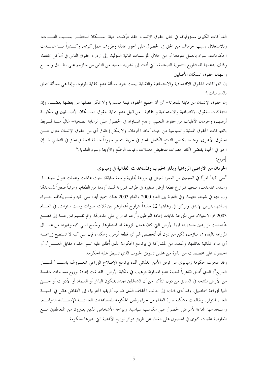الشركات الكبرى لمسؤوليالها في مجال حقوق الإنسان. فقد عرَّضت حياة الســـكان للخطـــر بســـبب التلـــوث، وللاستغلال بسبب حرمالهم من الحق في الحصول على أجور عادلة وظروف عمل كريمة. وكـــثيراً مــــا عمــــدت الحكومات، سواء بالعمل بمفردها أو من خلال المؤسسات المالية الدولية، إلى ازدراء حقوق الناس في أماكن مختلفة، وذلك بدعمها للمشاريع التنموية الضخمة، التيّ أدت إلى تشريد العديد من الناس من منازلهم على نطــاق واســـع وانتهاك حقوق السكان الأصليين.

إن انتهاكات الحقوق الاقتصادية والاجتماعية والثقافية ليست مجرد مسألة عدم كفاية الموارد، وإنما هي مسألة تتعلق بالسياسات.<sup>5</sup>

إن حقوق الإنسان غير قابلة للتجزئة– أي أن لجميع الحقوق قيمة متساوية ولا يمكن فصلها عن بعضها بعضـــا. وإن انتهاكات الحقوق الاقتصادية والاحتماعية والثقافية– من قبيل عدم حماية حقوق الســـكان الأصــــليين في ملكيـــة أرضهم، وحرمان الأقليات من حقوق التعليم، وعدم المساواة في الحصول على الرعاية الصحية– غالباً مــــا تُــــربط بانتهاكات الحقوق المدنية والسياسية من حيث أنماط الحرمان. ولا يمكن إحقاق أي من حقوق الإنسان بمعزل عـــن الحقوق الأخرى. ومثلما يقتضي التمتع الكامل بالحق في حرية التعبير جهوداً منسقة لتحقيق الحق في التعليم، فـــإن الحق في الحياة يقتضي اتخاذ خطوات لتخفيض معدلات وفيات الرضَّع والأوبئة وسوء التغذية.<sup>6</sup> [مربع:

الحرمان من الأراضي الزراعية وبذار الحبوب والمساعدات الغذائية في زمبابوي

"سي كيه" امرأة في السبعين من العمر، تعيش في مزرعة تجارية واسعة سابقة، حيث عاشت وعملت طوال حياقمـــا. وعندما تقاعدت، منحها المزار ع قطعة أرض صغيرة في طرف المزرعة لسد أودها من الطعام، ومرتباً صغيراً لمساعدها وزوجها في شيخوختهما. وفي الفترة بين العام 2000 والعام 2003 هلك جميع أبناء سي كيه وشـــريكاتمم حــــراء إصابتهم بمرض الإيدز، وتركوا في رعايتها 12 حفيداً تتراوح أعمارهم بين ثلاث سنوات وست سنوات. في العـــام 2003 تم الاستيلاء على المزرعة لغايات إعادة التوطين وأُرغم المزارع على مغادرتما. وتم تقسيم المزرعـــة إلى قطـــع خُصصت لمزارعين جدد، بما فيها الأرض التي كان عمال المزرعة قد استغلوها. وسُمح لسبي كيه وغيرها من عمـــال المزرعة بالبقاء في منازلهم، لكن من دون أن تُخصص لهم أي قطعة أرض. وهكذا، فإن سي كيه لا تستطيع زراعــــة أي مواد غذائية لعائلتها، ومُنعت من المشاركة في برنامج الحكومة الذي أُطلق عليه اسم "الغذاء مقابل العمــــل"، أو الحصول على مخصصات من الذرة من مجلس تسويق الحبوب الذي تسيطر عليه الحكومة.

وقد عجزت حكومة زمبابوي عن توفير الأمن الغذائبي أثناء برنامج الإصلاح الزراعي المعـــروف باســــم "المســــار السريع"، الذي أُطلق ظاهرياً لمعالجة عدم المساواة الرهيب في ملكية الأرض. فقد تمت إعادة توزيع مساحات شاسعة من الأرض المنتجة في السابق من دون التأكد من أن الشاغلين الجدد يملكون البذار أو السماد أو الأدوات أو حــــتي النية لزراعة المحاصيل. وقد أدى ذلك، إلى حانب الجفاف الذي ضرب أفريقيا الجنوبية، إلى انخفاض هائل في كميــــة الغذاء المتوفر . وتفاقمت مشكلة ندرة الغذاء من جراء رفض الحكومة للمساعدات الغذائيـــة الإنســــانية الدوليـــة، واستخدامها المحاعة لأغراض الحصول على مكاسب سياسية. ويواحه الأشخاص الذين يعتبرون من المتعاطفين مـــع المعارضة عقبات كبرى في الحصول على الغذاء عن طريق دوائر توزيع الأغذية التي تديرها الحكومة.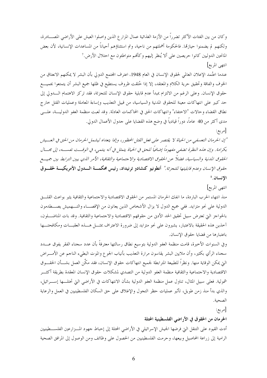وكان من بين الفئات الأكثر تضرراً من الأزمة الغذائية عمال المزار ع الذين واصلوا العيش على الأراضي المصـــادرة، ولكنهم لم يضمنوا حيازهًا. فالحكومة أهملتهم من ناحية، وتم استثناؤهم أحياناً من المساعدات الإنسانية، لأن بعض المانحين الدوليين كانوا حريصين على ألا يُنظر إليهم وكأفمم متواطئون مع احتلال الأرض.' انتهى المربع]

عندما اعتُمد الإعلان العالمي لحقوق الإنسان في العام 1948، اعترف المحتمع الدولي بأن البشر لا يمكنهم الانعتاق من الخوف والفاقة وتحقيق حرية الكلام والمعتقد، إلا إذا خُلقت ظروف يستطيع في ظلها جميع البشر أن يتمتعوا بجميـــع حقوق الإنسان. وعلى الرغم من الالتزام بمبدأ عدم قابلية حقوق الإنسان للتجزئة، فقد تركز الاهتمام الــــدولي إلى حد كبير على انتهاكات معينة للحقوق المدنية والسياسية، من قبيل التعذيب وإساءة المعاملة وعمليات القتل خارج نطاق القضاء وحالات "الاختفاء" وانتهاكات الحق في المحاكمات العادلة. وقد لعبت منظمة العفو الدوليـــة، علــــى مدى أكثر من 40 عاماً، دوراً قيادياً في وضع هذه القضايا على جدول الأعمال الدولي.

[مربع:

"إن الحرمان التعسفي من الحياة لا يقتصر على فعل القتل المحظور ، وإنما يتعداه ليشهل الحرمان من الحق في العبيش بكرامة. وإن هذه النظرة تضفي مفهوماً إضافياً للحق في الحياة يتمثل في أنه ينتمي، في الوقت نفسه، إلى مجسال الحقوق المدنية والسياسية، فضلاً عن الحقوق الاقتصادية والاجتماعية والثقافية، الأمر الذي يبين الترابط بين جميسع حقوق الإنسا*ن وعدم قابليتها للتحزئة."* أنطونيو كنشادو تونيداد، رئيس محكمـــة الــــدول الأمريكيـــة لحقــــوق الانسان.8

انتهى المربع|

منذ انتهاء الحرب الباردة، ما انفك الحرمان المستمر من الحقوق الاقتصادية والاحتماعية والثقافية يثير بواعث القلسق الدولية على نحو متزايد. ففي جميع الدول لا يزال الأشخاص الذين يعانون من الإقصـــاء والتـــهميش يصــــطدمون بالحواجز التي تعترض سبيل تحقيق الحد الأدنى من حقوقهم الاقتصادية والاجتماعية والثقافية. وقد بات المناضــــلون، آحذين هذه الحقيقة بالاعتبار، يشيرون على نحو متزايد إلى ضرورة الاعتراف بمثـــل هـــذه العقبـــات ومكافحتـــها باعتبارها من قضايا حقوق الإنسان.

وفي السنوات الأخيرة، قامت منظمة العفو الدولية بتوسيع نطاق رسالتها معترفةً بأن عدد سجناء الفقر يفوق عــــدد سجناء الرأي بكثير، وأن ملايين البشر يقاسون مرارة التعذيب بأنياب الجوع والموت البطيء الناجم عن الأمـــراض التي يمكن الوقاية منها. ونظراً للطبيعة المترابطة لجميع انتهاكات حقوق الإنسان، فقد مكَّن العمل بشـــأن الحقــــوق الاقتصادية والاحتماعية والثقافية منظمة العفو الدولية من التصدي لمشكلات حقوق الإنسان المعقدة بطريقة أكثـــر شمولية. فعلى سبيل المثال، تناول عمل منظمة العفو الدولية بشأن الانتهاكات في الأراضي التي تحتلـــها إســــرائيل، والذي بدأ منذ زمن طويل، تأثير عمليات حظر التجول والإغلاق على حق السكان الفلسطينيين في العمل والرعاية الصحية.

[مربع:

#### الحرمان من الحقوق في الأراضي الفلسطينية المحتلة

أدت القيود على التنقل التي فرضها الجيش الإسرائيلي في الأراضي المحتلة إلى إحباط جهود المسزارعين الفلســــطينيين الرامية إلى زراعة المحاصيل وبيعها، وحرمت الفلسطينيين من الحصول على وظائف ومن الوصول إلى المرافق الصحية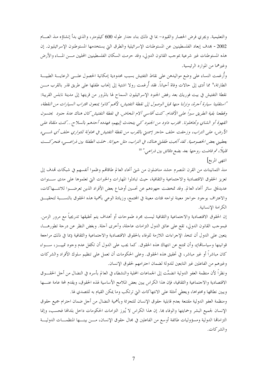والتعليمية. ويجرى فرض الحصار والقيود– بما في ذلك بناء جدار طوله 600 كيلومتر، والذي بدأ إنشاؤه منذ العسام 2002 - بمدف إبعاد الفلسطينيين عن المستوطنات الإسرائيلية والطرق التي يستخدمها المستوطنون الإسرائيليون. إن هذه المستوطنات غير شرعية بموحب القانون الدولي، وقد حرمت السكان الفلسطينيين المحليين مـــن المـــاء والأرض وغيرهما من الموارد الرئيسية.

وأرغمت النساء على وضع مواليدهن على نقاط التفتيش بسبب محدودية إمكانية الحصول علـــى الرعايــــة الطبيــــة الطارئة،<sup>9</sup> مما أدى إلى حالات وفاة أحياناً. فقد أُرغمت رولا اشتية إلى إنجاب طفلها على طريق قذر بالقرب مــــن نقطة التفتيش في بيت فوريك بعد رفض الجنود الإسرائيليون السماح لها بالمرور من قريتها إلى مدينة نابلس القريبة: "استقلينا سيارة أجرة، ونزلنا منها قبل الوصول إلى نقطة التفتيش، لأنمم كانوا يمنعون اقتراب السيارات من النقطة، وقطعنا بقية الطريق سيرًا على الأقدام. كنت أقاسي آلام المخاض. في نقطة التفتيش كان هناك عدة جنود يحتسون القهوة أو الشاي وتجاهلونا. اقترب داود من الجنود كبي يتحدث إليهم، فهدده أحدهم بالسلاح...كنت ملقاة على الأرض، على التراب، وزحفت حلف حاجز إسمنتي بالقرب من نقطة التفتيش في محاولة للتواري حلف أي شهيء يعطيني بعض الخصوصية. لقد أنجبت طفلتي هناك، في التراب، مثل حيوانة. حملت الطفلة بين ذراعـــي، فتحركـــت قليلاً، ثم فاضت رو حيها بعد بضع دقائق بين ذراعبي." <sup>10</sup>

#### انتهى المربع]

منذ الثمانينات من القرن المنصرم حشد مناضلون من شتى أنحاء العالم طاقاقمم وظموا أنفسهم في شبكات قمدف إلى تعزيز الحقوق الاقتصادية والاحتماعية والثقافية، حيث تبادلوا المهارات والخبرات التي تعلموها على مدى ســنوات عديدةفي سائر أنحاء العالم. وقد تمخضت جهودهم عن تحسين أوضاع بعض الأفراد الذين تعرضــوا للانتـــهاكات، والاعتراف بوجود حواجز معينة تواجه فئات معينة في المجتمع، وزيادة الوعي بأهمية هذه الحقوق بالنســـبة لتحقيـــق الكرامة الإنسانية.

إن الحقوق الاقتصادية والاحتماعية والثقافية ليست مجرد طموحات أو أهداف يتم تحقيقها تدريجياً مع مرور الزمن. فبموجب القانون الدولي، تقع على عاتق الدول التزامات عاجلة، وأخرى آجلة. وبغض النظر عن درجة تطورهــــا، يتعين على الدول أن تتخذ الإجراءات اللازمة للوفاء بالحقوق الاقتصادية والاجتماعية والثقافية (بما في ذلك مراجعة قوانينها وسياساڤا)، وأن تمتنع عن انتهاك هذه الحقوق. كما يجب على الدول أن تكفل عدم وجود تمييـــز، ســــواء كان مباشراً أو غير مباشر، في تحقيق هذه الحقوق. وعلى الحكومات أن تعمل على تنظيم سلوك الأفراد والشركات وغيرهم من الفاعلين غير التابعين للدولة لضمان احترامهم لحقوق الإنسان.

ونظراً لأن منظمة العفو الدولية انضمَّت إلى الجماعات المحلية والنشطاء في العالم بأسره في النضال من أحل الحقـــوق الاقتصادية والاحتماعية والثقافية، فإن هذا الكراس يبين بعض الملامح الأساسية لهذه الحقوق، ويقدم لمحة عامة عنسها ويبين نطاقها ومحتواها، ويعطى أمثلة على الانتهاكات التي ترتكب وما يمكن القيام به للتصدي لها.

ومنظمة العفو الدولية مقتنعة بعدم قابلية حقوق الإنسان للتجزئة وبأهمية النضال من أحل ضمان احترام جميع حقوق الإنسان لجميع البشر وحمايتها والوفاء هما. إن هذا الكراس لا يُبرز التزامات الحكومات داخل بلدالها فحسب، وإنما التزاماقما الدولية ومسؤوليات طائفة أوسع من الفاعلين في مجال حقوق الإنسان، مــــن بينــــها المنظمــــات الدوليــــة والشركات.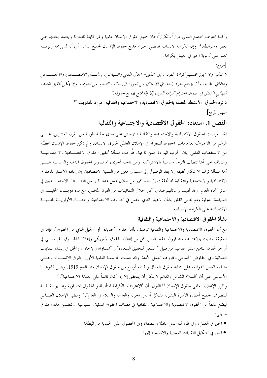وكما اعترف المحتمع الدولي مراراً وتكراراً، فإن جميع حقوق الإنسان عالمية وغير قابلة للتجزئة ويعتمد بعضها على بعض ومترابطة.'' وإن الكرامة الإنسانية تقتضي احترام جميع حقوق الإنسان لجميع البشر: أي أنه ليس ثمة أولويـــة تعلو على أولوية الحق في العيش بكرامة.

[مربع:

لا يمكن ولا يجوز تقسيم كرامة الفرد ، إلى مجالين- الجال المدني والسياسي، والمجــال الاقتصـــادي والاجتمـــاعبي والثقافي. إذ يجب أن يتمتع الفرد بالحق في الانعتاق من العوز، إلى جانب التحرر من الخوف. ولا يمكن تحقيق الهدف النهائبي المتمثل في ضمان احترام كرامة الفرد، إلا إذا تمتع بجميع حقوقه."

دائرة الحقوق: الأنشطة المتعلقة بالحقوق الاقتصادية والاجتماعية والثقافية: مورد للتدريب 1⁄2

انتهى المربع]

### الفصل 1. استعادة الحقوق الاقتصادية والاجتماعية والثقافية

لقد تعرضت الحقوق الاقتصادية والاجتماعية والثقافية للتهميش على مدى حقبة طويلة من القرن العشرين، علـــي الرغم من الاعتراف بعدم قابلية الحقوق للتجزئة في الإعلان العالمي لحقوق الإنسان. و لم تكن حقوق الإنسان محصَّنة من الاستقطاب العالمي إبان الحرب الباردة. فمن ناحية، طُرحت مسألة تحقيق الحقوق الاقتصـــادية والاجتماعيـــة والثقافية على ألها تتطلب التزاماً سياسياً بالاشتراكية. ومن ناحية أخرى، تم تصوير الحقوق المدنية والسياسية علـــي ألها مسألة ترف لا يمكن تحقيقه إلا بعد الوصول إلى مستوى معين من التنمية الاقتصادية. إن إعادة الاعتبار للحقوق الاقتصادية والاحتماعية والثقافية قد تحققت إلى حد كبير من خلال عمل عدد كبير من النشـــطاء الاحتمـــاعيين في سائر أنحاء العالم. وقد لقيت رسائلهم صدى أكبر حلال الثمانينات من القرن الماضي، مع بدء ذوبـــان الجليــــد في السياسة الدولية ومع تنامى القلق بشأن الانهيار الذي حصل في الظروف الاحتماعية، وإعطــاء الأولويـــة للتنميـــة الاقتصادية على الكرامة الإنسانية.

### نشأة الحقوق الاقتصادية والاجتماعية والثقافية

مع أن الحقوق الاقتصادية والاحتماعية والثقافية توصف بألها حقوق "حديدة" أو "الجيل الثاني من الحقوق"، فإلها في الحقيقة حظيت بالاعتراف منذ قرون. فقد تضمن كل من إعلان الحقوق الأمريكي وإعلان الحقـــوق الفرنســــي في أواخر القرن الثامن عشر مفاهيم من قبيل " السعي لتحقيق السعادة" و "المساواة والإخاء"، والحق في إنشاء النقابات العمالية وفي التفاوض الجماعي وظروف العمل الآمنة. وقد عملت المؤسسة العالمية الأولى لحقوق الإنســـان، وهــــي منظمة العمل الدولية، على حماية حقوق العمال وطائفة أوسع من حقوق الإنسان منذ العام 1919. وينص قانوفمـــا الأساسي على أن "السلام الشامل والدائم لا يمكن أن يتحقق إلا إذا كان قائماً على العدالة الاجتماعية".<sup>13</sup> وكرر الإعلان العالمي لحقوق الإنسان <sup>14</sup> القول بأن "الاعتراف بالكرامة المتأصلة وبالحقوق المتساوية وغـــير القابلـــة للتصرف لجميع أعضاء الأسرة البشرية يشكل أساس الحرية والعدالة والسلام في العالم".<sup>15</sup> ومضى الإعلان العـــالمي ليضع عدداً من الحقوق الاقتصادية والاحتماعية والثقافية في مصاف الحقوق المدنية والسياسية. وتتضمن هذه الحقوق ما يلي:

- الحق في العمل، وفي ظروف عمل عادلة ومنصفة، وفي الحصول على الحماية من البطالة.
	- الحق في تشكيل النقابات العمالية والانضمام إليها.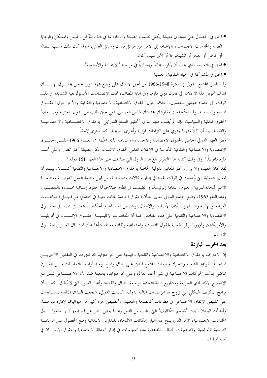- الحق في الحصول على مستوى معيشة يكفي لضمان الصحة والرفاه، بما في ذلك المأكل والملبس والمسكن والرعاية الطبية والخدمات الاحتماعية، بالإضافة إلى الأمن من غوائل فقدان وسائل العيش، سواء كان ذلك بسبب البطالة أو المرض أو العجز أو الشيخوخة أو لأي سبب كان.
	- الحق في التعليم، الذي يجب أن يكون مجانياً وإجبارياً في مراحله "الابتدائية والأساسية".
		- الحق في المشاركة في الحياة الثقافية والعلمية.

وقد ناضل المحتمع الدولي في الفترة 1948-1966 من أحل الاتفاق على وضع عهد دولي خاص بحقـــوق الإنســــان هدف تحويل هذا الإعلان إلى قانون دولي ملزم. وفي نماية المطاف، أدت الانقسامات الأيديولوجية الشديدة في ذلك الوقت إلى اعتماد عهدين منفصلين، أحدهما حول الحقوق الاقتصادية والاحتماعية والثقافية، والآخر حول الحقـــوق المدنية والسياسية. وقد استُخدمت مقاربتان مختلفتان لهذين العهدين. ففي حين طُلب من الدول "احترام وضـــمان" الحقوق المدنية والسياسية، فإنه لم يُطلب منها سوى "تحقيق التمتع التدريجي" بالحقوق الاقتصـــادية والاجتماعيـــة والثقافية. بيد أن كلاً منهما يحتوى على التزامات فورية وأخرى تدريجية، كما سنرى لاحقاً.

ينص العهد الدولي الخاص بالحقوق الاقتصادية والاحتماعية والثقافية الذي اعتُمد في العـــام 1966 علـــي الحقـــوق الاقتصادية والاحتماعية والثقافية المكرسة في الإعلان العالمي لحقوق الإنسان، لكن بصيغة أكثر تطوراً وعلى نحسو ملزم قانونياً.<sup>16</sup> وفي وقت كتابة هذا التقرير بلغ عدد الدول التي صادقت على هذا العهد 151 دولة.<sup>17</sup>

لقد كان العهد، ولا يزال، أكثر المعايير الدولية الخاصة بالحقوق الاقتصادية والاحتماعية والثقافية كمـــالاً. بيـــد أن المعايير الدولية التي وُضعت في الوقت نفسه في إطارٍ وكالات متخصصة، من قبيل منظمة العمل الدوليــــة ومنظمــــة الأمم المتحدة للتربية والعلوم والثقافة (يونيسكو)، تضمنت في نطاق صلاحيالها حقوقاً إنسانية محـــددة بالتفصـــيل. ومنذ العام 1965، وضع المحتمع الدولي معايير بشأن الحقوق الخاصة بفئات معينة في المحتمع، من قبيــــل الجماعــــات العرقية أو الإثنية والنساء والسكان الأصليين والأطفال. وتتضمن هذه المعايير أحكامـــاً تتعلـــق بتطبيـــق الحقـــوق الاقتصادية والاجتماعية والثقافية على هذه الفئات. كما أن المعاهدات الإقليميـــة لحقـــوق الإنســـان في أفريقيـــا والأمريكيتين وأوروبا توفر الحماية لحقوق اقتصادية واحتماعية وثقافية معينة، شألها شأن الميثـــاق العــــربي لحقــــوق الانسان.

### بعد الحرب الباردة

إن الاعتراف بالحقوق الاقتصادية والاحتماعية والثقافية وفهمها على نحو متزايد قد تعززت في العقدين الأخيريـــن استحابةً للقواعد الشعبية ولتحرك منظمات المجتمع المدني على نطاق واسع. ومنذ أواسط الثمانينات مـــن القــــرن الماضي بدأت الحركات الاحتماعية في شتى أنحاء العالم، وعلى نحو متزايد، بالتعبئة ضد الأثر الاحتمـــاعي لــــبرامج الإصلاح الاقتصادي السريعة ومشاريع البنية التحتية الواسعة النطاق والفساد وأعباء الديون التي لا تُطاق. كمـــا أن برامج التكييف الهيكلي التي تروج لها المؤسسات المالية الدولية، كالبنك الدولي، شجعت البلدان المتلقية للمساعدات على تقليص الإنفاق الاحتماعي في قطاعات كالصحة والتعليم، وتخصيص جزء كبير من ميزانياقما لإدارة ديوفسا. وأنشأت البلدان آليات "تقاسم التكاليف" التي تطلب من الناس (غالباً بغض النظر عن قدرقمم) أن يــــدفعوا بــــدل الخدمات الاحتماعية، الأمر الذي ينتج عنه الهيار إمكانات الالتحاق بالمدارس الابتدائية ومنع الحصول على الرعايـــة الصحية الأساسية. وقد صيغت المطالب المناهضة لهذه السياسات في إطار العدالة الاجتماعية وحقوق الإنســـان في لهاية المطاف.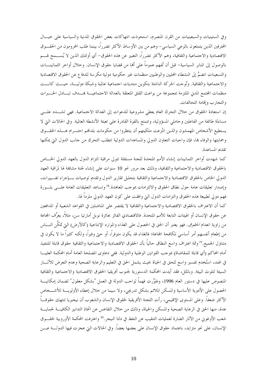وفي الستينيات والسبعينيات من القرن المنصرم، استحوذت انتهاكات بعض الحقوق المدنية والسياسية على حيــال المحترفين الذين يتمتعون بالوعي السياسي– وهم من بين الأوساط الأكثر تضرراً، بينما طلب المحرومون من الحقــــوق الاقتصادية والاحتماعية والثقافية، وهم الأكثر تضرراً، التعبير عن هذه الحقوق- أي أولئك الذين لا يُســـمح لهـــم بالوصول إلى المنابر السياسية– قبل أن تُفهم عموماً على ألها من قضايا حقوق الإنسان. وحلال أواخر الثمانينـــات والتسعينات انضمَّ إلى النشطاء المحليين والوطنيين منظمات غير حكومية دولية مكرسة للدفاع عن الحقوق الاقتصادية والاحتماعية والثقافية. وتُوحت الحركة الناشئة بتكوين منتديات احتماعية عالمية وشبكة دوليـــة، حيـــث كانـــت منظمات المحتمع المدني الملتزمة بمجموعة من بواعث القلق المتعلقة بالعدالة الاجتماعيـــة بمــــدف تبــــادل الخــــبرات والتجارب وإقامة التحالفات.

إن استعادة الحقوق من خلال التحرك العام يعطي مشروعية للدعوات إلى العدالة الاحتماعية. فهي تشـــدد علــــى مساءلة طائفة من الفاعلين وحاملي المسؤولية، وتتمتع بالقوة القادرة على تعبئة الأنشطة العالمية. وفي الحالات التي لا يستطيع الأشخاص المهمشون والذين انتُزعت ملكيتهم أن ينتظروا من حكومات بلدافمم احتـــرام هــــذه الحقــــوق وحمايتها والوفاء بما، فإن واجبات التعاون الدولي والمساعدات الدولية تتطلب التحرك من جانب الدول التي يمكنها تقديم المساعدة.

كما شهدت أواخر الثمانينات إنشاء الأمم المتحدة للجنة مستقلة تتولى مراقبة التزام الدول بالعهد الدولي الخـــاص بالحقوق الاقتصادية والاحتماعية والثقافية، وذلك بعد مرور نحو 10 سنوات على إنشاء لجنة مشابمة لها لمراقبة العهد الدولي الخاص بالحقوق الاقتصادية والاحتماعية والثقافية بتحليل تقارير الدول وتقديم توصيات بسإحراء تغسييرات، وإصدار تعليقات عامة حول نطاق الحقوق والالتزامات بموجب المعاهدة. <sup>18</sup>وتساعد التعليقات العامة علـــي بلـــورة فهم دولي لطبيعة هذه الحقوق والتزامات الدول التي وافقت على كون العهد الدولي ملزماً لها.

كما أن الاعتراف بالحقوق الاقتصادية والاحتماعية والثقافية لا يقتصر على المناضلين في القواعد الشعبية أو المدافعين عن حقوق الإنسان أو الهيئات التابعة للأمم المتحدة. فالاقتصادي الفائز بحائزة نوبل أمارتيا سن، مثلاً، يعرِّف المحاعة من زاوية انعدام *الحقوق*. فهو يعتبر أن الحق في الحصول على الغذاء والموارد الإنتاجية (كالأرض) التي تمكّن النــــاس من إطعام أنفسهم أمر أساسي لمكافحة المحاعة؛ فالغذاء قد يكون متوفراً، أو حتى وفيراً، ولكنه كثيراً ما لا يكون في متناول الجميع.<sup>19</sup> وثمة اعتراف واسع النطاق حالياً بأن الحقوق الاقتصادية والاحتماعية والثقافية حقوق قابلة للتنفيذ أمام المحاكم (أي قابلة للمقاضاة) بموجب القوانين الوطنية والدولية. ففي دعاوى المصلحة العامة أمام المحكمة العليـــا في الهند، استُخدم تفسير واسع للحق في الحياة بحيث يشمل الحق في التعليم والرعاية الصحية وعدم التعرض للآثـــار السيئة لتلوث البيئة. وبالمثل، فقد أيدت المحكمة الدستورية لجنوب أفريقيا الحقوق الاقتصادية والاحتماعية والثقافية المنصوص عليها في دستور العام 1996، وطوَّرت فهماً لواحب الدولة في العمل "بشكل معقول" لضمان إمكانيـــة الحصول على الأدوية الأساسية والمسكن الملائم بشكل تدريجي، ولا سيما من حلال إعطاء الأولويـــة للأشـــخاص الأكثر ضعفاً. وعلى المستوى الإقليمي، رأت اللجنة الأفريقية لحقوق الإنسان والشعوب أن نيجيريا تنتهك حقوقـــاً عدة، منها الحق في الرعاية الصحية والمسكن والحياة، وذلك من خلال التقاعس عن اتخاذ التدابير الكافيـــة لحمايـــة شعب الأوغوني من الآثار الضارة لعمليات التنقيب عن النفط في دلتا النيجر.<sup>20</sup> واعترفت المحكمة الأوروبية لحقـــوق الإنسان، على نحو متزايد، باعتماد حقوق الإنسان على بعضها بعضاً. وفي الحالات التي عجزت فيها الدولـــة عــــن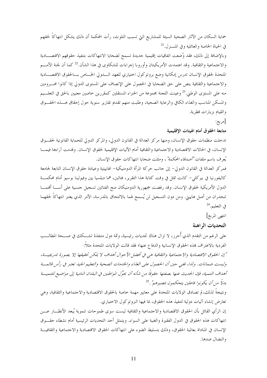حماية السكان من الآثار الصحية السيئة للمشاريع التيّ تسبب التلوث، رأت المحكمة أن ذلك يشكل انتهاكاً لحقهم في الحياة الخاصة والعائلية وفي المنـــزل.<sup>21</sup>

وبالإضافة إلى ذلك، فقد وُضعت اتفاقيات إقليمية حديدة تسمح لضحايا الانتهاكات بتنفيذ حقوقهم الاقتصـــادية والاحتماعية والثقافية. وقد اعتمدت الأمريكيتان وأوروبا إجراءات للشكاوي في هذا الشأن.<sup>22</sup> كما أن لجنة الأمـــم المتحدة لحقوق الإنسان تدرس إمكانية وضع بروتوكول اختياري للعهد السدولي الخساص بسالحقوق الاقتصــادية والاجتماعية والثقافية ينص على حق الضحايا في الحصول على الإنصاف على المستوى الدولي إذا كانوا محسرومين منه على المستوى الوطني.<sup>23</sup> وعينت اللجنة بحموعة من الخبراء المستقلين كمقررين حاصين معنيين بالحق في التعلـــيم والمسكن المناسب والغذاء الكافي والرعاية الصحية، وطلبت منهم تقديم تقارير سنوية حول إحقاق هـــذه الحقـــوق والقيام بزيارات قطرية.

[مريع:

#### متابعة الحقوق أمام الهيئات الإقليمية

تدخلت منظمات حقوق الإنسان، ومنها مركز العدالة في القانون الدولي، والمركز الدولي للحماية القانونية لحقبوق الإنسان، في الحالات الاقتصادية والاحتماعية والثقافية أمام الآليات الإقليمية لحقوق الإنسان. وقدمت آراءها فيمـــا يُعرف باسم ملفا*ت "أصدقاء المحكمة"* ، ومثّلت ضحايا انتهاكات حقوق الإنسان.

فمركز العدالة في القانون الدولي– إلى حانب حركة المرأة الدومنيكية– الهاييتية وعيادة حقوق الإنسان التابعة لجامعة كاليفورنيا في بيركلي– كانت تمثل في وقت كتابة هذا التقرير، فتاتين، هما ديلسيا يين وفيولينا بوسيو أمام محكمـــة الدول الأمريكية لحقوق الإنسان. وقد رفضت جمهورية الدومنيكان منح الفتاتين تسجيل حنسية على أســـا أفممـــا تنحدران من أصل هاييتي. ومن دون التسجيل لن يُسمح لهما بالالتحاق بالمدرسة، الأمر الذي يعتبر انتهاكاً لحقهما في التعليم.<sup>24</sup>

انتهى المربع]

#### التحديات الراهنة

على الرغم من التقدم الذي أُحرز، لا تزال هناك تحديات رئيسية، وثمة دول متنفذة تشـــكك في صـــحة المطالـــب الفردية بالاعتراف بمذه الحقوق الإنسانية والدفاع عنها؛ فقد قالت الولايات المتحدة مثلاً: "إن الحقوق الاقتصادية والاجتماعية والثقافية هي في أفضل الأحوال أهداف لا يمكن تحقيقها إلا بصورة تدريجيسة، وليست ضمانات. ولذا، ففي حين أن الحصول على الغذاء والخدمات الصحية والتعليم الجيد تعتبر في رأس قائمــة أهداف التنمية، فإن الحديث عنها بصفتها حقوقًا من شأنه أن يحوِّل المواطنين في البلدان النامية إلى مواضيع للتنميسة بدلاً من أن يكونوا فاعلين يتحكمون بمصيرهم". <sup>25</sup> ونتيجةً لذلك، لم تصادق الولايات المتحدة على معايير مهمة حاصة بالحقوق الاقتصادية والاجتماعية والثقافية، وهي تعارض إنشاء آليات دولية لتنفيذ هذه الحقوق، بما فيها البروتوكول الاختياري. إن الرأي القائل بأن الحقوق الاقتصادية والاحتماعية والثقافية ليست سوى طموحات تنموية يُبعد الأنظـــار عــــن انتهاكات هذه الحقوق في الدول الفقيرة والغنية على السواء. ويتمثل أحد التحديات الرئيسية أمام نشطاء حقـــوق الإنسان في المناداة بعالمية الحقوق، وذلك بتسليط الضوء على انتهاكات الحقوق الاقتصادية والاجتماعية والثقافيـــة والنضال ضدها.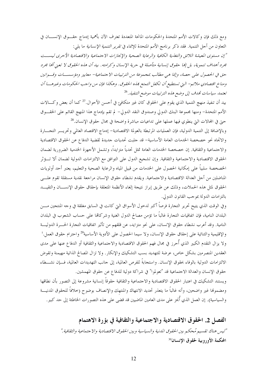ومع ذلك فإن وكالات الأمم المتحدة والحكومات المانحة المتعددة تعترف الآن بأهمية إدماج حقـــوق الإنســـان في التعاون من أحل التنمية. فقد ذكر برنامج الأمم المتحدة للإنماء في *تقرير التنمية الإنسانية* ما يلي:

"إن مستوى المعيشة اللائق والتغذية الكافية والرعاية الصحية والإنجازات الاجتماعية والاقتصادية الأحرى ليســت مجرد أهداف تنموية، بل إنما حقوق إنسانية متأصلة في حرية الإنسان وكرامته. بيد أن هذه الحقوق لا تعني أنما مجرد حق في الحصول على حصة، وإنما هي مطالب بمجموعة من الترتيبات الاجتماعية- معايير ومؤسســات وقــوانين ومناخ اقتصادي ملائم– التي تستطيع أن تكفل التمتع ڢمذه الحقوق. وهكذا فإن من واجب الحكومات وغيرهـــا أن تعتمد سياسات تمدف إلى وضع هذه الترتيبات موضع التنفيذ. <sup>26</sup>

بيد أن تنفيذ منهج التنمية الذي يقوم على الحقوق كان غير متكافئ في أحسن الأحوال.<sup>27</sup> كما أن بعض وكـــالات الأمم المتحدة– ومنها مجموعة البنك الدولي وصندوق النقد الدولي– لم تقم بإدماج هذا المنهج القائم على الحقـــوق حتى في المحالات التي ينطوي فيها عملها على تداعيات مباشرة واضحة في محال حقوق الإنسان.<sup>28</sup>

وبالإضافة إلى التنمية الدولية، فإن العمليات المرتبطة بالعولمة الاقتصادية- إدماج الاقتصاد العالمي وتحريـــر التجـــارة والاتجاه نحو خصخصة الخدمات العامة الأساسية- قد حلبت تحديات حديدة لقضية الدفاع عن الحقوق الاقتصادية والاحتماعية والثقافية. إن خصخصة الحدمات العامة تمثل تحدياً متزايداً، وتشمل الأجهزة الحدمية الضرورية لضمان الحقوق الاقتصادية والاحتماعية والثقافية. وإن تشجيع الدول على التوافق مع الالتزامات الدولية لضمان ألا تسؤثر الخصخصة سلبياً على إمكانية الحصول على الخدمات من قبيل المياه والرعاية الصحية والتعليم، يعتبر أحد أولويات المناضلين من أجل العدالة الاقتصادية والاجتماعية. ويقدم نشطاء حقوق الإنسان مراجعة نقدية مستقلة تقوم علـــي الحقوق لمثل هذه الحملات، وذلك عن طريق إبراز نتيجة إلغاء الأنظمة المتعلقة بإحقاق حقوق الإنســـان والتقيـــد بالتزامات الدولة بموحب القانون الدولي.

وفي الوقت الذي يتيح تحرير التحارة فرصاً أكبر لدخول الأسواق التي كانت في السابق مغلقة في وحه المنتجين مــــن البلدان النامية، فإن اتفاقيات التجارة غالباً ما تؤمن مصالح الدول الغنية وشركاتما على حساب الشعوب في البلدان النامية. وقد أعرب نشطاء حقوق الإنسان، على نحو متزايد، عن قلقهم من تأثير اتفاقيات التجارة الحــــرة الدوليـــة والإقليمية والثنائية على إحقاق حقوق الإنسان، ولا سيما الحصول على الأدوية الأساسية<sup>29</sup> واحترام حقوق العمل.<sup>i</sup> ولا يزال التقدم الكبير الذي أُحرز في مجال فهم الحقوق الاقتصادية والاجتماعية والثقافية أو الدفاع عنها على مدى العقدين المنصرمين بشكل حاص، عرضة للتهديد بسب التشكيك والإنكار. ولا تزال المصالح الذاتية مهيمنة وتقوض الالتزامات الدولية بالوفاء بحقوق الإنسان. واستجابةً للفرص العالمية، إلى حانب التهديدات العالمية، فـــإن نشـــطاء حقوق الإنسان والعدالة الاجتماعية قد "تعولموا" في شراكة دولية للدفاع عن حقوق المهمشين.

ويستند التشكيك في اعتبار الحقوق الاقتصادية والاحتماعية والثقافية حقوقاً إنسانية مشروعة إلى التصور بأن نطاقها ومضمونها غير واضحين، وأنه غالباً ما يتعذر تحديد الانتهاك والمنتهك والإنصاف بوضوح (حلافاً للحقوق المدنيــة والسياسية). إن العمل الذي أُبُخز على مدى العامين الماضيين قد قضى على هذه التصورات الخاطئة إلى حد كبير.

> الفصل 2. الحقوق الاقتصادية والاجتماعية والثقافية في بؤرة الاهتمام "ليس هناك تقسيم مُحكم بين الحقوق المدنية والسياسية وبين الحقوق الاقتصادية والاجتماعية والثقافية." المحكمة الأوروبية لحقوق الإنسان<sup>30</sup>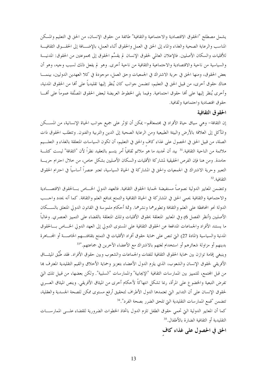يشمل مصطلح "الحقوق الاقتصادية والاحتماعية والثقافية" طائفة من حقوق الإنسان، من الحق في التعليم والمسكن المناسب والرعاية الصحية والغذاء والماء إلى الحق في العمل والحقوق أثناء العمل، بالإضــافة إلى الحقــوق الثقافيـــة للأقليات والسكان الأصليين. فالإعلان العالمي لحقوق الإنسان لم يقسِّم الحقوق إلى مجموعتين من الحقوق: المدنيـــة والسياسية من ناحية والاقتصادية والاحتماعية والثقافية من ناحية أخرى. وهو لم يفعل ذلك لسبب وحيه، وهو أن بعض الحقوق، ومنها الحق في حرية الاشتراك في الجمعيات وحق العمل، موجودة في كلا العهدين الدوليين، بينمــــا هناك حقوق أخرى، من قبيل الحق في التعليم، تتضمن جوانب كان يُنظر إليها تقليدياً على أنما من الحقوق المدنية، وأخرى يُنظر إليها على ألها حقوق احتماعية. وفيما يلي الخطوط العريضة لبعض الحقوق المصنَّفة عموماً على ألهــــا حقوق اقتصادية واحتماعية وثقافية.

#### الحقوق الثقافية

إن الثقافة– وهي سياق حياة الأفراد في مجتمعاقمم– يمكن أن تؤثر على جميع حوانب الحياة الإنسانية، من المســـكن والمأكل إلى العلاقة بالأرض والبيئة الطبيعية ومن الرعاية الصحية إلى الدين والتربية والفنون. وتتطلب الحقوق ذات الصلة، من قبيل الحق في الحصول على غذاء كاف والحق في التعليم، أن تكون السياسات المتعلقة بالغذاء و التعلـــيم ملائمة من الناحية الثقافية.<sup>31</sup> بيد أن تحديد ما هو ملائم ثقافياً أمر يتسم بالتعقيد نظراً لأن "الثقافة" ليست كتلـــة جامدة. ومن هنا فإن الفرص الحقيقية لمشاركة الأقليات والسكان الأصليين بشكل حاص، من حلال احترام حريسة التعبير وحرية الاشتراك في الجمعيات والحق في المشاركة في الحياة السياسية، تعتبر عنصراً أساسياً في احترام الحقوق الثقافية. 32

وتتضمن المعايير الدولية نصوصاً مستفيضة لحماية الحقوق الثقافية. فالعهد الدولي الخــــاص بــــالحقوق الاقتصــــادية والاحتماعية والثقافية يحمى الحق في المشاركة في الحياة الثقافية والتمتع بمنافع العلم والثقافة. كما أنه يحدد واحـــب الدولة نحو المحافظة على العلم والثقافة وتطويرهما ونشرهما. وثمة أحكام ملموسة في القانون الدولي المتعلق بالســـكان الأصليين (أنظر الفصل 6) وفي المعايير المتعلقة بحقوق الأقليات وتلك المتعلقة بالقضاء على التمييز العنصري. وغالباً ما يستند الأفراد والجماعات المدافعة عن الحقوق الثقافية على المستوى الدولي إلى العهد الدولي الخــــاص بــــالحقوق المدنية والسياسية (المادة 27) التي تنص على حماية حقوق أفراد الأقليات في التمتع بثقافتـــهم الخاصـــة أو المحـــاهرة بدينهم أو مزاولة شعائرهم أو استخدام لغتهم بالاشتراك مع الأعضاء الآخرين في جماعتهم.''<sup>33</sup>

وينبغي إقامة توازن بين حماية الحقوق الثقافية للفئات والجماعات والشعوب وبين حقوق الأفراد. فقد طُبِّق الميثـــاق الأفريقي لحقوق الإنسان والشعوب، الذي يلزم الدول الأعضاء بتعزيز وحماية الأخلاق والقيم التقليدية المعترف ها من قبل المحتمع، للتمييز بين الممارسات الثقافية "الإيجابية" والممارسات "السلبية". ولكن بعضها، من قبيل تلك التي تفرض التبعية والخضوع على المرأة، ربما تشكل انتهاكاً لأحكام أخرى من الميثاق الأفريقي. وينص الميثاق العــــربي لحقوق الإنسان على أن التدابير التي تعتمدها الدول الأطراف لتحقيق أرفع مستوى ممكن للصحة الجسدية والعقلية، تتضمن "قمع الممارسات التقليدية التي تلحق الضرر بصحة الفرد".<sup>34</sup>

كما أن المعايير الدولية التي تحمي حقوق الطفل تلزم الدول باتخاذ الخطوات الضرورية للقضاء علـــي الممارســــات التقليدية أو الثقافية الضارة بالأطفال.<sup>35</sup>

## الحق في الحصول على غذاء كاف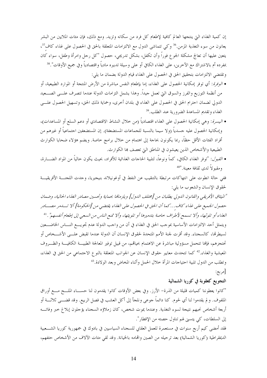إن كمية الغذاء التي ينتجها العالم كافية لإطعام كل فرد من سكانه وتزيد. ومع ذلك، فإن مئات الملايين من البشر يعانون من سوء التغذية المزمن.<sup>36</sup> وكي تتماشى الدول مع الالتزامات المتعلقة بالحق في الحصول على غذاء كاف<sup>37</sup>، يتعين عليها أن تعالج مشكلة الجوع فوراً وأن تكفل، بشكل تدريجي، حصول "كل رحل وامرأة وطفل، سواء كان بمفرده أم بالاشتراك مع الآخرين، على الغذاء الكافي أو على وسيلة تدبيره مادياً واقتصادياً وفي جميع الأوقات".<sup>38</sup> وتقتضي الالتزامات بتحقيق الحق في الحصول على الغذاء قيام الدولة بضمان ما يلي:

- *الوفرة*: أي توفر إمكانية الحصول على الغذاء، إما بإطعام النفس مباشرة من الأرض المنتجة أو الموارد الطبيعية، أو من أنظمة التوزيع والفرز والسوق التي تعمل حيداً. وهذا يشمل التزامات الدولة عندما تتصرف علـــي الصــــعيد الدولي لضمان احترام الحق في الحصول على الغذاء في بلدان أخرى، وحماية ذلك الحق، وتسهيل الحصول علـــي الغذاء وتقديم المساعدة الضرورية عند الطلب.<sup>39</sup>
- *اليسرة*: وهي إمكانية الحصول على الغذاء اقتصادياً (من خلال النشاط الاقتصادي أو دعم السلع أو المساعدات)، وإمكانية الحصول عليه جسدياً (ولا سيما بالنسبة للجماعات المستضعفة). إن المستضعفين اجتماعياً أو غيرهم من أفراد الفئات الأقل حظاً، ربما يكونون بحاجة إلى اهتمام من حلال برامج خاصة. ويضم هؤلاء ضحايا الكوارث الطبيعية والأشخاص الذين يعيشون في المناطق التي تعصف بما الكوارث.
- *القبول*: "توفر الغذاء الكافي، كماً ونوعاً، لتلبية الحاحات الغذائية للأفراد، بحيث يكون حالياً من المواد الضـــارة، ومقبولاً لدى ثقافة معينة."<sup>40</sup>

ففي حالة انطوت على انتهاكات مرتبطة بالتنقيب عن النفط في أوغونيلاند بنيجيريا، وجدت اللجنــــة الأفريقيـــة لحقوق الإنسان والشعوب ما يلي:

"الميثاق الأفريقي والقانون الدولي يطلبان من [مختلف الدول] ويلزمانها بحماية وتحسين مصادر الغذاء الحالية، وضمان حصول الجميع على غلّاء كاف...كما أن الحق في الحصول على الغلّاء يقتضي من [الحكومة] ألا تسامر مصـــادر الغذاء أو تلوثها، وألا تسمح لأطراف حاصة بتدميرها أو تلويثها، وألا تمنع الناس من السعبي إلى إطعام أنفسهم". <sup>41</sup> ويتمثل أحد الالتزامات الأساسية بموجب الحق في الغذاء في أن من واجب الدولة عدم تجويــــع النــــاس الخاضــــعين لسيطرقما، كالسجناء. وقد أقرت لجنة الأمم المتحدة لحقوق الإنسان أن الدولة عندما تقبض علـــي الأشـــخاص أو تحتجزهم، فإنها تتحمل مسؤولية مباشرة عن الاهتمام بحياقمم، من قبيل توفير المعالجة الطبيـــة الكافيـــة والظـــروف المعيشية والغذاء.<sup>42</sup> كما تتحدث معايير حقوق الإنسان عن الجوانب المتعلقة بالنوع الاجتماع<sub>ى</sub> من الحق في الغذاء، وتطلب من الدول تلبية احتياحات المرأة حلال الحمل وأثناء المخاض وبعد الولادة.<sup>43</sup>

# [مربع:

#### التجويع كعقوبة في كوريا الشمالية

"كانوا يعطوننا كميات قليلة من الذرة– الأرز. وفي بعض الأوقات كانوا يقدمون لنا حســـاء الملــــح مــــع أوراق الملفوف. و لم يقدموا لنا أي لحوم. كنا دائماً جوعي ونلجأ إلى أكل العشب في فصل الربيع. وقد قضـــي ثلاثـــة أو أربعة أشخاص نحبهم نتيجة لسوء التغذية. وعندما يموت شخص، كان زملاؤه السجناء يؤجلون إبلاغ خبر وفاتـــه إلى السلطات، كي يتسبى لهم تناول حصته من الإفطار". فقد أمضى كيم أربع سنوات في مستعمرة للعمل العقابي للسجناء السياسيين في بادوك في جمهورية كوريا الشـــعبية الديمقراطية (كوريا الشمالية) بعد ترحيله من الصين واقمامه بالخيانة. وقد لقي مئات الآلاف من الأشخاص حتفهم،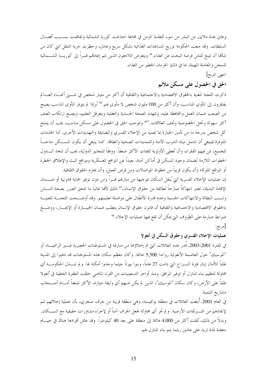وعاني عدة ملايين من البشر من سوء التغذية المزمن في مجاعة اجتاحت كوريا الشمالية وتفاقمت بســـبب أفعـــال السلطات. وقد منعت الحكومة توزيع المساعدات الغذائية بشكل سريع وعادل، وحظرت حرية التنقل التي كان من شألها أن تتيح للناس فرصة البحث عن الغذاء.<sup>44</sup> ويتعرض اللاحئون الذين تتم إعادتمم قسراً إلى كوريـــا الشـــمالية للسجن والمعاملة المهينة، بما في ذلك الحرمان الخطير من الغذاء.

انتهى المربع]

# الحق في الحصول على مسكن ملائم

ذكرت اللجنة المعنية بالحقوق الاقتصادية والاحتماعية والثقافية أن أكثر من مليار شخص في شــــتي أنحـــاء العــــالم يفتقرون إلى المأوى المناسب، وأن أكثر من 100 مليون شخص لا مأوى لهم.<sup>45 "</sup>وإذا لم يتوفر المأوى المناسب يصبح من الصعب ضمان العمل والمحافظة عليه، وتتهدد الصحة الجسدية والعقلية ويتعرقل التعليم، ويصبح ارتكاب العنف أكثر سهولة وتختل الخصوصية وتجف العلاقات."46 وبموحب الحق في الحصول على مسكن مناسب، يجب أن يتمتع كل شخص بدرجة ما من تأمين الحيازة بما يحميه من الإخلاء القسري والمضايقة والتهديدات الأخرى. أما الخدمات المتوفرة فينبغي أن تشمل مياه الشرب الآمنة والتمديدات الصحية والطاقة. كما ينبغي أن يكون المســكن متاحـــاً للجميع، بمن فيهم الفقراء، وأن تُعطى الأولوية للفئات الأكثر ضعفاً. ووفقاً للمعايير الدولية، يجب أن تتخذ الــــدول الخطوات اللازمة لضمان وحود المسكن في أماكن آمنة، بعيداً عن المواقع العسكرية ومواقع البث والإطلاق الخطرة أو المواقع الملوثة؛ وأن يكون قريباً من خطوط المواصلات ومن فرص العمل، وأن يحترم الحقوق الثقافية.

إن عمليات الإخلاء القسرية التي يُنقل السكان بموجبها من منازلهم قسراً ومن دون توفير حماية قانونية أو ضــــمان الإقامة البديلة، تعتبر انتهاكاً صارخاً لطائفة من حقوق الإنسان،<sup>47</sup> ذلك لألها غالباً ما تلحق الضرر بصحة النــــاس وتسبب البطالة والانتهاكات الجنسية وعدم قدرة الأطفال على مواصلة تعليمهم. وقد أوضـــحت اللجنـــة المعنيـــة بالحقوق الاقتصادية والاحتماعية والثقافية أن قانون حقوق الإنسان يتطلب ضمان الحيـــازة أو الإيجـــار، ووضــــع ضوابط صارمة على الظروف التي يمكن أن تقع فيها عمليات الإحلاء. <sup>48</sup>

# [مربع:

## عمليات الإخلاء القسري وحقوق السكن في أنغولا

في الفترة 2001-2003، قُدر عدد العائلات التي تم إحلاؤها من منازلها في المستوطنات الحضرية غــــير الرسميــــة، أو "الموسيك" حول العاصمة الأنغولية رواندا 5,500 عائلة. وكان معظم سكان هذه المستوطنات قد ذهبوا إلى المدينة طلباً للأمان إبان فترة النـــزاع التي دامت 27 عاماً، وبنوا بيوتاً حيثما وجدوا أمكنة لها. و لم تبـــذل الحكومـــة أي محاولة لتنظيم بناء المنازل أو توفير المرافق. ومنذ أواخر التسعينيات من القرن الماضي خلقت الطفرة النفطية في أنغولا طلباً على الأرض، وكان سكان "الموسيك"، الذين لم يكن لديهم أي وثيقة حيازة، الأكثر ضعفاً أمـــام أصـــحاب مشاريع التنمية.

في العام 2001، أُبلغت العائلات في منطقة بوافيستا، وهي منطقة قريبة من جرف صخري، بأن عملية إحلائهم تتم لإنقاذهم من المنـــزلقات الأرضية. و لم تجر أي محاولة لجعل الجرف آمناً أو لإحراء مشاورات حقيقية مع الســـكان. وبدلاً من ذلك، نُقلت أكثر من 4,000 عائلة إلى منطقة على بعد 40 كيلومتراً. وقد عاش أفرادها هناك في حيـــام متعفنة لمدة تزيد على عامين ريثما يتم بناء المنازل لهم.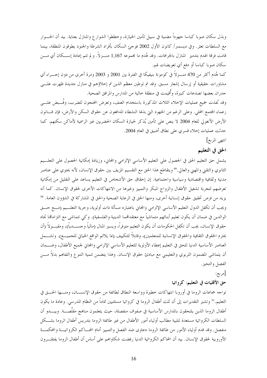وبذل سكان صوبا كباسا جهوداً مضنية في سبيل تأمين الحيازة، وخططوا الشوارع والمنازل بعناية. بيد أن الحـــوار مع السلطات تعثر. وفي ديسمبر/ كانون الأول 2002 فوجئ السكان بأفراد الشرطة والجنود يطوقون المنطقة، بينما قامت فرقة الهدم بتدمير المنازل بالجرافات. وقد هُدم ما مجموعه 1,167 منـــزلاً. و لم تتم إعادة إســـكان أي مـــن سكان صوبا كباسا أو دفع أي تعويضات لهم.

كما هُدم أكثر من 470 منـــزلاً في كومونة بنيفيكا في الفترة بين 2001 و 2003 ومرة أخرى من دون إحــــراء أي مشاورات حقيقية أو إرسال إشعار مسبق. وقد تم توطين معظم الذين تم إحلاؤهم في منازل جديدة ظهرت علـــي جدران بعضها تصدعات كبيرة، وأُقيمت في منطقة خالية من المدارس والمرافق الصحية.

وقد نُفذت جميع عمليات الإخلاء الثلاث المذكورة باستخدام العنف، وتعرض المحتجون للضرب، وقُــبض علـــى زعماء المجتمع المحلي. وعلى الرغم من الجهود التي بذلها النشطاء المدافعون عن حقوق السكن والأرض، فإن قــــانون الأرض الأنغولي للعام 2004 لا ينص على تأمين يُذكر لحيازة السكان الحضريين غير الرسمية لأماكن سكنهم. كما حدثت عمليات إخلاء قسري على نطاق أضيق في العام 2004.

انتهى المربع]

# الحق في التعليم

يشمل حق التعليم الحق في الحصول على التعليم الأساسي الإلزامي والمحايي، وزيادة إمكانية الحصول على التعلــيم الثانوي والتقني والمهني والعالي.4° ويتقاطع هذا الحق مع التقسيم المزيف بين حقوق الإنسان، لأنه يحتوي على عناصر مدنية وثقافية واقتصادية وسياسية واحتماعية. إن إحقاق حق الأشخاص في التعليم يساعد على التقليل من إمكانية تعرضهم لتجربة تشغيل الأطفال والزواج المبكر والتمييز وغيرها من الانتهاكات الأخرى لحقوق الإنسان. كما أنه يزيد من فرص تحقيق حقوق إنسانية أخرى، ومنها الحق في الرعاية الصحية والحق في المشاركة في الشؤون العامة. <sup>50</sup> ويجب أن تكفل الدول التعليم الأساسي الإلزامي والمحاني باعتباره مسألة ذات أولوية، وحرية التعلـــيم (مــــع حـــق الوالدين في ضمان أن يكون تعليم أبنائهم متماشياً مع معتقدالهما الدينية والفلسفية). وكي تتماشى مع التزامالها تحاه حقوق الإنسان، يجب أن تكفل الحكومات أن يكون التعليم متوفراً، ويسير المنال (مالياً وحســــدياً)، ومقبــــولاً (أن يحترم الحقوق الثقافية والحقوق الإنسانية للمتعلمين)، وقابلاً للتكييف (مما يلائم الواقع الحياتي للجميــــع). وتشــــمل العناصر الأساسية الدنيا للحق في التعليم إعطاء الأولوية للتعليم الأساسي الإلزامي والمحايي لجميع الأطفال، وضـــمان أن يتماشى المضمون التربوي والتعليمي مع مبادئ حقوق الإنسان. وهذا يتضمن تنمية التنوع والتفاهم بدلاً مـــن الفصل والتحيز .

[مربع:

حق الأقليات في التعليم: كرواتيا

تواجه جماعات الروما في أوروبا انتهاكات حطيرة وواسعة النطاق لطائفة من حقوق الإنســــان، ومنــــها الحــــق في التعليم.<sup>51</sup> وتشير التقديرات إلى أن ثلث أطفال الروما في كرواتيا مستثنيين تماماً من النظام المدرسي. وعادة ما يكون أطفال الروما الذين يلتحقون بالمدارس الأساسية في صفوف منفصلة، حيث يتعلمون مناهج مقلَّصــــة. ويبــــدو أن السلطات الكرواتية مستعدة لتلبية مطالب أولياء أمور الأطفال من غير طائفة الروما بتدريس أطفال الروما بشـــكل منفصل. وقد قدم أولياء الأمور من طائفة الروما دعاوي ضد الفصل والتمييز أمام المحساكم الكرواتيـــة والمحكمـــة الأوروبية لحقوق الإنسان. بيد أن المحاكم الكرواتية الدنيا رفضت شكاواهم على أساس أن أطفال الروما يفتقـــرون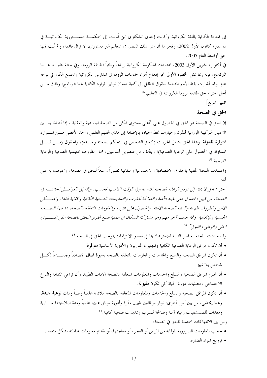إلى المعرفة الكافية باللغة الكرواتية. وكانت إحدى الشكاوى التي قُدمت إلى المحكمـــة الدســـتورية الكرواتيـــة في ديسمبر/ كانون الأول 2002، وفحواها أن مثل ذلك الفصل في التعليم غير دستوري، لا تزال قائمة، و لم يُبت فيها حبيّ أواسط العام 2005.

في أكتوبر/ تشرين الأول 2003، اعتمدت الحكومة الكرواتية برنامجاً وطنياً لطائفة الروما، وفي حالة تنفيــــذ هــــذا البرنامج، فإنه ربما يمثل الخطوة الأولى نحو إدماج أفراد جماعات الروما في المدارس الكرواتية والمحتمع الكرواتي بوحه عام. وقد أشارت لجنة الأمم المتحدة لحقوق الطفل إلى أهمية ضمان توفير الموارد الكافية لهذا البرنامج، وذلك مــــن أجل احترام حق طائفة الروما الكرواتية في التعليم.<sup>52</sup>

انتهى المربع]

الحق في الصحة

إن الحق في الصحة هو الحق في الحصول على "أعلى مستوى ممكن من الصحة الجسدية والعقلية"، إذا أخذنا بعـــين الاعتبار التركيبة الوراثية **للفرد** وخيارات نمط الحياة، بالإضافة إلى مدى الفهم العلمي والحد الأقصى مـــن المـــوارد المتوفرة للدولة. وهذا الحق يشمل الحريات (كحق الشخص في التحكم بصحته وجسده)، والحقوق (مـــن قبيــــل المساواة في الحصول على الرعاية الصحية)؛ ويتألف من عنصرين أساسيين، هما: الظروف المعيشية الصحية والرعاية الصحية. 53

واعتمدت اللجنة المعنية بالحقوق الاقتصادية والاجتماعية والثقافية تصوراً واسعاً للحق في الصحة، واعترفت به على أنه:

"حق شامل لا يمتد إلى توفير الرعاية الصحية المناسبة وفي الوقت المناسب فحسب، وإنما إلى العوامـــل الحاسمـــة في الصحة، من قبيل الحصول على المياه الآمنة والصالحة للشرب والتمديدات الصحية الكافية وكفاية الغذاء والمسكن الآمن والظروف المهنية والبيئية الصحية الآمنة، والحصول على التربية والمعلومات المتعلقة بالصحة، بما فيها الصـــحة الجنسية والإنجابية . وثمة حانب آحر مهم وهو مشاركة السكان في عملية صنع القرار المتعلق بالصحة على المستوى المحلبي والوطي<sub>خي</sub> والدولي" . <sup>54</sup>

وقد حددت اللحنة العناصر التالية للاسترشاد بما في تفسير الالتزامات بموحب الحق في الصحة:55

- أن تكون مرافق الرعاية الصحية الكافية والمهنيون المدربون والأدوية الأساسية **متوفرة**.
- أن تكون المرافق الصحية والسلع والخدمات والمعلومات المتعلقة بالصحة **يسيرة المنال** اقتصادياً وحســــدياً لكــــل شخص بلا تمييز .
- أن تحترم المرافق الصحية والسلع والخدمات والمعلومات المتعلقة بالصحة الآداب الطبية، وأن تراعى الثقافة والنو ع الاحتماعي ومتطلبات دورة الحياة كي تكون **مقبولة**.
- أن تكون المرافق الصحية والسلع والخدمات والمعلومات المتعلقة بالصحة ملائمة علمياً وطبياً وذات **نوعية جيدة**. وهذا يقتضي، من بين أمور أخرى، توفر موظفين طبيين مهَرة وأدوية موافق عليها علمياً ومدة صلاحيتها ســــارية ومعدات للمستشفيات ومياه آمنة وصالحة للشرب وتمديدات صحية كافية.<sup>56</sup>

ومن بين الانتهاكات المحتملة للحق في الصحة:

- حجب المعلومات الضرورية للوقاية من المرض أو العجز، أو معالجتها، أو تقديم معلومات خاطئة بشكل متعمد.
	- ترويج المواد الضارة.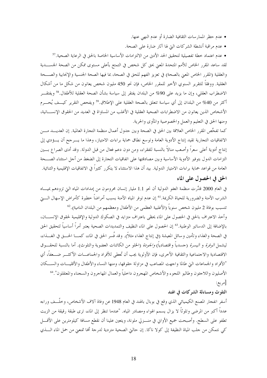- عدم حظر الممار سات الثقافية الضارة أو عدم النهي عنها.
- عدم مراقبة أنشطة الشركات التي لها آثار ضارة على الصحة.

• عدم اعتماد خطة تفصيلية لتحقيق الحد الأدنى من الالتزامات الأساسية الخاصة بالحق في الرعاية الصحية.<sup>57</sup> لقد ساعد المقرر الخاص للأمم المتحدة المعنى بحق كل شخص في التمتع بأعلى مستوى ممكن من الصحة الجســــدية والعقلية (المقرر الخاص المعني بالصحة) في تعزيز الفهم للحق في الصحة، بما فيها الصحة الجنسية والإنجابية والصـــحة العقلية. ووفقاً للتقرير السنوي الأخير للمقرر الخاص، فإن نحو 450 مليون شخص يعانون من شكل ما من أشكال الاضطراب العقلبي، وإن ما يزيد على 90% من البلدان يفتقر إلى سياسة بشأن الصحة العقلية للأطفال.<sup>58</sup> ويفتقـــر أكثر من 40% من البلدان إلى أي سياسة تتعلق بالصحة العقلية على الإطلاق.<sup>59</sup> ويفحص التقرير كيـــف يُحـــرم الأشخاص الذين يعانون من الاضطرابات الصحية العقلية في الأغلب من المساواة في العديد من الحقوق الإنســــانية، ومنها الحق في التعليم والعمل والخصوصية والمأوى والحرية.

كما تفحُّص المقرر الخاص العلاقة بين الحق في الصحة وبين حدول أعمال منظمة التجارة العالمية. إن العديــــد مــــن الاتفاقيات التجارية تقيد إنتاج الأدوية العامة وتوسع نطاق حماية براءات الامتياز، وهذا ما يـــرحح أن يـــؤدي إلى إنتاج أدوية أعلى سعراً وأصعب منالاً بالنسبة للفقراء، ومن دون دعم فعال من قبل الدولة. وقد أدى الصراع بسين التزامات الدول بتوفير الأدوية الأساسية وبين مصادقتها على اتفاقيات التجارة إلى الضغط من أجل استثناء الصـــحة العامة من قواعد حماية براءات الامتياز الدولية. بيد أن هذا الاستثناء لا يتكرر كثيراً في الاتفاقيات الإقليمية والثنائية. الحق في الحصول على الماء

في العام 2000 قدَّرت منظمة العفو الدولية أن نحو 1.1 مليار إنسان محرومون من إمدادات المياه التي تزودهم بميساه الشرب الآمنة والضرورية للحياة الكريمة.'<sup>61</sup> إن عدم توفر المياه الآمنة يسبب أمراضاً خطيرة كأمراض الإسهال الــــتي تتسبب بوفاة 2 مليون شخص سنوياً (الأغلبية العظمى من الأطفال ومعظمهم من البلدان النامية).<sup>62</sup>

وأحذ الاعتراف بالحق في الحصول على الماء يحظى باعتراف متزايد في الصكوك الدولية والإقليمية لحقوق الإنســـان، بالإضافة إلى الدساتير الوطنية.<sup>63</sup> إن الحصول على الماء النظيف والتمديدات الصحية يعتبر أمراً أساسياً لتحقيق الحق في الصحة والغذاء وتأمين وسائل المعيشة (في إنتاج الغذاء مثلاً). وقد فُسر الحق في الماء، كمـــا الحـــق في الغـــذاء، ليشمل *الوفرة* و *اليسرة* (حسدياً واقتصادياً) *والجودة* (الخلو من الكائنات العضوية والتلوث). أما بالنسبة للحقــوق الاقتصادية والاحتماعية والثقافية الأخرى، فإن الأولوية يجب أن تُعطى للأفراد والجماعـــات الأكثـــر ضـــعفاً، أي "الأفراد والجماعات التي طالما واجهت المصاعب في مزاولة حقوقها، ومنها النساء والأطفال والأقليـــات والســـكان الأصليون واللاجئون وطالبو اللجوء والأشخاص المهجرون داحلياً والعمال المهاجرون والسجناء والمعتقلون".<sup>64</sup> [مربع:

#### التلوث ومساءلة الشركات في الهند

أسفر انفجار المصنع الكيميائي الذي وقع في بوبال بالهند في العام 1948 عن وفاة آلاف الأشخاص، وخلَّـــف وراءه عدداً أكبر من المرضى وتلوثاً لا يزال يسمم الهواء ومصادر المياه. "عندما تنظر إلى الماء، ترى طبقة رقيقة من الزيت تطفو على السطح. وأصبحت جميع الأواني في منـــزلي ملونة، ويتعين علينا أن نقطع مسافة كيلومترين على الأقــــل كي نتمكن من حلب المياة النظيفة إلى كولا ناكا. إن حالتي الصحية متردية لدرجة ألها تمنعني من حمل الماء السذي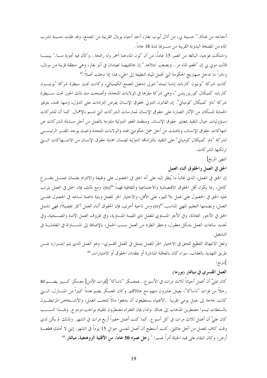أحتاجه من هناك." حسينة بي، من أتال أيوب نغار، أحد أحياء بوبال القريبة من المصنع، وقد ظلت حسينة تشرب الماء من المضخة اليدوية القريبة من منـــزلها لمدة 18 عاماً.

واشتكت فوجيا، البالغة من العمر 15 عاماً، من أن "لون الماء هنا أحمر وله رائحة…وكأن فيه أدوية مــــا." بينمــــا قالت موين بي إن "طعم الماء مر…ويصعب ابتلاعه." إن عائلتيهما تعيشان في أنو نغار، وهي منطقة قريبة من بوبال، ونادراً ما تدخل صهاريج الحكومة التي تحمل المياه النظيفة إلى الحي، هذا إذا دخلت أصلاً.<sup>65</sup>

كانت شركة "يونيون كاربايد إنديا ليمتد" تتولى تشغيل المصنع الكيميائي، وكانت تحت سيطرة شركة "يونيـــون كاربايد كميكال كوربوريشن "، وهي شركة مقرها في الولايات المتحدة، وأصبحت منذ ذلك الحين تحت ســـيطرة شركة "داو كميكال كومباني". إن القانون الدولي لحقوق الإنسان يفرض التزامات على الدول، ومنها الهند، بتوفير الحماية للسكان من الآثار الضارة على حقوق الإنسان لممارسات الشركات التي تتسم بالإهمال. كما أن للشركات مسؤوليات حيال التقيد بمعايير حقوق الإنسان. ومنظمة العفو الدولية ملتزمة بالعمل من أحل مساءلة الشركات عن انتهاكات حقوق الإنسان، وناضلت من أجل حمل حكومتي الهند والولايات المتحدة (حيث يوحد المقـــر الرئيســــي لشركة "داو كميكال كومباني" على التقيد بالتزاماتها الدولية لضمان حماية حقوق الإنسان من الانتـــهاكات الــــتي ترتكبها الشركات.

انتهى المربع]

الحق في العمل والحقوق أثناء العمل

إن الحق في العمل، الذي غالباً ما يُنظر إليه على أنه الحق في الحصول على وظيفة والالتزام بضمان عمــــل بتفــــرغ كامل، ربما يكون أقل الحقوق الاقتصادية والاحتماعية والثقافية فهماً.6%(iii) ومع ذلك، فإن الحق في العمل يترتب عليه الحق في الحصول على عمل بلا تمييز، على الأقل، والاختيار الحر للعمل وبنية داعمة تساعد في الحصول علــــى العمل، وبضمنها التعليم المهني المناسب.'ív(iv) ومن ناحية أخرى، فإن الحقوق أثناء العمل أكثر تفصيلاً؛ فهي تشمل الحق في الأجور العادلة، وفي الأجر المتساوي للعمل ذي القيمة المتساوية، وفي ظروف العمل الآمنة والصـــحية، وفي تحديد ساعات العمل بشكل معقول، وحظر الطرد من العمل بسبب الحمل، بالإضافة إلى المســـاواة في المعاملـــة في التشغيل.

ولعل الانتهاك الفظيع للحق في الاختيار الحر للعمل يتمثل في العمل القسري– وهو العمل الذي يتم ابتـــزازه عــــن طريق التهديد بالعقاب، سواء كان بالمعاقبة المباشرة أو بفقدان الحقوق أو الامتيازات.<sup>68</sup>

[مربع:

#### العمل القسرى في ميانمار (بورما)

كان عليَّ أن أعمل أحياناً ثلاث مرات في الأسبو ع...فمعسكر "ناساكا" [قوات الأمن] معسكر كـــبير يضــــم 80 رحلاً من قوات "ناساكا"، يعيش عشرون منهم مع عائلاتمم. وكان المعسكر يضم عدداً كبيراً من المنـــازل، الــــتي كانت بحاجة إلى عمل يومي تقريباً…الأغنياء يستطيعون أن يدفعوا مالاً لتحنب العمل، والأشـــخاص المرتبطـــون بالسلطات ليسوا مضطرين للذهاب إلى هناك. ولذا، فإن الفقراء مضطرون للقيام بواجب مزدوج. ولهـــذا الســـبب كان عليَّ أن أعمل ثلاث مرات في كل أسبو ع. كما كنت أعمل خفيراً أربع مرات في الشهر. ولذلك لم يكن لدي وقت كاف للعمل من أحل عائلتي. كنت أستطيع أن أعمل لنفسي حوالي 15 يوماً في الشهر. إنني لا أملك قطعـــة أرض، وكان البقاء على قيد الحياة أمراً عسيرا." **رجل عمره 50 عاماً، من الأقلية الروهنغية، ميانمار**.<sup>69</sup>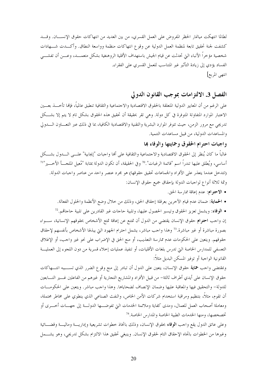لطالما انتهكت ميانمار الحظر المفروض على العمل القسري، من بين العديد من انتهاكات حقوق الإنســــان. وقــــد كشفت لجنة تحقيق تابعة لمنظمة العمل الدولية عن وقوع انتهاكات منظمة وواسعة النطاق. وأكـــدت شــــهادات شخصية مؤخراً الأنباء التي تحدثت عن قيام الجيش باستهداف الأقلية الروهنغية بشكل متعمـــد، وعـــن أن تفشـــي الفساد يؤدي إلى زيادة التأثير غير المتناسب للعمل القسري على الفقراء. انتهى المربع]

## الفصل 3. الالتزامات بموجب القانون الدولي

على الرغم من أن المعايير الدولية المتعلقة بالحقوق الاقتصادية والاحتماعية والثقافية تنطبق عالمياً، فإنها تأحـــذ بعـــين الاعتبار الموارد المتفاوتة المتوفرة في كل دولة. وهي تقر بحقيقة أن تحقيق هذه الحقوق بشكل تام لا يتم إلا بشكل تدريجي مع مرور الزمن، حيث تتوفر الموارد البشرية والتقنية والاقتصادية الكافية، بما في ذلك عبر التعـــاون الــــدولي والمساعدات الدولية، من قبيل مساعدات التنمية.

### واجبات احترام الحقوق وحمايتها والوفاء بما

غالباً ما كان يُنظر إلى الحقوق الاقتصادية والاحتماعية والثقافية على ألها واحبات "إيجابية" علـــى الــــدول بشـــكل أساسي، ويُطلق عليها تندراً اسم "قائمة الرغبات".70 وفي الحقيقة، أن تكون الدولة بمثابة "مُعيل الملحـــأ الأخــــير"<sup>71</sup> (تتدخل عندما يتعذر على الأفراد والجماعات تحقيق حقوقها) هو مجرد عنصر واحد من عناصر واجبات الدولة. وثمة ثلاثة أنواع لواجبات الدولة بإحقاق جميع حقوق الإنسان:

- الاحتوام: عدم إعاقة ممارسة الحق.
- الحماية: ضمان عدم قيام الآخرين بعرقلة إحقاق الحق، وذلك من حلال وضع الأنظمة والحلول الفعالة.
- الوفاء: ويشمل تعزيز الحقوق وتيسير الحصول عليها، وتلبية حاجات غير القادرين على تلبية حاجاقم. <sup>72</sup>

إن واجب احتوام حقوق الإنسان يقتضي من الدول أن تمتنع عن إعاقة تمتع الأشخاص بحقوقهم الإنسانية، ســواء بصورة مباشرة أو غير مباشرة.<sup>73</sup> وهذا واحب مباشر، يشمل احترام الجهود التي يبذلها الأشخاص بأنفسهم لإحقاق حقوقهم. ويتعين على الحكومات عدم ممارسة التعذيب، أو منع الحق في الإضراب على نحو غير واحب، أو الإغلاق التعسفي للمدارس الخاصة التي تدرس بلغات الأقليات، أو تنفيذ عمليات إحلاء قسرية من دون اللجوء إلى العمليـــة القانونية الواجبة أو توفير المسكن البديل مثلاً:

وبمقتضى واحب هماية حقوق الإنسان، يتعين على الدول أن تبادر إلى منع وقوع الضرر الذي تســـببه انتـــهاكات حقوق الإنسان على أيدي أطراف ثالثة– من قبيل الأفراد والمشاريع التجارية أو غيرهم من الفاعلين غــــير التــــابعين للدولة– والتحقيق فيها والمعاقبة عليها وضمان الإنصاف لضحاياها. وهذا واحب مباشر. ويتعين على الحكومـــات أن تقوم، مثلاً، بتنظيم ومراقبة استخدام شركات الأمن الخاص، والنفث الصناعي الذي ينطوي على مخاطر محتملة، ومعاملة أصحاب العمل للعمال، ومدى كفاية وملائمة الخدمات التي تفوضـــها الدولـــة إلى حهـــات أخــــرى أو تخصخصها، ومنها الخدمات الطبية الخاصة والمدارس الخاصة. <sup>74</sup>

وعلى عاتق الدول يقع واحب الوفاء بحقوق الإنسان، وذلك باتخاذ خطوات تشريعية وإداريـــة وماليـــة وقضـــائية وغيرها من الخطوات باتجاه الإحقاق التام لحقوق الإنسان. وينبغي تحقيق هذا الالتزام بشكل تدريجي، وهو يشـــمل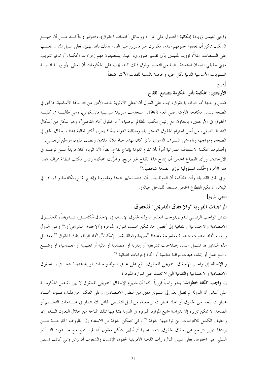واجبي *التيسير* (زيادة إمكانية الحصول على الموارد ووسائل اكتساب الحقوق)، *والتوفير* (التأكـــد مــــن أن جميــــع السكان يمكن أن يحققوا حقوقهم عندما يكونون غير قادرين على القيام بذلك بأنفسهم). فعلى سبيل المثال، يجـــب على السلطات، مثلاً، تزويد المتهمين بأي تفسير ضروري، بحيث يستطيعون فهم إجراءات المحكمة، أو توفير تدريب مهنى حقيقي لضمان استفادة الطلبة من التعليم. وفوق ذلك كله، يجب على الحكومات أن تعطي الأولويــــة لتلبيـــة المستويات الأساسية الدنيا لكل حق، وخاصة بالنسبة للفئات الأكثر ضعفاً.

[مربع:

## الأرجنتين: المحكمة تأمر الحكومة بتصنيع اللقاح

ضمن واجبها نحو الوفاء بالحقوق، يجب على الدول أن تعطي الأولوية للحد الأدبى من التزاماقما الأساسية. فالحق في الصحة يشمل مكافحة الأوبئة. ففي العام 1998، استخدمت مارييلا سيسيليا فايسكونتي، وهي طالبـــة في كليـــة الحقوق في الأرجنتين، بالتعاون مع رئيس مكتب المظالم الوطنية، "أمر المثول أمام القاضي"، وهو شكل من أشكال النشاط الصفي، من أجل احترام الحقوق الدستورية، ومطالبة الدولة باتخاذ إجراء أكثر فعالية بمدف إحقاق الحق في الصحة، ومواجهة وباء حمى النـــزف الدموي الذي كان يهدد حياة ثلاثة ملايين ونصف مليون مواطن أرحنتيني. وأصدرت محكمة الاستئناف الفدرالية أمراً بأن تقوم الدولة بإنتاج لقاح، نظراً لأن الوباء كان فريداً مــــن نوعــــه في الأرحنتين، ورأى القطاع الخاص أن إنتاج هذا اللقاح غير مربح. وخوَّلت المحكمة رئيس مكتب المظالم بمراقبة تنفيذ هذا الأمر، وحمَّلت المسؤولية لوزير الصحة شخصياً.<sup>75</sup>

وفي تلك القضية، رأت المحكمة أن الدولة يجب أن تتخذ تدابير محددة وملموسة (إنتاج لقاح) لمكافحة وباء نادر في البلاد، لم يكن القطاع الخاص مستعداً للتدخل حياله).

انتهى المربع]

الواجبات الفورية "والإحقاق التدريجي" للحقوق

يتمثل الواحب الرئيسي للدول بموحب المعايير الدولية لحقوق الإنسان في الإحقاق *الكامــــل،* تــــدر يجياً، للحقــــوق الاقتصادية والاحتماعية والثقافية إلى أقصى حد ممكن بحسب الموارد المتوفرة ("الإحقاق التدريجي").<sup>76</sup> وعلى الدول واحب اتخاذ خطوات متبصرة وملموسة وهادفة "سريعة وفعالة بقدر الإمكان" باتجاه الوفاء بتلك الحقوق.<sup>77</sup> ومثـــل هذه التدابير قد تشمل اعتماد إصلاحات تشريعية أو إدارية أو اقتصادية أو مالية أو تعليمية أو اجتماعية، أو وضـــع برامج عمل أو إنشاء هيئات مراقبة مناسبة أو اتخاذ إجراءات قضائية.<sup>78</sup>

وبالإضافة إلى واحب الإحقاق التدريجي للحقوق، تقع على عاتق الدولة واجبات فورية عديدة تتعلــق بـــالحقوق الاقتصادية والاحتماعية والثقافية التي لا تعتمد على الموارد المتوفرة.

إن **واجب "اتخاذ خطوات"** يعتبر واجباً فورياً. كما أن مفهوم الإحقاق التدريجي للحقوق لا يبرر تقاعس الحكومـــة على أساس أن الدولة لم تصل بعد إلى مستوى معين من التطور الاقتصادي. وعلى العكس من ذلك، فـــإن اتخـــاذ خطوات للحد من الحقوق أو اتخاذ خطوات تراجعية، من قبيل التقليص الهائل للاستثمار في خــــدمات التعلـــيم أو الصحة، لا يمكن تبريره إلا بدراسة جميع الموارد المتوفرة في الدولة (بما فيها تلك المتاحة من حلال التعاون السدول)، والطيف الكامل للالتزامات التي تواجهها الدولة. أ وكي تتمكن الدولة من الاستناد إلى الظروف الخارجــة عـــن إرادها لتبرير التراجع عن إحقاق الحقوق، يتعين عليها أن تُظهر بشكل معقول ألها لم تستطع منع حـــدوث التــــأثير السلبي على الحقوق. فعلى سبيل المثال، رأت اللجنة الأفريقية لحقوق الإنسان والشعوب أن زائير (التي كانت تسمى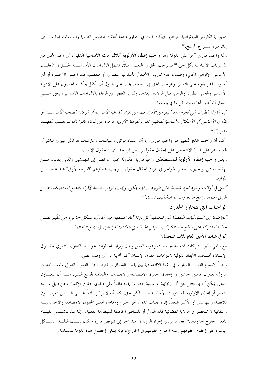جمهورية الكونغو الديمقراطية حينئذ) انتهكت الحق في التعليم عندما أغلقت المدارس الثانوية والجامعات لمدة ســــنتين إبان فترة النسزاع المسلح.80

وثمة واجب فوري آخر على الدولة وهو واجب إعطاء الأولوية "للالتزامات الأساسية الدنيا"، أي الحد الأدن من المستويات الأساسية لكل حق.<sup>81</sup> فبموجب الحق في التعليم، مثلاً، تشمل الالتزامات الأساســـية الحـــق في التعلـــيم الأساسي الإلزامي المحايي، وضمان عدم تدريس الأطفال بأسلوب عنصري أو متعصب ضد الجنس الآخـــر، أو أي أسلوب آخر يقوم على التمييز. وبموجب الحق في الصحة، يجب على الدول أن تكفل إمكانية الحصول على الأدوية الأساسية والعناية الطارئة والرعاية قبل الولادة وبعدها. ولتبرير العجز عن الوفاء بالالتزامات الأساسية، يتعين علـــي الدول أن تُظهر ألها فعلت كل ما في وسعها.

"إن الدولة الطرف التي يُحرم عدد كبير من الأفراد فيها من المواد الغذائية الأساسية أو الرعاية الصحية الأساســية أو المأوي الأساسي أو الأشكال الأساسية للتعليم، تعتبر، للوهلة الأولى، عاجزة عن الوفاء بالتزاماتها بموجسب العهسد  $82, \frac{\prime\prime}{\prime}$  ,  $\frac{\prime}{\prime}$ 

كما أن **واجب عدم التمييز** هو واحب فوري. إذ أن اعتماد قوانين وسياسات وممارسات لها تأثير تمييزي مباشر أو غير مباشر على قدرة الأشخاص على إحقاق حقوقهم يصل إلى حد انتهاك حقوق الإنسان. ويعتبر **واجب إعطاء الأولوية للمستضعفين** واحباً فورياً. فالدولة يجب أن تصل إلى المهمشين والذين يعانون مــــن الإقصاء، ممن يواجهون أضخم الحواجز في طريق إحقاق حقوقهم، ويجب إعطاؤهم "الفرصة الأولى" عند تخصــيص المو ار د .

" حتى في أوقات وجود قيود شديدة على الموارد... فإنه يمكن، ويجب، توفير الحماية لأفراد المحتمع المستضعفين عسن طريق اعتماد برامج هادفة ومتدنية التكاليف نسبياً ." <sup>84</sup>

### الواجبات التي تتجاوز الحدود

" بالإضافة إلى المسؤوليات المنفصلة التي تتحملها كل دولة تجاه مجتمعها، فإن الدول، بشكل جماعبي، هي القيِّم علــي حياتنا المشتركة على سطح هذا الكوكب- وهي الحياة التي يتقاسمها المواطنون في جميع البلدان."

## كوفي عنان، الأمين العام للأمم المتحدة.<sup>85</sup>

مع تنامي تأثير الشركات المتعدية الجنسيات وعولمة العمل والمال وتزايد الخطوات نحو ربط التعاون التنموي بحقـــوق الإنسان، أصبحت الأبعاد الدولية لالتزامات حقوق الإنسان أكثر أهمية من أي وقت مضي.

ونظراً لانعدام التوازن الصارخ في القوة الاقتصادية بين بلدان الشمال والجنوب، فإن التعاون الدولي والمســـاعدات الدولية يعتبران عاملين حاسمين في إحقاق الحقوق الاقتصادية والاحتماعية والثقافية لجميع البشر. بيـــد أن التعــــاون الدولي يمكن أن يتمخض عن آثار إيجابية أو سلبية. فهو لا يقوم دائماً على مبادئ حقوق الإنسان، من قبيل عــــدم التمييز أو إعطاء الأولوية للمستويات الأساسية الدنيا لكل حق. كما أنه لا يركز دائماً علـــي الــــذين يتعرضــــون للإقصاء والتهميش أو الأكثر ضعفاً. إن واجبات الدول نحو احترام وحماية وتحقيق الحقوق الاقتصادية والاجتماعيـــة والثقافية لا تنحصر في الولاية القضائية لهذه الدول أو للمناطق الخاضعة لسيطرقما الفعلية، وإنما تمتد لتشـــمل القيـــام بأفعال حارج حدودها.% فعندما يؤدي إجراء الدولة في بلد آخر إلى تقويض قدرة سكان ذلـــك البلـــد، بشـــكل مباشر، على إحقاق حقوقهم (عدم احترام حقوقهم في الخارج)، فإنه ينبغي إخضاع هذه الدولة للمساءلة.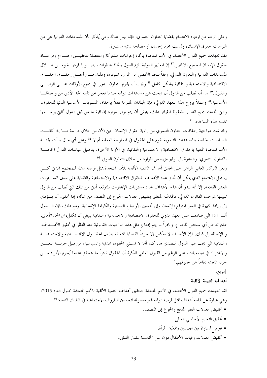وعلى الرغم من ازدياد الاهتمام بقضايا التعاون التنموي، فإنه ليس هناك وعي يُذكر بأن المساعدات الدولية هي من التزامات حقوق الإنسان، وليست مجرد إحسان أو مصلحة ذاتية مستنيرة.

فقد تعهدت جميع الدول الأعضاء في الأمم المتحدة باتخاذ إجراءات مشتركة ومنفصلة لتحقيـــق احتـــرام ومراعـــاة حقوق الإنسان للجميع بلا تمييز .<sup>87</sup> إن المعايير الدولية تلزم الدول باتخاذ خطوات، بصــورة فرديـــة ومـــن خـــلال المساعدات الدولية والتعاون الدولي، وفقاً للحد الأقصى من الموارد المتوفرة، وذلك مـــن أحـــل إحقـــاق الحقـــوق الاقتصادية والاحتماعية والثقافية بشكل كامل.<sup>88</sup> ويجب أن يقوم التعاون الدولي في جميع الأوقات علـــي الرضــــي والقبول.<sup>89</sup> بيد أنه يُطلب من الدول أن تبحث عن مساعدات دولية حيثما تعجز عن تلبية الحد الأدني من واجبالهــــا الأساسية.<sup>90</sup> وعملاً بروح هذا التعهد الدولي، فإن البلدان الملتزمة فعلاً بإحقاق المستويات الأساسية الدنيا للحقوق، والتي اتخذت جميع التدابير المعقولة للقيام بذلك، ينبغي أن يتم توفير موارد إضافية لها من قبل الدول "التي بوســـعها تقديم هذه المساعدة. "ا

وقد تمت مواجهة إخفاقات التعاون التنموي من زاوية حقوق الإنسان حتى الآن من خلال دراسة مــا إذا كانـــت السياسات الخاصة بالمساعدات التنموية تقوم على الحقوق في الممارسة العملية أم لا.<sup>92</sup> وعلى أي حال بدأت لجنـــة الأمم المتحدة المعنية بالحقوق الاقتصادية والاجتماعية والثقافية، في الآونة الأحيرة، بتحليل سياسات الدول الخاصــة بالتعاون التنموي، والدعوة إلى توفير مزيد من الموارد من خلال التعاون الدولي.<sup>93</sup>

ولعل التركيز العالمي الراهن على تحقيق أهداف التنمية الألفية للأمم المتحدة يمثل فرصة هائلة للمحتمع المدني كسي يستغل الاهتمام الذي يمكن أن تخلق هذه الأهداف للحقوق الاقتصادية والاجتماعية والثقافية على مدى الســـنوات العشر القادمة. إلا أنه يبدو أن هذه الأهداف تحدد مستويات الإنجازات المتوقعة أدبى من تلك التي يُطلب من الدول تلبيتها بموحب القانون الدولي. فالهدف المتعلق بتقليص معدلات الجوع إلى النصف من شأنه، إذا تحقق، أن يــــؤدي إلى زيادة كبيرة في العمر المتوقع للإنسان وإلى تحسين الأوضاع الصحية والكرامة الإنسانية. ومع ذلك، فإن الــــدول ألــــ 151 التي صادقت على العهد الدولي للحقوق الاقتصادية والاجتماعية والثقافية ينبغي أن تكفل، في *الحد الأدنى*، عدم تعرض أي شخص للجوع. ونادراً ما يتم إدماج مثل هذه الواجبات القانونية عند النظر في تحقيق الأهــــداف. وبالإضافة إلى ذلك، فإن الأهداف لا تعكس إلا حزئياً القضايا المتعلقة بطيف الحقـــوق الاقتصـــادية والاحتماعيـــة والثقافية التي يجب على الدول التصدي لها. كما ألها لا تستثني الحقوق المدنية والسياسية، من قبيل حريسة التعسبير والاشتراك في الجمعيات، على الرغم من القبول العالمي لفكرة أن الحقوق نادراً ما تتحقق عندما يُحرم الأفراد مــــن حرية التعبئة دفاعاً عن حقوقهم."

[مربع:

#### أهداف التنمية الألفية

لقد تعهدت جميع الدول الأعضاء في الأمم المتحدة بتحقيق أهداف التنمية الألفية للأمم المتحدة بحلول العام 2015، وهي عبارة عن ثمانية أهداف تمثل فرصة دولية غير مسبوقة لتحسين الظروف الاحتماعية في البلدان النامية:<sup>94</sup>

- تخفيض معدلات الفقر المدقع والجوع إلى النصف.
	- تحقيق التعليم الأساسي العالمي.
	- تعزيز المساواة بين الجنسين وتمكين المرأة.
- تخفيض معدلات وفيات الأطفال دون سن الخامسة بمقدار الثلثين.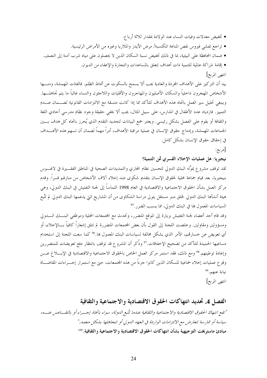- تخفيض معدلات وفيات النساء عند الولادة بمقدار ثلاثة أرباع.
- تراجع تفشي فيروس نقص المناعة المكتسبة/ مرض الأيدز والملاريا وغيره من الأمراض الرئيسية.
- ضمان المحافظة على البيئية، بما في ذلك تخفيض نسبة السكان الذين لا يحصلون على مياه شرب آمنة إلى النصف.
	- إقامة شراكة عالمية للتنمية ذات أهداف تتعلق بالمساعدات والتجارة والإعفاء من الديون.
		- انتهى المربع|

بيد أن التركيز على الأهداف المحردة والعادية يجب ألا يسمح بالسكوت عن أنماط الظلم. فالفئات المهمشة، ومنسها الأشخاص المهجرون داحلياً والسكان الأصليون والمهاجرون والأقليات واللاجئون والنساء غالباً ما يتم تجاهلـــها. وينبغي تحليل سير العمل باتجاه هذه الأهداف للتأكد مما إذا كانت متسقة مع الالتزامات القانونية لضــــمان عــــدم التمييز. فازدياد عدد الأطفال في المدارس، على سبيل المثال، يجب ألا يخفي حقيقة وحود نظام مدرسي أحادي اللغة والثقافة أو يقوم على الفصل بشكل رئيسي. ويعتبر جمع البيانات لتحديد التقدم الذي يُحرز باتجاه كل هدف بسين الجماعات المهمشة، وإدماج حقوق الإنسان في عملية مراقبة الأهداف، أمراً مهماً لضمان أن تسهم هذه الأهــــداف في إحقاق حقوق الإنسان بشكل كامل.

[مربع:

نيجيريا: هل عمليات الإخلاء القسري ثمن التنمية؟

لقد توقف مشروع يموِّله البنك الدولي لتحسين نظام المحاري والتمديدات الصحية في المناطق الفقــــيرة في لاغــــوس بنيجيريا، بعد قيام جماعة محلية لحقوق الإنسان بتقديم شكوى ضد إخلاء آلاف الأشخاص من منازلهم قسراً. وقدم مركز العمل بشأن الحقوق الاحتماعية والاقتصادية في العام 1998 التماساً إلى لجنة التفتيش في البنك الدولى، وهي هيئة أنشأها البنك الدولي لحلق منبر مستقل يتولى دراسة الشكاوى من أن المشاريع التي يدعمها البنك الدولي لم تتَّبع السياسات المعمول ها في البنك الدولي، مما يسبب الضرر.<sup>95</sup>

وقد قام أحد أعضاء لجنة التفتيش بزيارة إلى الموقع المتضرر، وتحدث مع المحتمعات المحلية وموظفي البنـــك الــــدولي ومسؤولين ومقاولين. وخلصت اللحنة إلى القول بأن بعض المحتمعات المتضررة لم تتلق إشعاراً كافياً بـــالإخلاء، أو أي تعويض عن خسارتهم، الأمر الذي يشكل مخالفة لسياسات البنك المعمول بما.<sup>96</sup> كما سعت اللجنة إلى استخدام مساعيها الحميدة للتأكد من تصحيح الإخفاقات.<sup>97</sup> وذُكر أن المشروع قد توقف بانتظار دفع تعويضات للمتضررين وإعادة توطينهم.<sup>98</sup> ومع ذلك، فقد استمر مركز العمل الخاص بالحقوق الاحتماعية والاقتصادية في الإبسلاغ عسن وقوع عمليات إخلاء جماعية للسكان الذين كانوا جزءاً من هذه المجتمعات، حتى مع استمرار إحــــراءات المقاضــــاة نيابة عنهم.99 انتهى المربع]

الفصل 4. تحديد انتهاكات الحقوق الاقتصادية والاجتماعية والثقافية

"تقع انتهاك الحقوق الاقتصادية والا حتماعية والثقافية عندما تتَّبع الدولة، سواء باتخاذ إحسراء أو بالتقساعس عنسه، سياسة أو ممارسة تتعارض مع الالتزامات الواردة في العهد اللهولي أو تتجاهلها بشكل متعمد." مبادئ ماستريخت التو جيهية بشأن انتهاكات الحقوق الاقتصادية والاجتماعية والثقافية.™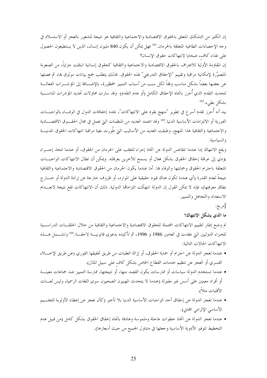إن الكثير من التشكك المتعلق بالحقوق الاقتصادية والاحتماعية والثقافية هو نتيجة للشعور بالعجز أو الاستسلام في وجه الإحصاءات الطاغية المتعلقة بالحرمان.<sup>101</sup> فهل يمكن أن يكون 840 مليون إنسان، الذين لا يستطيعون الحصول على غذاء كاف، ضحايا لانتهاكات حقوق الإنسان؟

إن المقاومة الأولية للاعتراف بالحقوق الاقتصادية والاحتماعية والثقافية كحقوق إنسانية انبثقت جزئياً، من الصعوبة المتصوَّرة لإمكانية مراقبة وتقييم "الإحقاق التدريجي" لهذه الحقوق. فذلك يتطلب جمع بيانات موثوق بما، ثم فصلها عن بعضها بعضاً بشكل مناسب وفقاً لكل سبب من أسباب التمييز المحظورة، بالإضـــافة إلى المؤشـــرات الفعالــــة لتحديد التقدم الذي أُحرز باتجاه الإحقاق الكامل (أو عدم التقدم). وقد سارت محاولات تحديد المؤشرات المناســـبة بشكل بطيء. 102

بيد أنه أحرز تقدم أسرع في تطوير "منهج يقوم على الانتهاكات"، يحدد إخفاقات الدول في الوفـــاء بالواجبـــات الفورية أو الالتزامات الأساسية الدنيا.<sup>103</sup> وقد اعتمد العديد من المنظمات التي تعمل في مجال الحقــــوق الاقتصــــادية والاحتماعية والثقافية هذا المنهج، وطبقت العديد من الأساليب التي طُورت بغية مراقبة انتهاكات الحقوق المدنيـــة والسياسية.

ويقع الانتهاك إما عندما تتقاعس الدولة عن اتخاذ إجراء للتغلب على الحرمان من الحقوق، أو عندما تتخذ إحسراء يؤدي إلى عرقلة إحقاق الحقوق بشكل فعال أو يسمح للآخرين بعرقلته. ويمكن أن تطال الانتهاكات الواجبـــات المتعلقة باحترام الحقوق وحمايتها والوفاء بما. أما عندما يكون الحرمان من الحقوق الاقتصادية والاجتماعية والثقافية نتيجةً لعدم القدرة (أي عندما تكون هناك قيود حقيقية على الموارد، أو ظروف حارجة عن إرادة الدولة أو حــــار ج نطاق معرفتها)، فإنه لا يمكن القول إن الدولة انتهكت التزامالها الدولية. ذلك أن الانتهاكات تقع نتيجة لانعـــدام الاستعداد والتجاهل والتمييز .

[مربع:

ما الذي يشكل الانتهاك؟

تم وضع إطار لتقييم الانتهاكات المحتملة للحقوق الاقتصادية والاجتماعية والثقافية من خلال الحلقـــات الدراســــية للخبراء الدوليين التي عقدت في العامين 1986 و 1996، ثم تأكيده بدعوى قانونيــــة لاحقــــة.<sup>104</sup> وتشــــمل هــــذه الانتهاكات الحالات التالية:

- عندما تعجز الدولة عن احترام أو حماية الحقوق، أو إزالة العقبات من طريق تحقيقها الفوري (عن طريق الإخــــلاء القسري أو العجز عن تنظيم خدمات القطاع الخاص بشكل كاف على سبيل المثال).
- عندما تستخدم الدولة سياسات أو ممارسات يكون القصد منها، أو نتيجتها، ممارسة التمييز ضد جماعات معينـــة أو أفراد معينين على أسس غير مقبولة (عندما لا يتحدث المهنيون الصحيون سوى اللغات الرسمية، وليس لغـــات الأقليات مثلا).
- عندما تعجز الدولة عن إحقاق أحد الواجبات الأساسية الدنيا بلا تأخير (كأن تعجز عن إعطاء الأولوية للتعلسيم الأساسي الإلزامي المحاني).
- عندما تعجز الدولة عن اتخاذ حطوات عاجلة وملموسة وهادفة باتجاه إحقاق الحقوق بشكل كامل (من قبيل عدم التخطيط لتوفير الأدوية الأساسية وجعلها في متناول الجميع من حيث أسعارها).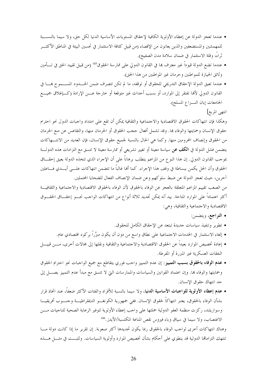- عندما تعجز الدولة عن إعطاء الأولوية الكافية لإحقاق المستويات الأساسية الدنيا لكل حق، ولا سيما بالنســـبة للمهمشين والمستضعفين والذين يعانون من الإقصاء (من قبيل كثافة الاستثمار في تحسين البيئة في المناطق الأكثـــر ثراءُ، وقلة الاستثمار في ضمان سلامة مدن الصفيح).
- عندما تضع الدولة قيوداً غير معترف بما في القانون الدولى على ممارسة الحقوق<sup>105</sup> (من قبيل تقييد الحق في تــــأمين وثائق الحيازة للمواطنين وحرمان غير المواطنين من هذا الحق).
- عندما تعيق الدولة الإحقاق التدريجي للحقوق أو توقفه، ما لم تكن تتصرف ضمن الحـــدود المســـموح همـــا في القانون الدولي لألها تفتقر إلى الموارد، أو بسبب أحداث غير متوقعة أو خارجة عـــن الإرادة (كـــإغلاق جميــــع الجامعات إبان النسزاع المسلح).

انتهى المربع]

وهكذا فإن انتهاكات الحقوق الاقتصادية والاحتماعية والثقافية يمكن أن تقع على امتداد واجبات الدول نحو احترام حقوق الإنسان وحمايتها والوفاء بما. وقد تشمل أفعال حجب الحقوق أو الحرمان منها، والتقاعس عن منع الحرمان من الحقوق وإنصاف المحرومين منها. وكما هي الحال بالنسبة لجميع حقوق الإنسان، فإن العديد من الانتـــهاكات يتضمن فشل الدولة في ا**لكف عن** سياسة معينة أو تغيير تشريعي أو ممارسة معينة لا تتسق مع التزامات هذه الدولـــة بموجب القانون الدولي. إن هذا النوع من المزاعم يتطلب برهاناً على أن الإجراء الذي تتخذه الدولة يعيق إحقـــاق الحقوق وأن الحل يكمن ببساطة في وقف هذا الإجراء. كما ألها غالباً ما تتضمن انتهاكات علـــى أيــــدي فــــاعلين آخرين، حيث تعجز الدولة عن ضبط سلوكهم وعن ضمان الإنصاف الفعال للضحايا المحتملين.

من الصعب تقييم المزاعم المتعلقة بالعجز عن الوفاء بالحقوق لأن الوفاء بالحقوق الاقتصادية والاحتماعية والثقافيـــة أكثر اعتماداً على الموارد المتاحة. بيد أنه يمكن تحديد ثلاثة أنواع من انتهاكات الواحب نحــــو إحقــــاق الحقــــوق الاقتصادية والاحتماعية والثقافية، وهي:

- التراجع، ويتضمن:
- تطوير وتنفيذ سياسات حديدة تبتعد عن الإحقاق الكامل للحقوق.
- إلغاء الاستثمار في الخدمات الاجتماعية على نطاق واسع من دون أن يكون مبرَّراً بركود اقتصادي عام.
- إعادة تخصيص الموارد بعيداً عن الحقوق الاقتصادية والاحتماعية والثقافية ونقلها إلى مجالات أخرى، مـــن قبيــــل النفقات العسكرية غير المبررة أو المفرطة.
- عدم الوفاء بالحقوق بسبب التمييز: إن عدم التمييز واحب فوري يتقاطع مع جميع الواحبات نحو احترام الحقوق وحمايتها والوفاء بما. وإن اعتماد القوانين والسياسات والممارسات التي لا تتسق مع مبدأ عدم التمييز يصــــل إلى حد انتهاك حقوق الإنسان.
- عدم إعطاء الأولوية للواجبات الأساسية الدنيا، ولا سيما بالنسبة للأفراد والفئات الأكثر ضعفاً، عند اتخاذ قرار بشأن الوفاء بالحقوق، يعتبر انتهاكاً لحقوق الإنسان. ففي جمهورية الكونغـــو الديمقراطيـــة وحنــــوب أفريقيــــا وسوازيلند، ركزت منظمة العفو الدولية حملتها على واحب إعطاء الأولوية لتوفير الرعاية الصحية للناجيات مـــن الاغتصاب، ولا سيما في سياق وباء فيروس نقص المناعة المكتسبة/الأيدز .<sup>106</sup>

وهناك انتهاكات أخرى لواجب الوفاء بالحقوق ربما يكون تحديدها أكثر صعوبة. إن تقرير ما إذا كانت دولة مــــا تنتهك التزاماقما الدولية قد ينطوي على أحكام بشأن تخصيص الموارد وأولوية السياسات. وللبـــت في مثــــل هــــذه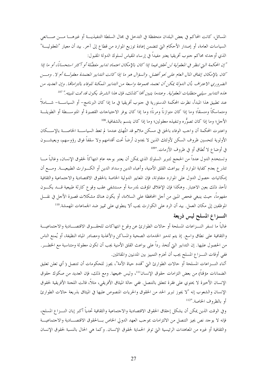27

المسائل، كانت المحاكم في بعض البلدان متحفظة في التدخل في مجال السلطة التنفيذيــــة أو غيرهــــا مــــن صــــانعي السياسات العامة، أو إصدار الأحكام التي تتضمن إعادة توزيع الموارد من قطاع إلى آخر. بيد أن معيار "المعقوليـــة" الذي أوجدته محاكم حنوب أفريقيا يعتبر مفيداً في إرساء المقياس لسلوك الدولة المقبول:

"إن المحكمة التي تنظر في المعقولية لن تحقق فيما إذا كان بالإمكان اعتماد تدابير مفضَّلة أو أكثر استحسانًا، أو ما إذا كان بالإمكان إنفاق المال العام على نحوٍ أفضل. والسؤال هو ما إذا كانت التدابير المعتمدة معقولة أم لا . ومسن الضروري الاعتراف بأن الدولة يمكن أن تعتمد مجموعة واسعة من التدابير الممكنة للوفاء بالتزاماتها. وإن العديد من هذه التدابير سيلبي متطلبات المعقولية . وعندما يتبين ألها كذلك، فإن هذا الشرط يكون قد تمت تلبيته ." <sup>107</sup>

عند تطبيق هذا المبدأ، نظرت المحكمة الدستورية في حنوب أفريقيا في ما إذا كان البرنامج– أو السياســــة– شـــــاملاً ومتماسكاً ومنسقاً؛ وما إذا كان متوازناً ومرناً؛ وما إذا كان يوفر الاحتياحات القصيرة أو المتوســـطة أو الطويلـــة الأحل؛ وما إذا كان تصوُّره وتنفيذه معقولين؛ وما إذا كان يتسم بالشفافية. <sup>108</sup>

واعتبرت المحكمة أن واحب الوفاء بالحق في مسكن ملائم قد انتُهك عندما لم تعط السياســـة الخاصــــة بالإســــكان الأولوية لتحسين ظروف السكن لأولئك الذين لا يجدون أرضاً تحت أقدامهم ولا سقفاً فوق رؤوسهم، ويعيشـــون في أوضاع لا تُطاق أو في ظروف الأزمات."109

وتستخدم الدول عدداً من الحجج لتبرير السلوك الذي يمكن أن يعتبر بوجه عام انتهاكاً لحقوق الإنسان، وغالباً مــــا تتذرع بعدم كفاية الموارد أو ببواعث القلق الأمنية، وأعباء الدين وسداد الدين أو الكـــوارث الطبيعيـــة. ومـــع أن إمكانيات حصول الدول على الموارد متفاوتة، فإن المعايير الدولية الخاصة بالحقوق الاقتصادية والاحتماعية والثقافية تأخذ ذلك بعين الاعتبار. وهكذا فإن الإغلاق المؤقت لمدرسة أو مستشفى عقب وقوع كارثة طبيعية قـــد يكـــون مفهوماً، حيث ينبغي فحص المبني من أجل المحافظة على السلامة، أو يكون هناك مشكلات قصيرة الأجل في نقــــل الموظفين إلى مكان العمل. بيد أن الرد على الكوارث يجب ألا ينطوي على تمييز ضد الجماعات المهمشة.<sup>110</sup>

# النسزاع المسلح ليس ذريعة

غالباً ما تسفر النــزاعات المسلحة أو حالات الطوارئ عن وقوع انتهاكات للحقـــوق الاقتصـــادية والاجتماعيـــة والثقافية على نطاق واسع. إذ يتم تدمير الخدمات الصحية والمساكن والأغذية ومصادر المياه النظيفة، أو يُمنع الناس من الحصول عليها. إن التدابير التي تُتخذ رداً على بواعث القلق الأمنية يجب أن تكون معقولة ومتناسبة مع الخطـــر. ففي أوقات النـــزاع المسلح يجب أن تحترم التمييز بين المدنيين والمقاتلين.

أثناء النـــزاعات المسلحة أو حالات الطوارئ التي "تمدد حياة الأمة"، يجوز للحكومات أن تتنصل ( أي تعلن تعليق الضمانات مؤقتاً) من بعض التزامات حقوق الإنسان<sup>111</sup>، وليس جميعها. ومع ذلك، فإن العديد من صكوك حقوق الإنسان الأخيرة لا يحتوي على فقرة تتعلق بالتنصل. ففي حالة الميثاق الأفريقي، مثلاً، قالت اللجنة الأفريقية لحقوق الإنسان والشعوب إنه "لا يجوز تبرير الحد من الحقوق والحريات المنصوص عليها في الميثاق بذريعة حالات الطوارئ أو بالظروف الخاصة. "112

وفي الوقت الذين يمكن أن يشكل إحقاق الحقوق الاقتصادية والاحتماعية والثقافية تحدياً أكبر إبان النـــزاع المسلح، فإنه لا يوحد نص يجيز التنصل من الالتزامات بموحب العهد الدولي الخاص بـــالحقوق الاقتصــــادية والاحتماعيــــة والثقافية أو غيره من المعاهدات الرئيسية التي توفر الحماية لحقوق الإنسان. وكما هي الحال بالنسبة لحقوق الإنسان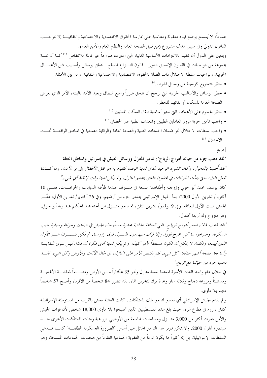عموماً، لا يُسمح بوضع قيود معقولة ومتناسبة على ممارسة الحقوق الاقتصادية والاحتماعية والثقافيــــة إلا بموحـــب القانون الدولي وفي سبيل هدف مشروع (من قبيل الصحة العامة والنظام العام والأمن العام). ويتعين على الدول أن تتقيد بالالتزامات الأساسية الدنيا، التي اعتبرت صراحةُ غير قابلة للانتقاص <sup>113</sup>كما أن ثمــــة مجموعة من الواحبات في القانون الإنساني الدولي– قانون النـــزاع المسلح– تتعلق بوسائل وأساليب شن الأعمـــال الحربية، وبواجبات سلطة الاحتلال ذات الصلة بالحقوق الاقتصادية والاحتماعية والثقافية. ومن بين الأمثلة:

- حظر التجويع كوسيلة من وسائل الحرب.<sup>114</sup>
- حظر الوسائل والأساليب الحربية التي يرجح أن تلحق ضرراً واسع النطاق وبعيد الأمد بالبيئة، الأمر الذي يعرض الصحة العامة للسكان أو بقائهم للخطر.
	- حظر الهجوم على الأهداف التي تعتبر أساسية لبقاء السكان المدنيين.<sup>115</sup>
	- واحب تأمين حرية مرور العاملين الطبيين والمعدات الطبية عبر الحصار .<sup>116</sup>
- واجب سلطات الاحتلال نحو ضمان الخدمات الطبية والصحة العامة والوقاية الصحية في المناطق الواقعـــة تحـــت  $^{117}$ .  $\sqrt{\sqrt{2}}$

[مربع:

"لقد ذهب جزء من حياتنا أدراج الرياح": تدمير المنازل ووسائل العيش في إسرائيل والمناطق المحتلة "لقد أصبنا باللهول، وكان الشيء الوحيد اللَّتي لدينا الوقت للقيام به هو نقل الأطفال إلى بر الأمان. وما كسدنا نفعل ذلك، حتى بدأت الجرافات في غضون دقائق بتدمير المنازل، و لم يكن لدينا وقت لإنقاذ أي شيء."

كان يوسف محمد أبو حولي وزوجته وأطفالهما التسعة في منـــزلهم عندما طوَّقته الدبابات والجرافـــات. ففـــي 10 أكتوبر/ تشرين الأول 2000، بدأ الجيش الإسرائيلي بتدمير جزء من أرضهم. وفي 26 أكتوبر/ تشرين الأول، دمَّـــر الجيش البيت الأول للعائلة. وفي 9 نوفمبر/ تشرين الثاني، تم تدمير منـــزل ابن أخته عبد الحكيم عبد ربه أبو حولي، وهو متزوج وله أربعة أطفال.

"لقد ذهب شقاء العمر أدراج الرياح. ففي الساعة الحادية عشرة مساءً جاء الجيش في دبابتين وجرافة وسيارة جيب عسكرية . وصر حوا بنا كبي نخرج فوراً، وإلا فإنهم سيهامون المنسزل فوق رؤوسنا . لم يكن منــــزلنا هــو الأول اللّذي يُهدم، ولكنك لا يمكن أن تكون مستعلًّا لأمر كهذا. ولم يكن لدينا أدنى فكرة أن ذلك ليس سوى البدايــة وأننا بعد بضعة أشهر سنفقد كل شيء. فلم يقتصر الأمر على المنازل، بل طال الأثاث والأرض وكل شيء. لقسه فصب جزء من حياتنا مع الريح."

في حلال عام واحد فقدت الأسرة الممتدة تسعة منازل ونحو 35 هكتاراً مـــن الأرض ومصـــنعاً لمعالجـــة الأغذيـــة ومستنبتاً ومزرعة دحاج وثلاثة آبار وعدة برك لتخرين الماء. لقد تضرر 84 شخصاً من الأقرباء وأصبح 57 شخصاً منهم بلا مأوى.

و لم يقدم الجيش الإسرائيلي أي تفسير لتدمير تلك الممتلكات. كانت العائلة تعيش بالقرب من المستوطنة الإسرائيلية كفار داروم في قطاع غزة، حيث بلغ عدد الفلسطينيين الذين أصبحوا بلا مأوى 18,000 شخص لأن قوات الجيش والأمن دمرت أكثر من 3,000 منــزل ومساحات شاسعة من الأراضي الزراعية ومئات الممتلكات الأخرى منـــذ سبتمبر/ أيلول 2000. ولا يمكن تبرير هذا التدمير الهائل على أساس "الضرورة العسكرية المطلقــة" كمــــا تــــدعى السلطات الإسرائيلية. بل إنه كثيراً ما يكون نوعاً من العقوبة الجماعية انتقاماً من هجمات الجماعات المسلحة، وهو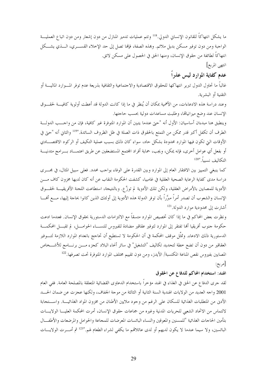ما يشكل انتهاكاً للقانون الإنساني الدولي.<sup>118</sup> وتتم عمليات تدمير المنازل من دون إشعار ومن دون اتباع العمليـــة الواجبة ومن دون توفير مسكن بديل ملائم. وبمذه الصفة، فإنها تصل إلى حد الإخلاء القســــري، الــــذي يشــــكل انتهاكاً لطائفة من حقوق الإنسان، ومنها الحق في الحصول على مسكن لائق.

انتهى المربع]

## عدم كفاية الموارد ليس عذراً

غالباً ما تحاول الدول تبرير انتهاكها للحقوق الاقتصادية والاحتماعية والثقافية بذريعة عدم توفر المسوارد الماليسة أو التقنية أو البشرية.

وعند دراسة هذه الادعاءات، من الأهمية بمكان أن يُنظر في ما إذا كانت الدولة قد أعطت أولوية كافيـــة لحقـــوق الإنسان عند وضع ميزانياتها، وطلبت مساعدات دولية بحسب حاجتها.

وينطبق هنا مبدءان أساسيان: الأول أنه "حتى عندما يتبين أن الموارد المتوفرة غير كافية، فإن من واحـــب الدولـــة الطرف أن تكفل أكبر قدر ممكن من التمتع بالحقوق ذات الصلة في ظل الظروف السائدة."ا $^{119}$  والثاني أنه "حتى في الأوقات التي تكون فيها الموارد محدودة بشكل حاد، سواء كان ذلك بسبب عملية التكيف أو الركود الاقتصـــادي أو بفعل أي عوامل أخرى، فإنه يمكن، ويجب، حماية أفراد المحتمع المستضعفين عن طريق اعتمـــاد بـــرامج متدنيــــة التكاليف نسبياً. "120

كما ينبغي التمييز بين الافتقار العام إلى الموارد وبين القدرة على الوفاء بواحب محدد. فعلى سبيل المثال، في مجـــري دراسة مدى كفاية الرعاية الصحية العقلية في غامبيا، كشفت الحكومة النقاب عن أنه كان لديها مخزون كاف مــــن الأدوية للمصابين بالأمراض العقلية، ولكن تلك الأدوية لم توزَّع. وبالنتيجة، استطاعت اللجنة الأفريقيـــة لحقـــوق الإنسان والشعوب أن تصدر أمراً مبرَّراً بأن توفر الدولة هذه الأدوية إلى أولئك الذين كانوا بحاجة إليها، مـــع أفمـــا أشارت إلى محدودية موارد الدولة.<sup>121</sup>

ونظرت بعض المحاكم في ما إذا كان تخصيص الموارد متسقاً مع الالتزامات الدستورية بحقوق الإنسان. فعندما ادعت حكومة جنوب أفريقيا ألها تفتقر إلى الموارد لتوفير عقاقير مضادة للفيروس للنســـاء الحوامـــل، لم تقبـــل المحكمـــة الدستورية ذلك الادعاء. وتمثَّل موقف المحكمة في أن الحكومة لا تستطيع أن تحاجج بانعدام الموارد اللازمة لتــــوفير العقاقير من دون أن تضع حطة لتحديد تكاليف "التشغيل" في سائر أنحاء البلاد كجزء مــــن برنــــامج للأشـــخاص المصابين بفيروس نقص المناعة المكتسبة/ الأيدز، ومن دون تقييم مختلف الموارد المتوفرة تحت تصرفها.<sup>122</sup> [مربع:

### الهند: استخدام المحاكم للدفاع عن الحقوق

لقد جرى الدفاع عن الحق في الغذاء في الهند مؤخراً باستخدام الدعاوى القضائية المتعلقة بالمصلحة العامة. ففي العام 2001 واحه العديد من الولايات الهندية السنة الثانية أو الثالثة من موحة الجفاف، ولكنها عجزت عن ضمان الحسد الأدن من المتطلبات الغذائية للسكان على الرغم من وجود ملايين الأطنان من مخزون المواد الغذائيــــة. واســــتجابة لالتماس من الاتحاد الشعبي للحريات المدنية وغيره من جماعات حقوق الإنسان، أمرت المحكمة العليــــا الولايــــات بتأمين الحاجات الغذائية "للمسنين والمعوقين والنساء البائسات المعرضات للمحاعة والحوامل والمرضعات والأطفـــال البائسين، ولا سيما عندما لا يكون لديهم أو لدى عائلاقمم ما يكفي لشراء الطعام لهم."<sup>123</sup> ثم أمـــرت الولايــــات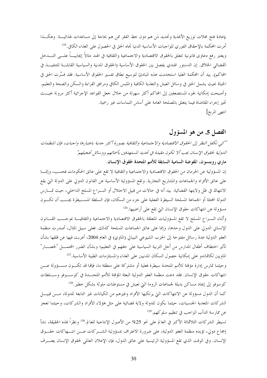بإعادة فتح محلات توزيع الأغذية وتحديد مَن هم دون حط الفقر ممن هم بحاجة إلى مساعدات غذائيــــة. وهكـــذا أمرت المحكمة بالإحقاق الفوري للواجبات الأساسية الدنيا تجاه الحق في الحصول على الغذاء الكافي.<sup>124</sup> ويعتبر رفع دعاوى قانونية تتعلق بالحقوق الاقتصادية والاحتماعية والثقافية في الهند مثالاً إيجابيـــاً علــــى التــــدخل القضائي الخلاق. إن الدستور الهندي يفصل بين الحقوق الأساسية (الحقوق المدنية والسياسية القابلـــة للتنفيـــذ في المحاكم). بيد أن المحكمة العليا استخدمت هذه المبادئ لتوسيع نطاق تفسير الحقوق الأساسية. فقد فسَّرت الحق في الحياة بحيث يشمل الحق في وسائل العيش والتغذية الكافية والملبس الكافي ومرافق القراءة والسكن والصحة والتعليم. وأصبحت إمكانية لجوء المستضعفين إلى المحاكم أكثر سهولة من خلال حعل القواعد الإجرائية أكثر مرونة بحيـــث تجيز إحراء المقاضاة فيما يتعلق بالمصلحة العامة على أساس التماسات غير رسمية. انتهى المربع]

# الفصل 5. من هو المسؤول

"كبي تكفل النظر إلى الحقوق الاقتصادية والاجتماعية والثقافية بصورة أكثر جدية باعتبارها واجبات، فإن المنظمات الدولية لحقوق الإنسان يجب ألا تكون مقيدة في تحديد المستهدفين بأسمائهم ووسائل تخجيلهم" ماري روبنسون، المفوضة السامية السابقة للأمم المتحدة لحقوق الإنسان.

إن المسؤولية عن الحرمان من الحقوق الاقتصادية والاجتماعية والثقافية لا تقع على عاتق الحكومات فحسب، وإنمـــا على عاتق الأفراد والجماعات والمشاريع التجارية. وتقع المسؤولية الأساسية عن القانون الدولي على الدولة التي يقع الانتهاك في ظل ولايتها القضائية. بيد أنه في حالات من قبيل الاحتلال أو النـــزاع المسلح الداخلي، حيث تمـــارس الدولة المحتلة أو الجماعة المسلحة السيطرة الفعلية على جزء من السكان، فإن السلطة المســـيطرة يجـــب أن تكـــون مسؤولة عن انتهاكات حقوق الإنسان التي تقع على أراضيها.<sup>126</sup>

وأثناء النسزاع المسلح لا تقع المسؤوليات المتعلقة بالحقوق الاقتصادية والاحتماعية والثقافيسة بموحسب القسانون الإنساني الدولي على الدول وحدها، وإنما على عاتق الجماعات المسلحة كذلك. فعلى سبيل المثال، أصدرت منظمة العفو الدولية عدة رسائل مفتوحة إلى الحزب الشيوعي النيبالي (الماوي) في العام 2004، أعربت فيها عن قلقها بشأن تأثير اختطاف أطفال المدارس من أجل التربية السياسية على حقهم في التعليم؛ وبشأن الضرر المحتمــــل "لحصــــار" الماويين لكاتماندو على إمكانية حصول السكان المدنيين على الغذاء والمستلزمات الطبية الأساسية.<sup>127</sup>

وحيثما تمارس إدارة مؤقتة للأمم المتحدة سيطرة فعلية أو مشتركة على منطقة ما، فإنما قد تكـون مســـؤولة عـــن انتهاكات حقوق الإنسان. فقد دعت منظمة العفو الدولية البعثة المؤقتة للأمم المتحــدة في كوســـوفو وســـلطات كوسوفو إلى إيجاد مساكن بديلة لجماعات الروما التي تعيش في مستوطنات ملوثة بشكل خطير.<sup>128</sup>

كما أن الدول مسؤولة عن الانتهاكات التي يرتكبها الأفراد وغيرهم من الكيانات غير التابعة للدولة، مـــن قبيــــل الشركات المتعدية الجنسيات، حيثما يكون للدولة ولاية قضائية على مثل هؤلاء الأفراد والشركات، وحيثما تعجز عن ممارسة الدأب الواحب في تنظيم سلوكهم.<sup>129</sup>

تسيطر الشركات الثلاثمائة الأكبر في العالم على نحو 25% من الأصول الإنتاجية للعالم.<sup>130</sup> ونظراً لهذه الحقيقة، نشأ إجماع دولي، تؤيده منظمة العفو الدولية، على ضرورة الاعتراف بمسؤولية الشـــركات عـــن انتـــهاكات حقـــوق الإنسان. وفي الوقت الذي تقع المسؤولية الرئيسية على عاتق الدول، فإن الإعلان العالمي لحقوق الإنسان يعتـــرف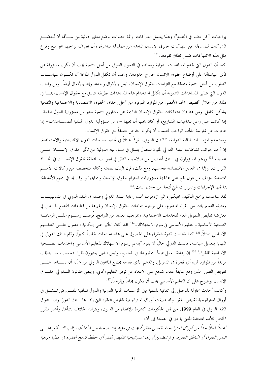بواجبات "كل عضو في المحتمع"، وهذا يشمل الشركات. وثمة خطوات لوضع معايير دولية من شـــألها أن تُخضــــع الشركات للمساءلة عن انتهاكات حقوق الإنسان الناجمة عن عمليالها مباشرة، وأن تعترف بواجبها نحو منع وقوع مثل هذه الانتهاكات ضمن نطاق نفوذها.<sup>131</sup>

كما أن الدول التي تقدم المساعدات الدولية وتساهم في التعاون الدولي من أحل التنمية يجب أن تكون مسؤولة عن تأثير سياساقما على أوضاع حقوق الإنسان حارج حدودها. ويجب أن تكفل الدول المانحة أن تكــون سياســــات التعاون من أجل التنمية متسقة مع التزامات حقوق الإنسان، ليس بالأقوال وحدها وإنما بالأفعال أيضاً. ومن واجب الدول التي تتلقى المساعدات التنموية أن تكفل استخدام هذه المساعدات بطريقة تتسق مع حقوق الإنسان، بمــــا في ذلك من خلال تخصيص الحد الأقصى من الموارد المتوفرة من أجل إحقاق الحقوق الاقتصادية والاجتماعية والثقافية بشكل كامل. ومن هنا فإن انتهاكات حقوق الإنسان الناجمة عن مشاريع التنمية تعتبر من مسؤولية الدول المانحة– إذا كانت على وعي بتداعيات المشاريع، أو كان يجب أن تعيها – ومن مسؤولية الدول المتلقية للمســـاعدات– إذا عجزت عن ممارسة الدأب الواجب لضمان أن يكون التدخل متسقاً مع حقوق الإنسان.

وتستخدم المؤسسات المالية الدولية، كالبنك الدولي، نفوذاً هائلاً في تحديد سياسات الدول الاقتصادية والاحتماعية. إن أحد جوانب نشاطات البنك الدولي المثيرة للجدل يتمثل في مسؤوليته الدولية عن تأثير حقوق الإنســـان علــــي عملياته.<sup>132</sup> ويعتبر المسؤولون في البنك أنه ليس من صلاحياته النظر في الجوانب المتعلقة بحقوق الإنســــان في اتخــــاذ القرارات، وإنما في المعايير الاقتصادية فحسب. ومع ذلك، فإن البنك بصفته وكالة متخصصة من وكالات الأمـــم المتحدة، مؤلف من دول تقع على عاتقها مسؤوليات احترام حقوق الإنسان وحمايتها والوفاء بما في جميع الأنشطة، بما فيها الإحراءات والقرارات التي تُتخذ من خلال البنك.<sup>133</sup>

لقد ساعدت برامج التكيف الهيكلى، التي ازدهرت تحت رعاية البنك الدولي وصندوق النقد الدولي في الثمانينيــــات ومطلع التسعينيات من القرن المنصرم، على توحيد جماعات حقوق الإنسان وغيرها من قطاعات المحتمع المسدني في معارضة تقليص التمويل العام للخدمات الاحتماعية. وبموحب العديد من البرامج، فُرضت رســـوم علــــى الرعايــــة الصحية الأساسية والتعليم الأساسي (رسوم الاستهلاك).<sup>134</sup> فقد كان التأثير على إمكانية الحصول علـــي التعلـــيم الأساسي هائلاً.<sup>135</sup> كما تقلصت قدرة الفقراء على الحصول على هذه الخدمات تقلصاً كبيراً، وقام البنك الدولي في النهاية بتعديل سياسته. فالبنك الدولي حالياً لا يقوم "بدعم رسوم الاستهلاك للتعليم الأساسي والخدمات الصـــحية الأساسية للفقراء".136 إن إعادة العمل بمبدأ التعليم المحاني للجميع، وليس للذين يعتبرون فقراء فحسب، ســـيتطلب مزيداً من الموارد لملء أي فجوة في التمويل. والدعم الذي يقدمه محتمع المانحين الدولي من شأنه أن يســــاعد علــــي تعويض الضرر الذي وقع سابقاً عندما شجع على الابتعاد عن توفير التعليم المحاني. وينص القانون الــــدولي لحقــــوق الإنسان بوضوح على أن التعليم الأساسي يجب أن يكون محانياً وإلزامياً.<sup>137</sup>

وكانت أحدث محاولة للتوصل إلى اتفاقية للتنمية بين المؤسسات المالية الدولية والدول المتلقية للقسروض تتمثسل في أوراق استراتيجية تقليص الفقر. وقد صيغت أوراق استراتيجية تقليص الفقر، التي بادر هما البنك الدولي وصـــندوق النقد الدولي في العام 1999، من قبل الحكومات كشرط للإعفاء من الديون، ويتزايد الخلاف بشألها. وأشار المقرر الخاص للأمم المتحدة المعنى بالحق في الصحة إلى أن:

"عدداً قليلاً جداً، من أوراق استراتيجية تقليص الفقر أُدمجت في مؤشرات صحية من شأكما أن تراقب التسأثير علسي الناس الفقراء أو المناطق الفقيرة . و لم تتضمن أوراق استراتيجية تقليص الفقر أي حطط لدمج الفقراء في عملية مراقبة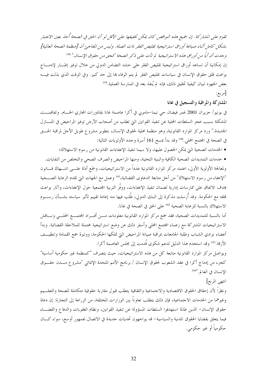تقوم علي المشاركة . إن جهيع هذه النواقص كان يمكن تخفيفها علي الأقل لو أن الحق في الصحة أُبخله بعين الاعتبار بشكل كامل أثناء صياغة أوراق استراتيجية تقليص الفقر ذات الصلة. وليس من المفاجئ أن [منظمة الصحة العالمية] وجدت أن أيًا من أوراق هذه الاستراتيجية لم تأت على ذكر الصحة كحق من حقوق الإنسان." 138 إن إمكانية أن تساعد أوراق استراتيجية تقليص الفقر على حشد التضامن الدولي من خلال توفير إطـــار لإدمــــاج بواعث قلق حقوق الإنسان في سياسات تقليص الفقر لم يتم الوفاء ها إلى حد كبير. وفي الوقت الذي بذلت فيــــه بعض الجهود لبيان كيفية تحقيق ذلك، فإنه لم يُنفذ بعد في الممارسة العملية.<sup>139</sup>  $\lceil_{\mathsf{A}}\rceil$ 

#### المشاركة والمراقبة والتسجيل في غانا

في يونيو/ حزيران 2001 غمر فيضان حي نيما–ماموبي في أكرا عاصمة غانا بقاذورات المحاري الخـــام. وتفاقمــــت المشكلة بسبب عجز السلطات المحلية عن تنفيذ القوانين التي تطلب من أصحاب الأرض توفير المراحيض في المنــــازل الجديدة." ورد مركز الموارد القانونية، وهو منظمة محلية لحقوق الإنسان، بتطوير مشروع طويل الأحل لمراقبة الحسق في الصحة في المحتمع المحلي.<sup>140</sup> وقد بدأ بمسح 161 أسرة وحدد الأولويات التالية:

• الخدمات الصحية التي يمكن الحصول عليها، ولا سيما تنفيذ الإعفاءات القانونية من رسوم الاستهلاك؛

• حدمات التمديدات الصحية الكافية والبنية التحتية، ومنها المراحيض والصرف الصحى والتخلص من النفايات. ولمعالجة الأولوية الأولى، اعتمد مركز الموارد القانونية عدداً من الاستراتيجيات، وجَمع أدلة علـــى انتــــهاك قــــانون "الإعفاء من رسوم الاستهلاك" من أجل متابعة الدعاوي القضائية،'' اوعمل مع الجهات التي تقدم الرعاية الصــــحية هدف الاتفاق على ممارسات إدارية لضمان تنفيذ الإعفاءات، ووفَّر التربية المحتمعية حول الإعفاءات، وآثار بواعث قلقه مع الحكومة. وقد أُرسلت مذكرة إلى البنك الدولي، طُلب فيها منه إعادة تقييم تأثير سياسته بشـــأن رســــوم الاستهلاك بالنسبة للرعاية الصحية <sup>142</sup> على الحق في الصحة في غانا.

أما بالنسبة للتمديدات الصحية، فقد جمع مركز الموارد القانونية معلومات مسن أفسراد المحتمسع المحلسي ونساقش الاستراتيجيات المشتركة مع زعماء المحتمع المحلي وأسفر ذلك عن وضع استراتيجية محتملة للملاحقة القضائية. وبدأ أعضاء نوادي الشباب وطلبة الجامعات بمراقبة صيانة المراحيض التي تملكها الحكومة، ووتيرة جمع القمامة وتنظيــف الأزقة.<sup>143</sup> وقد استخدم هذا الدليل لدعم شكوى قُدمت إلى مجلس العاصمة أكرا.

ويواصل مركز الموارد القانونية متابعة كل من هذه الاستراتيجيات، حيث يتصرف "كمنظمة غير حكومية أساسية" كجزء من إدماج أكرا في عقد الشعوب لحقوق الإنسان / برنامج الأمم المتحدة الإنمائي "مشروع مـــدن حقـــوق الإنسان في العالم. "144

#### انتهى المربع]

ونظرا لأن إحقاق الحقوق الاقتصادية والاحتماعية والثقافية يتطلب قبول مقاربة حقوقية متكاملة للصحة والتعلسيم وغيرهما من الحدمات الاحتماعية، فإن ذلك يتطلب تعاوناً بين الوزارات المختلفة، من الزراعة إلى التجارة: إن دعاة حقوق الإنسان– الذين طالما استهدفوا السلطات المسؤولة عن تنفيذ القوانين، ونظام العقوبات والدفاع والقضـــاء فيما يتعلق بقضايا الحقوق المدنية والسياسية– قد يواجهون تحديات حديدة في الاتصال بجمهور أوسع، سواء كـــان حكومياً أو غير حكومي.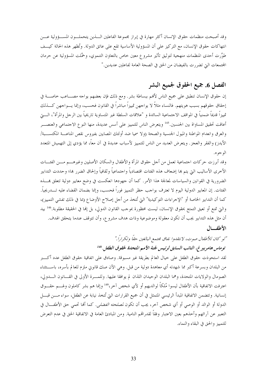وقد أصبحت منظمات حقوق الإنسان أكثر مهارة في إبراز مجموعة الفاعلين السذين يتحملـــون المســــؤولية عــــن انتهاكات حقوق الإنسان، مع التركيز على أن المسؤولية الأساسية تقع على عاتق الدولة. وتُظهر هذه الحالة كيـــف طوَّرت أحدى المنظمات منهجية لتوثيق تأثير مشروع معين حاص بالتعاون التنموي، وحمَّلت المسؤولية عن حرمان المحتمعات التي تضررت بالفيضان من الحق في الصحة العامة لفاعلين عديدين."

# الفصل 6. جميع الحقوق لجميع البشر

إن حقوق الإنسان تنطبق على جميع الناس لأفمم ببساطة بشر. ومع ذلك فإن بعضهم يواجه مصـــاعب حاصــــة في إحقاق حقوقهم بسبب هويتهم. فالنساء مثلاً لا يواجهن تمييزاً مباشراً في القانون فحسب، وإنما يـــواجهن كــــذلك تمييزاً قديماً ضمنياً في المواقف الاحتماعية السائدة و "علاقات السلطة غير المتساوية تاريخياً بين الرحل والمرأة"، الــــتي أعاقت تحقيق المساواة بين الجنسين.<sup>145</sup> ويتعرض الناس للتمييز على أسس عديدة، منها النوع الاجتماعي والعنصـــر والعرق وانعدام المواطنة والميول الجنسية والصحة (ولا سميا ضد أولئك المصابين بفيروس نقص المناعـــة المكتســـبة/ الأيدز) والفقر والعجز. ويتعرض العديد من الناس للتمييز لأسباب عديدة في آن معاً، مما يؤدي إلى التهميش المتعدد الوجوه.

وقد أبرزت حركات احتماعية تعمل من أجل حقوق المرأة والأطفال والسكان الأصليين وغيرهـــم مـــن الفئــــات الأخرى الأساليب التي يتم بما إضعاف هذه الفئات اقتصادياً واحتماعياً وثقافياً وإلحاق الضرر بما؛ وحددت التدابير الضرورية في القوانين والسياسات لمعالجة هذا الأمر . كما أن جهودها انعكست في وضع معايير دولية تتعلق بمسذه الفئات. إن المعايير الدولية اليوم لا تعترف بواجب حظر التمييز فوراً فحسب، وإنما بضمان القضاء عليه تــــدريجياً. كما أن التدابير الخاصة أو "الإجراءات التوكيدية" التي تُتخذ من أجل إصلاح الأوضاع (بما في ذلك تفشي التمييز)، والتي تمنع أو تعيق التمتع بحقوق الإنسان، ليست محظورة بموحب القانون الدولي، بل إنها في الحقيقة مطلوبة.<sup>146</sup> بيد أن مثل هذه التدابير يجب أن تكون معقولة وموضوعية وذات هدف مشروع، وأن تتوقف عندما يتحقق الهدف. الأطفال

"لو كان للأطفال صوت، لانتقدوا نفاق مجتمع البالغين حقاً وتكراراً." توماس هامر بيرغ، النائب السابق لرئيس لجنة الأميم المتحلة لحقوق الطفل. 148 لقد استحوذت حقوق الطفل على حيال العالم بطريقة غير مسبوقة. وصادق على اتفاقية حقوق الطفل عدد أكسبر من البلدان وبسرعة أكبر مما شهدته أي معاهدة دولية من قبل. وهي الآن صك قانوين ملزم للعالم بأسره، باســـتثناء الصومال والولايات المتحدة، وهما البلدان الوحيدان اللذان لم يوافقا عليها. وللمسرة الأولى في القـــانون الــــدولي، اعترفت الاتفاقية بأن الأطفال ليسوا مُلكاً لوالديهم أو لأي شخص آخر،1<sup>49</sup> وإنما هم بشر كاملون ولهــــم حقــــوق إنسانية. وتتضمن الاتفاقية المبدأ الرئيسي المتمثل في أن جميع القرارات التي تُتخذ نيابة عن الطفل، سواء مــــن قبــــل الدولة أو الوالد أو الوصى أو أي شخص آخر، يجب أن تكون *لمصلحته الفضلي.* كما ألها تحمى حق الأطفـــال في التعبير عن آرائهم وأخذهم بعين الاعتبار وفقاً لقدراهم النامية. ومن المبادئ العامة في الاتفاقية الحق في عدم التعرض للتمييز والحق في البقاء والنماء.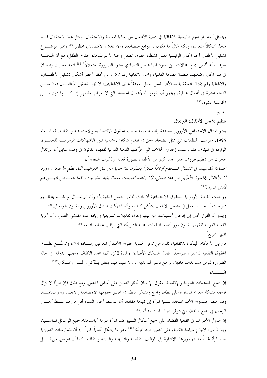ويتمثل أحد المواضيع الرئيسية للاتفاقية في حماية الأطفال من إساءة المعاملة والاستغلال. ومثل هذا الاستغلال قـــد يتخذ أشكالاً متعددة، ولكنه غالباً ما تكون له دوافع اقتصادية، والاستغلال الاقتصادي محظور.<sup>150</sup> ويمثل موضـــو ع تشغيل الأطفال أحد المحاور الرئيسية لعمل نشطاء حقوق الطفل ولجنة الأمم المتحدة لحقوق الطفل، مع أن اللجنــــة تعرف بأنه "ليس جميع المحالات التي يسود فيها عنصر اقتصادي تعتبر بالضرورة استغلالاً".<sup>151</sup> فثمة معياران رئيسيان في هذا المحال وضعتهما منظمة الصحة العالمية، وهما: الاتفاقية رقم 182، التي تحظر أخطر أشكال تشغيل الأطفـــال، والاتفاقية رقم 138 المتعلقة بالحد الأدنى لسن العمل. ووفقاً لهاتين الاتفاقيتين، لا يجوز تشغيل الأطفـــال دون ســــن الثامنة عشرة في أعمال خطرة، ويجوز أن يقوموا "بالأعمال الخفيفة" التي لا تعرقل تعليمهم إذا كـــانوا دون ســــن الخامسة عشرة.<sup>152</sup>

[مربع:

تنظيم تشغيل الأطفال: البرتغال

يعتبر الميثاق الاحتماعي الأوروبي معاهدة إقليمية مهمة لحماية الحقوق الاقتصادية والاحتماعية والثقافية. فمنذ العام 1995، مارست المنظمات التي تمثل الضحايا الحق في تقديم شكاوي جماعية تبين الانتهاكات المزعومـــة للحقـــوق الواردة في الميثاق. فقد زعمت إحدى الحالات التي حرَّكتها اللجنة الدولية لفقهاء القانون في وقت سابق أن البرتغال عجزت عن تنظيم ظروف عمل عدد كبير من الأطفال بصورة فعالة. وذكرت اللجنة أن:

"صناعة الغرانيت في الشمال تستخدم أولادًا صغارًا يعملون بلا حماية من غبار الغرانيت أثناء قطع الأحجار. وورد أن الأطفال يقاسون الأمرَّين من هذا العمل، لأن رئامًم أصبحت مغطاة بغبار الغرانيت، كما تتعـــرض ظهــورهم لأذي شدہد." <sup>153</sup>

ووجدت اللجنة الأوروبية للحقوق الاجتماعية أن ذلك تجاوز "العمل الخفيف"، وأن البرتغــال لم تقــــم بتنظـــيم ممارسات أصحاب العمل في تشغيل الأطفال بشكل كاف، وألها انتهكت الميثاق الأوروبي والقانون البرتغالي.<sup>155</sup> ويبدو أن القرار أدى إلى إدخال تحسينات، من بينها إجراء تعديلات تشريعية وزيادة عدد مفتشى العمل، وأن تجربة اللجنة الدولية لفقهاء القانون تبرز أهمية المنظمات المحلية الشريكة التي تراقب عملية المتابعة.<sup>156</sup> انتهى المربع]

من بين الأحكام المبتكرة للاتفاقية، تلك التي توفر الحماية لحقوق الأطفال المعوقين (المسادة 23)، وتوسِّع نطساق الحقوق الثقافية لتشمل، صراحةٌ، أطفال السكان الأصليين (المادة 30). كما تحدد الاتفاقية واحب الدولة "في حالة الضرورة لتوفير مساعدات مادية وبرامج دعم [للوالدين]، ولا سيما فيما يتعلق بالمأكل والملبس والمسكن.''<sup>157</sup> النسساء

إن جميع المعاهدات الدولية والإقليمية لحقوق الإنسان تحظر التمييز على أساس الجنس. ومع ذلك فإن المرأة لا تزال تواجه مشكلة انعدام المساواة على نطاق واسع وبشكل منظم في تحقيق حقوقها الاقتصادية والاجتماعية والثقافيــــة. وقد خلص صندوق الأمم المتحدة لتنمية المرأة إلى نتيجة مفادها أن متوسط أجور النساء أقل من متوســـط أجـــور الرحال في جميع البلدان التي تتوفر لدينا بيانات بشأنها.<sup>158</sup>

إن الدول الأطراف في اتفاقية القضاء على جميع أشكال التمييز ضد المرأة ملزمة "باستخدام جميع الوسائل المناســـبة، وبلا تأخير، لاتباع سياسة القضاء على التمييز ضد المرأة،"<sup>159</sup> وهو ما يشكل تحدياً كبيراً. إذ أن الممارسات التمييزية ضد المرأة غالباً ما يتم تبريرها بالإشارة إلى المواقف التقليدية والتاريخية والدينية والثقافية. كما أن عوامل، من قبيــــل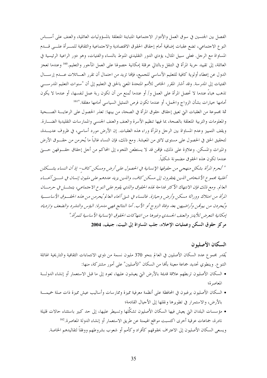الفصل بين الجنسين في سوق العمل والأدوار الاجتماعية المتباينة المتعلقة بالمسؤوليات العائلية، والعنف على أســـاس النوع الاجتماعي، تضع عقبات إضافية أمام إحقاق الحقوق الاقتصادية والاجتماعية والثقافية للمسرأة علسي قسدم المساواة مع الرحل. فعلى سبيل المثال، يؤدي الدور التقليدي المنوط بالنساء والفتيات، وهو دور الراعية الرئيسية في العائلة، إلى تقييد حرية المرأة في التنقل وبالتالي عرقلة إمكانية حصولها على العمل المأجور والتعليم.<sup>160</sup> وعندما تعجز الدول عن إعطاء أولوية كافية للتعليم الأساسي للجميع، فإلها تزيد من احتمال أن تقرر العـــائلات عـــدم إرســـال الفتيات إلى المدرسة. وقد أشار المقرر الخاص للأمم المتحدة المعنى بالحق في التعليم إلى أن "سنوات التعليم المدرســـي تذهب هباءً عندما لا تحصل المرأة على العمل و/ أو عندما تُمنع من أن تكون ربة عمل لنفسها، أو عندما لا يكون أمامها حيارات بشأن الزواج والحمل، أو عندما تكون فرص التمثيل السياسي أمامها مغلقة."ا<sup>161</sup>

ثمة مجموعة من العقبات التي تعيق إحقاق حقوق المرأة في الصحة، من بينها: تعذر الحصول على الرعايــــة الصــــحية والمعلومات والتربية المتعلقة بالصحة، بما فيها تنظيم الأسرة والعنف والعنف الجنسبي والممارسات التقليدية الضـــارة. ويقف التمييز وعدم المساواة بين الرجل والمرأة وراء هذه العقبات. إن الأرض مورد أساسي، في ظروف عديـــدة، لتحقيق الحق في الحصول على مستوى لائق من المعيشة. ومع ذلك، فإن النساء غالباً ما يُحرمن من حقــــوق الأرض والميراث والمسكن. وعلاوة على ذلك، فإنهن قد لا يستطعن اللجوء إلى المحاكم من أجل إحقاق حقسوقهن حسيٍّ عندما تكون هذه الحقوق مضمونة شكلياً.

" 'تحرم المرأة بشكل منهجي من حقوقها الإنسانية في الحصول على أرض ومسكن كاف- إذ أن النساء يشكلن أغلبية مجموع الأشخاص الذين يفتقرون إلى مسكن كاف، والذين يزيد عددهم على مليون إنسان في شبتي أنحساء العالم. ومع ذلك فإن الانتهاك الأكثر فداحة لهذه الحقوق والذي يقوم على النوع الاجتماعي، يتمثـــل في حرمـــان المرأة من امتلاك ووراثة مسكن وأرض وحيازة. فالنساء في شتى أنحاء العالم يُحرمن من هذه الحقسوق الأساسية ويُجردن من بيوتمن وأراضيهن بعد وفاة الزوج أو الأب. أما النتائج فهي مدمرة: البؤس والتشرد والضعف وازدياد إمكانية التعرض للأيدز والعنف الجسدي وغيرها من انتهاكات الحقوق الإنسانية الأساسية للمرأة." مركز حقوق السكن وعمليات الإخلاء، جلب المساواة إلى البيت، جنيف، 2004

السكان الأصليون

يُقدر مجموع عدد السكان الأصليين في العالم بنحو 370 مليون نسمة من ذوي الانتماءات الثقافية والتاريخية الهائلة التنوع. وينطوي تحديد جماعة معينة بألها من السكان "الأصليين" على أمور مشتركة، منها:

- السكان الأصليون تربطهم علاقة قديمة بالأرض التي يعيشون عليها، تعود إلى ما قبل الاستعمار أو إنشاء الدولـــة المعاصرة؛
- السكان الأصليون يرغبون في المحافظة على أنظمة معرفية مميزة وممارسات وأساليب عيش مميزة ذات صلة حميمــــة بالأرض، والاستمرار في تطويرها ونقلها إلى الأجيال القادمة؛
- مؤسسات البلدان التي يعيش فيها السكان الأصليون تشكِّلها وتسيطر عليها، إلى حد كبير باستثناء حالات قليلة نادرة، جماعات عرقية أخرى اكتسبت مواقع الهيمنة عن طريق الاستعمار أو إنشاء الدولة المعاصرة.<sup>162</sup> ويسعى السكان الأصليون إلى الاعتراف بحقوقهم كأفراد وكأمم أو شعوب بشروطهم ووفقاً لتقاليدهم الخاصة.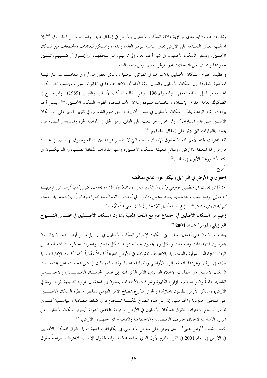وثمة اعتراف متزايد بمدى مركزية علاقة السكان الأصليين بالأرض في إحقاق طيف واســـع مـــن الحقـــوق.<sup>163</sup> إن أساليب العيش التقليدية على الأرض تعتبر أساسية لتوفير الغذاء والدواء والمسكن للعائلات والمحتمعات من السكان الأصليين. ويسعى السكان الأصليون في شتى أنحاء العالم إلى ترسيم رسمي لمناطقهم، أي إفـــراز أراضـــيهم وتبــــيين حدودها وحمايتها من التدحلات غير المرغوب فيها ومن تدمير البيئة.

وحظيت حقوق السكان الأصليين بالاعتراف في القوانين الوطنية ودساتير بعض الدول وفي المعاهـــدات التاريخيـــة المعاصرة المعقودة بين السكان الأصليين والدول. وثمة اتجاه نحو الاعتراف بما في القانون الدولي، وبضمنه الصـــكوك الحالية، من قبيل اتفاقية العمل الدولية رقم 196- وهي اتفاقية السكان الأصليين والقبَليين (1989)- والمراجــــع في الصكوك العامة لحقوق الإنسان، ومناقشات مسودة إعلان الأمم المتحدة لحقوق السكان الأصليين.<sup>164</sup> ويتمثل أحد بواعث القلق الراهنة بشأن السكان الأصليين في ضمان أن ينطبق حق جميع الشعوب في تقرير المصير على الســـكان الأصليين على قدم المساواة.<sup>165</sup> وثمة محور آحر يبعث على القلق، وهو الحق في الموافقة الحرة والمسبقة والمتبصرة فيما يتعلق بالقرارات التي تؤثر على إحقاق حقوقهم.<sup>166</sup>

لقد اعترفت لجنة الأمم المتحدة لحقوق الإنسان بالصلة التي لا تنفصم عراها بين الثقافة وحقوق الإنسان، في عــــدد من قراراتها المتعلقة بالأرض ووسائل المعيشة للسكان الأصليين، ومنها القرارات المتعلقة بصـــيادي اللوبيكـــون في كندا،<sup>167</sup> ورعاة الأيول في فنلندا.<sup>168</sup>

[مربع:

الحقوق في الأرض في البرازيل ونيكاراغوا: نتائج متناقضة

"ما الذي يحدث في منطقتي غواراني وكابوا؟ الكثير من سوء التغذية! هذا ما يحدث. فليس لدينا أرض نزرع فيها المحاصيل. ولهذا السبب بالتحديد يسود البؤس والجوع في أرضنا... لقد اتخذنا نحن الهنود قراراً بالانتحار إذا حدث أي إحلاء في مناطق النسزاع. سنلجأ إلى الانتحار لأننا لا نعني شيئًا لأحد."

زعيم من السكان الأصليين في اجتماع عام مع اللجنة المعنية بشؤون السكان الأصـــليين في مجلـــس الشــــيو خ  $^{169}$   $2004$  البر ازيلي، فيراير / شباط 2004

بعد مرور قرون على أعمال العنف التي ارتُكبت لإخراج السكان الأصليين في البرازيل مــــن أرضــــهم، لا يزالــــون يتعرضون للتهديدات والهجمات والقتل ولا يحظون بحماية دولية بشكل متسق. وعجزت الحكومات المتعاقبة عـــن الوفاء بالتزامالها الدولية والدستورية بالاعتراف بحقوقهم في الأرض اعترافاً كاملاً وفمائياً. كما كانت الإدارة الحالية بطيئة في الوفاء بوعودها المتعلقة بإفراز الأراضي والمصادقة عليها. وقد ساهم ذلك في شن هجمات على مجتمعـــات السكان الأصليين وفي عمليات الإخلاء القسري، الأمر الذي أدى إلى تفاقم الحرمـــان الاقتصـــادي والاحتمـــاعي الشديد. فالمنقَّبون وأصحاب المزارع الكبيرة وشركات الأخشاب يسعون إلى استغلال الموارد الطبيعية الموجــــودة في الأرض؛ ومالكو الأرض يطالبون بحيازقما؛ والجيش يتذرع بمصالح الأمن القومي لتقليص سيطرة السكان الأصــــليين على المناطق الحدودية والحد منها. إن مثل هذه المصالح المكتسبة تستخدم قوى ضغط اقتصادية وسياســـية كــــبرى لتأخير أو منع الاعتراف بحقوق السكان الأصليين في الأرض. ونتيجة لتقاعس الدولة، يُحرم السكان الأصليون من الموارد الأساسية لإحقاق حقوقهم الاقتصادية والاحتماعية والثقافية– أي حقهم في الأرض.<sup>170</sup> كسب شعب "أواس تنغني"، الذي يعيش على ساحل الأطلسي في نيكاراغوا، قضية حماية حقوق السكان الأصليين في الأرض في العام 2001 في القرار الملزم الأول الذي اتخذته محكمة دولية لحقوق الإنسان للاعتراف صراحةً بحقوق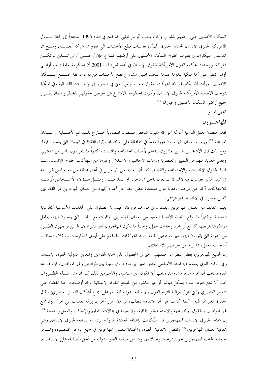السكان الأصليين على أرضهم المشاع. وكان شعب "أواس تنغين" قد قدم في العام 1995 استئنافاً إلى لجنة الــــدول الأمريكية لحقوق الإنسان لحماية الحقوق المهدَّدة بعمليات قطع الأخشاب التي تقوم بما شركة أجنبيـــة. ومـــع أن الدستور النيكاراغوي يعترف بحقوق السكان الأصليين على أرضهم المشاع، فإن أراضـــي أواس تـــنغني لم تكـــن مملوكة. ووحدت محكمة الدول الأمريكية لحقوق الإنسان في أغسطس/ آب 2001 أن الحكومة تعاملت مع أراضي أواس تنغني على ألها ملكية للدولة عندما منحت امتياز مشروع قطع الأخشاب من دون موافقة مجتمـــع الســـكان الأصليين. ورأت أن نيكاراغوا قد انتهكت حقوق شعب أواس تنغني في اللجوء إلى الإجراءات القضائية وفي الملكية بموجب الاتفاقية الأمريكية لحقوق الإنسان. وأمرت الحكومة بالامتناع عن تعريض حقوقهم للخطر وضمان إفـــراز جميع أراضي السكان الأصليين وحيازتها. <sup>171</sup>

انتهى المربع]

## المهاجسرون

تقدر منظمة العمل الدولية أن ثمة نحو 86 مليون شخص ينشطون اقتصادياً حــــار ج بلــــداهُـم الأصــــلية أو بلــــدان المواطنة.<sup>172</sup> ويلعب العمال المهاجرون دوراً مهماً في المحافظة على الاقتصاد وإثراء الثقافة في البلدان التي يعملون فيها. ومع ذلك فإن الأشخاص الذين يغادرون بلدافمم لأسباب احتماعية واقتصادية كثيراً ما يتعرضون للنيل من سمعتهم. ويعاني العديد منهم من التمييز والعنصرية ورهاب الأجانب والاستغلال وغيرها من انتهاكات حقوق الإنسان، بمسا فيها الحقوق الاقتصادية والاجتماعية والثقافية. كما أن العديد من المهاجرين في أنحاء مختلفة من العالم ليس لهم صفة في البلد الذي يعيشون فيه لألهم لا يتمتعون بالحق في دخوله أو البقاء فيـــه. ومثـــل هـــؤلاء الأشـــخاص عُرضـــة للانتهاكات أكثر من غيرهم. وهناك دول مستعدة لغض النظر عن أعداد كبيرة من العمال المهاجرين غير القانونيين الذين يعملون في الاقتصاد غير الرسمي.

يعيش العديد من العمال المهاجرين ويعملون في ظروف مروعة، حيث لا يحصلون على الخدمات الأساسية كالرعاية الصحية. وكثيراً ما توقع البلدان الأصلية للعديد من العمال المهاجرين اتفاقيات مع البلدان التي يعملون فيها، يعامَل مواطنوها بموجبها كسلع أو مجرد وحدات عمل. وغالباً ما يكون المهاجرون غير الشرعيين، الذين يواجهون الطـــرد من الدولة التي يقيمون فيها، غير مستعدين للجهر ضد انتهاكات حقوقهم على أيدي الحكومات ووكلاء الدولة أو أصحاب العمل، مما يزيد من تعرضهم للاستغلال.

إن لجميع المهاجرين، بغض النظر عن صفتهم، الحق في الحصول على حماية القوانين والمعايير الدولية لحقوق الإنسان. وفي الوقت الذي يسمح فيه المبدأ الأساسي لعدم التمييز بوجود فروق معينة بين المواطنين وغير المواطنين، فإن هـــذه الفروق يجب أن تخدم هدفاً مشروعاً، ويجب ألا تكون غير متناسبة. والأهم من ذلك كله أن مثل هــــذه الظــــروف يجب ألا تمنع الفرد، سواء بشكل مباشر أو غير مباشر، من المتمتع بحقوقه الإنسانية. وقد أوضحت لجنة القضاء على التمييز العنصري (التي تتولى مراقبة التزام الدول بالاتفاقية الدولية للقضاء على جميع أشكال التمييز العنصري) نطاق الحقوق لغير المواطنين. كما أكدت على أن الاتفاقية تتطلب، من بين أمور أخرى، إزالة العقبات التي تحول دون تمتع غير المواطنين بالحقوق الاقتصادية والاحتماعية والثقافية، ولا سيما في مجالات التعليم والإسكان والعمل والصحة.<sup>173</sup> إن حماية الحقوق الإنسانية للمهاجرين قد استُكملت بإضافة المعاهدة الدولية الرئيسية السابعة لحقوق الإنسان، وهي اتفاقية العمال المهاجرين.<sup>174</sup> وتغطى الاتفاقية الحقوق والحماية للعمال المهاجرين في جميع مراحل الهجــــرة، وتــــوفر الحماية الخاصة للمهاجرين غير الشرعيين وعائلاقم. وتناضل منظمة العفو الدولية من أجل المصادقة على الاتفاقيـــة،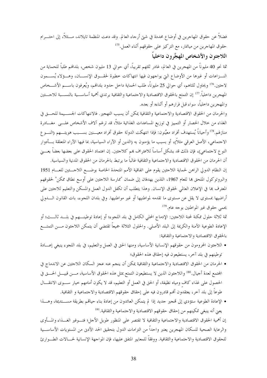فضلاً عن حقوق المهاجرين في أوضاع محددة في شتىٍّ أرجاء العالم. وقد دعت المنظمة تايلاند، مـــثلاً، إلى احتـــرام حقوق المهاجرين من ميانمار، مع التركيز على حقوقهم أثناء العمل.<sup>175</sup> اللاجئون والأشخاص المهجَّرون داخلياً

ثمة نحو 40 مليوناً من المهجرين في العالم، غادر ثلثهم تقريباً، أي حوالي 13 مليون شخص، بلدافمم طلباً للحماية من النـــزاعات أو غيرها من الأوضاع التي يواجهون فيها انتهاكات خطيرة لحقـــوق الإنســـان، وهـــؤلاء يُســـمون لاحتين.<sup>176</sup> ويحاول ثلثاهم، أي حوالي 25 مليوناً، طلب الحماية داخل حدود بلدالهم، ويُعرفون باســــم الأشـــخاص المهجرين داحلياً.<sup>177</sup> إن التمتع بالحقوق الاقتصادية والاحتماعية والثقافية يرتدي أهمية أساســـية بالنســـبة للاحـــئين والمهجرين داحلياً، سواء قبل فرارهم أو أثناءه أو بعده.

والحرمان من الحقوق الاقتصادية والاجتماعية والثقافية يمكن أن يسبب التهجير. فالانتهاكات الجســـيمة للحـــق في الغذاء من خلال الحصار أو التمييز في توزيع المساعدات الغذائية مثلاً، قد ترغم آلاف الأشخاص علـــى ً مغــــادرة منازلهم.<sup>178</sup> وأحياناً يُستهدف أفراد معيَّنون: فإذا انتهكت الدولة حقوق أفراد معيـــنين بســـبب هويتـــهم (النــــوع الاحتماعي، الأصل العرقي مثلاً)، أو بسبب ما يؤمنون به (الدين أو الآراء السياسية، بما فيها الآراء المتعلقة بسأدوار النوع لاجتماعي)، فإن ذلك قد يشكل أساساً للاعتراف بمم كلاجئين. إن اعتماد الحقوق على بعضها بعضاً يعــــني أن الحرمان من الحقوق الاقتصادية والاحتماعية والثقافية غالباً ما يرتبط بالحرمان من الحقوق المدنية والسياسية.

إن النظام الدولي الراهن لحماية اللاحئين يقوم على اتفاقية الأمم المتحدة الخاصة بوضـــع اللاحــــئين للعــــام 1951 والبروتوكول الملحق ها للعام 1967، اللذين يهدفان إلى ضمان "ممارسة اللاحئين على أوسع نطاق ممكن" لحقوقهم المعترف ها في الإعلان العالمي لحقوق الإنسان. وهذا يتطلب أن تكفل الدول العمل والمسكن والتعليم للاحتين على أراضيها بمستوى لا يقل عن مستوى ما تقدمه لمواطنيها أو غير مواطنيها. وفي بلدان اللجوء، بات القانون الــــدولي يحمى حقوق غير المواطنين بوجه عام.<sup>179</sup>

ثمة ثلاثة حلول ممكنة لمحنة اللاحئين: الإدماج المحلي الكامل في بلد اللجوء؛ أو إعادة توطينــــهم في بلــــد ثالــــث؛ أو الإعادة الطوعية الآمنة والكريمة إلى البلد الأصلي. والحلول الثلاثة جميعاً تقتضي أن يتمكن اللاجئون مــــن التمتــــع بالحقوق الاقتصادية والاحتماعية والثقافية:

- اللاحتون المحرومون من حقوقهم الإنسانية الأساسية، ومنها الحق في العمل والتعليم، في بلد اللجوءِ ينبغي إعسادة توطينهم في بلد آخر، يستطيعون فيه إحقاق هذه الحقوق؛
- الحرمان من الحقوق الاقتصادية والاحتماعية والثقافية يمكن أن ينحم عنه عجز السكان اللاحثين عن الاندماج في المحتمع لعدة أجيال.<sup>180</sup> واللاجئون الذين لا يستطيعون التمتع بمثل هذه الحقوق الأساسية، مـــن قبيــــل الحـــق في الحصول على غذاء كاف ومياه نظيفة، أو الحق في العمل أو التعليم، قد لا يكون أمامهم حيار ســـوى الانتقـــال طوعاً إلى بلد آخر، يعتقدون أُمُم قادرون فيه على إحقاق حقوقهم الاقتصادية والاجتماعية و الثقافية.
- الإعادة الطوعية ستؤدي إلى تمجير حديد إذا لم يتمكن العائدون من إعادة بناء حياتمم بطريقة مســـتديمة، وهـــذا يعني أنه ينبغي تمكينهم من إحقاق حقوقهم الاقتصادية والاجتماعية والثقافية. <sup>181</sup>

إن أهمية الحقوق الاقتصادية والاحتماعية والثقافية لا تقتصر على المنظور طويل الأحل؛ فتـــوفير الغـــذاء والمـــأوى والرعاية الصحية للسكان المهجرين يعتبر واحداً من التزامات الدول بتحقيق الحد الأدنى من المستويات الأساســـية للحقوق الاقتصادية والاحتماعية والثقافية. ووفقاً للمعايير المتفق عليها، فإن المواحهة الإنسانية لحـــالات الطـــوارئ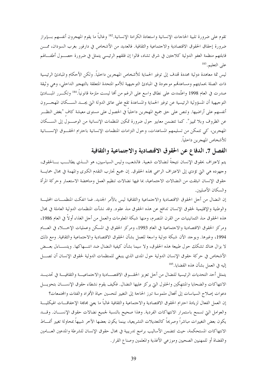تقوم على ضرورة تلبية الحاجات الإنسانية واستعادة الكرامة الإنسانية.<sup>182</sup> وغالباً ما يقوم المهجرون أنفسهم بـــإبراز ضرورة إحقاق الحقوق الاقتصادية والاحتماعية والثقافية. فالعديد من الأشخاص في دارفور بغرب السودان، ممــــن قابلتهم منظمة العفو الدولية كلاحئين في شرق تشاد، قالوا إن قلقهم الرئيسي يتمثل في ضرورة حصـــول أطفــــالهم على التعليم. <sup>183</sup>

ليس ثمة معاهدة دولية محددة تمدف إلى توفير الحماية للأشخاص المهجرين داخلياً. ولكن الأحكام والمبادئ الرئيسية ذات الصلة بحمايتهم ومساعدقم موجودة في المبادئ التوجيهية للأمم المتحدة المتعلقة بالتهجير الداخلي، وهي وثيقة صدرت في العام 1998 واعتُمدت على نطاق واسع على الرغم من ألها ليست ملزمة قانونياً.\*أا وتكـــرر المبــــادئ التوحيهية أن المسؤولية الرئيسية عن توفير الحماية والمساعدة تقع على عاتق الدولة التي يجـــد الســـكان المهجـــرون أنفسهم على أراضيها. وتنص على حق جميع المهجرين داخلياً في الحصول على مستوى معيشة كاف "بغض النظـــر عن الظروف وبلا تمييز". كما تتضمن معايير حول ضرورة تمكين المنظمات الإنسانية من الوصـــول إلى الســـكان المهجرين، كي تتمكن من تسليمهم المساعدات، وحول التزامات المنظمات الإنسانية باحترام الحقـــوق الإنســــانية للأشخاص المهجرين داخلياً.

الفصل 7. الدفاع عن الحقوق الاقتصادية والاجتماعية والثقافية

يتم لاعتراف بحقوق الإنسان نتيجةً لنضالات شعبية. فالشعب، وليس السياسيين، هو الــــذي يطالـــب بــــالحقوق، وجهوده هي التي تؤدي إلى الاعتراف الرسمي بهذه الحقوق. إن جميع تجارب التقدم الكبرى والمهمة في مجال حمايــــة حقوق الإنسان انبثقت من النضالات الاحتماعية، بما فيها نضالات تنظيم العمل ومناهضة الاستعمار وحركة المرأة والسكان الأصليين.

إن النضال من أجل الحقوق الاقتصادية والاحتماعية والثقافية ليس بالأمر الجديد. فما انفكت المنظمـــات المحليـــة والوطنية والإقليمية لحقوق الإنسان تدافع عن هذه الحقوق منذ عقود. وقد نشأت المنظمات الدولية العاملة في مجال هذه الحقوق منذ الثمانينيات من القرن المنصرم، ومنها شبكة المعلومات والعمل من أحل الغذاء أولاً في العام 1986، ومركز الحقوق الاقتصادية والاحتماعية في العام 1993، ومركز الحقوق في المسكن وعمليات الإخــــلاء في العــــام 1994، وغيرها. ويوجد الآن شبكة دولية واسعة للعمل بشأن الحقوق الاقتصادية والاجتماعية والثقافية. ومع ذلك لا يزال هناك تشكك حول طبيعة هذه الحقوق، ولا سيما بشأن كيفية النضال ضد انتـــهاكها. ويتســــاءل بعـــض الأشخاص في حركة حقوق الإنسان الدولية حول المدى الذي ينبغي للمنظمات الدولية لحقوق الإنسان أن تصـــــل إليه في العمل بشأن هذه القضايا.<sup>185</sup>

يتمثل أحد التحديات الرئيسية للنضال من أجل تعزيز الحقـــوق الاقتصـــادية والاجتماعيـــة والثقافيـــة في تحديـــد الانتهاكات والضحايا والمنتهكين والحلول التي يركز عليها النضال. فكيف يقوم نشطاء حقوق الإنســان بتحويـــل دعوات إصلاح السياسات إلى أفعال ملموسة تبرز الحاحة إلى التغيير لتحسين حياة الأفراد والفئات والمحتمعات؟ إن العمل الفعال لزيادة احترام الحقوق الاقتصادية والاحتماعية والثقافية غالباً ما يعنى مجاهة الإخفاقـــات الهيكليـــة والعوامل التي تسمح باستمرار الانتهاكات الفردية. وهذا صحيح بالنسبة لجميع نضالات حقوق الإنســـان. وقـــد يكون بعض التغييرات مباشراً وصريحاً كالتعديلات التشريعية، بينما يكون بعضها الآخر شبيهاً بمحاولة تغيير أنمساط الانتهاكات المستحكمة، حيث تتضمن الأساليب برامج تدريبية في مجال حقوق الإنسان للشرطة والمدعين العـــامين والقضاة أو للمهنيين الصحيين وموزعي الأغذية والمعلمين وصناع القرار.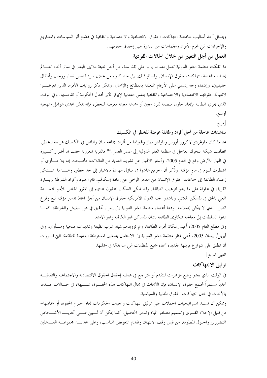ويتمثل أحد أساليب مناهضة انتهاكات الحقوق الاقتصادية والاحتماعية والثقافية في فضح أثر السياسات والمشاريع والإجراءات التيّ تحرم الأفراد والجماعات من القدرة على إحقاق حقوقهم.

العمل من أجل التغيير من خلال الحالات الفردية

ما انفكت منظمة العفو الدولية تعمل منذ ما يربو على 40 سنة، من أجل تعبئة ملايين البشر في سائر أنحاء العــــالم هدف مناهضة انتهاكات حقوق الإنسان. وقد تم ذلك، إلى حد كبير، من حلال سرد قصص نساء ورحال وأطفال حقيقيين، وإضفاء وجه إنساني على الأرقام المتعلقة بالفظائع والإهمال. ويمكن ذكر روايات الأفراد الذين تعرضـــوا لانتهاك حقوقهم الاقتصادية والاحتماعية والثقافية بنفس الفعالية لإبراز تأثير أفعال الحكومة أو تقاعسها. وفي الوقت الذي تحري المطالبة بإيجاد حلول منصفة لفرد معين أو جماعة معينة معرضة للخطر، فإنه يمكن تحدي عوامل منهجية أو سع.

[مربع:

مناشدات عاجلة من أجل أفراد وطائفة عرضة للخطر في المكسيك

عندما كان مارغريتو لاكروز أورتيز وباولينو دياز وغيرهما من أفراد جماعة سان رافائيل في المكسيك عرضة للخطر، انطلقت شبكة التحرك العاجل في منظمة العفو الدولية إلى غمار العمل.<sup>186</sup> فالقرية المعزولة لحقت ها أضرار كـــبيرة في الهيار للأرض وقع في العام 2005. وأسفر الانهيار عن تشريد العديد من العائلات، فأصبحت إما بلا مــــأوى أو اضطرت للنوم في مآو مؤقتة. وذُكر أن آخرين عاشوا في منازل مهددة بالانميار إلى حد خطير. وعنــــدما اشـــتكى زعماء الطائفة إلى جماعات حقوق الإنسان من العجز الرسمي عن إعادة إسكافمم، قام الجنود وأفراد الشرطة بزيــــارة القرية، في محاولة على ما يبدو لترهيب الطائفة. وقد شكي السكان المحليون محنتهم إلى المقرر الحاص للأمم المتحـــدة المعنى بالحق في المسكن الملائم، وناشدوا لجنة الدول الأمريكية لحقوق الإنسان من أجل اتخاذ تدابير مؤقتة لمنع وقوع الضرر الذي لا يمكن إصلاحه. ودعا أعضاء منظمة العفو الدولية إلى إجراء تحقيق في دور الجيش والشرطة، كمـــا دعوا السلطات إلى معالجة شكاوى الطائفة بشان المساكن غير الكافية وغير الآمنة.

وفي مطلع العام 2005، أُعيد إسكان أفراد الطائفة، وتم تزويدهم بمياه شرب نظيفة وتمديدات صحية ومــــأوى. وفي أبريل/ نيسان 2005، دُعي ممثلو منظمة العفو الدولية إلى الاحتفال بتدشين المستوطنة الجديدة للطائفة، التي قــــررت أن تطلق على شوار ع قريتها الجديدة أسماء جميع المنظمات التي ساعدقما في حملتها.

انتهى المربع]

# توثيق الانتهاكات

في الوقت الذي يعتبر وضع مؤشرات للتقدم أو التراجع في عملية إحقاق الحقوق الاقتصادية والاحتماعية والثقافيـــة تحدياً مستمراً لمجتمع حقوق الإنسان، فإن الأبحاث في مجال انتهاكات هذه الحقـــوق شـــبيهة، في حــــالات عــــدة، بالأبحاث في مجال انتهاكات الحقوق المدنية والسياسية.

ويمكن أن تستند استراتيجيات الحملات على توثيق انتهاكات واجبات الحكومات تجاه احترام الحقوق أو حمايتها– من قبيل الإحلاء القسري وتسميم مصادر المياه وتدمير المحاصيل. كما يمكن أن تُـــبني علـــي تحديـــد الأشـــخاص المتضررين والحلول المطلوبة، من قبيل وقف الانتهاك وتقديم التعويض المناسب، وعلى تحديـــد مجموعـــة الفــــاعلين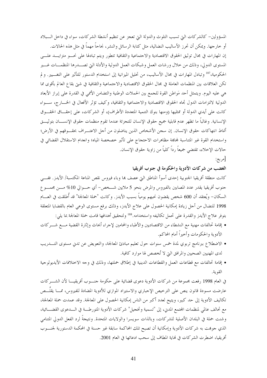المسؤولين– كالشركات التي تسبب التلوث والدولة التي تعجز عن تنظيم أنشطة الشركات، سواء في داخل الـــبلاد أو خارجها. ويمكن أن تحرز الأساليب النضالية، مثل كتابة الرسائل والنشر، نجاحاً مهماً في مثل هذه الحالات. إن المهارات في مجال توثيق الحقوق الاقتصادية والاحتماعية والثقافية تتطور ويتم تبادلها على نحسو متزايسد علسى المستوى الدولي، وذلك من خلال ورشات العمل وشبكات العمل الدولية والأدلة التي تصـــدرها المنظمـــات غـــير الحكومية،187 وتبادل المهارات في مجال الأساليب، من تحليل الميزانية إلى استخدام الدستور للتأثير على التغـــيير. ولم تكن العلاقات بين المنظمات العاملة في مجال الحقوق الاقتصادية والاحتماعية والثقافية في شتى بقاع العالم بأقوى مما هي عليه اليوم. ويتمثل أحد مَواطن القوة للجمع بين الحملات الوطنية والتضامن الأممي في القدرة على إبراز الأبعاد الدولية لالتزامات الدول تجاه الحقوق الاقتصادية والاحتماعية والثقافية، وكيف تؤثر الأفعال في الخسارج، سسواء كانت على أيدي الدولة أو ممثليها (ومنها بنوك التنمية المتعددة الأطراف)، أو الشركات، على إحقـــاق الحقـــوق الإنسانية. وغالباً ما تظهر عدم قابلية جميع حقوق الإنسان للتجزئة عندما تقوم منظمات حقوق الإنســــان بتوثيــــق أنماط انتهاكات حقوق الإنسان. إن سجن الأشخاص الذين يناضلون من أجل الاعتـــراف بحقـــوقهم في الأرض؛ واستخدام القوة غير المتناسبة لمحاهمة مظاهرات الاحتجاج على تأثير خصخصة المياه؛ وانعدام الاستقلال القضائي في حالات الإخلاء، تقتضي جميعاً رداً كلياً من زاوية حقوق الإنسان.

[مربع:

الغضب من شركات الأدوية والحكومة في جنوب أفريقيا

كانت منطقة أفريقيا الجنوبية إحدى أسوأ المناطق التي عصف هما وباء فيروس نقص المناعة المكتسبة/ الأيدز. ففـــي حنوب أفريقيا يقدر عدد المصابين بالفيروس والمرض بنحو 5 ملايين شـــخص- أي حـــوالي 10% مــــن مجمــــو ع السكان– ويُعتقد أن 600 شخص يقضون نحبهم يومياً بسبب الأيدز . وكانت "حملة المعالجة" قد أُطلقت في العـــام 1998 للنضال من أحل زيادة إمكانية الحصول على علاج الأيدز، وذلك برفع مستوى الوعى العام بالقضايا المتعلقة بتوفر علاج الأيدز والقدرة على تحمل تكاليفه واستخدامه.<sup>188</sup> ولتحقيق أهدافها قامت حملة المعالجة بما يلي:

- إقامة تحالفات مهنية مع النشطاء من الاقتصاديين والأطباء والمحامين لإجراء أبحاث وإثارة القضية مـــع شـــر كات الأدوية والحكومات وأحيراً أمام المحاكم.
- الاضطلاع ببرنامج تربوي لمدة خمس سنوات حول تعليم مبادئ المعالجة، والتعويض عن تدبى مستوى التــــدريب لدى المهنيين الصحيين والمرافق التي لا تُخصص لها موارد كافية.
- إقامة تحالفات مع قطاعات العمل والقطاعات الدينية في إطلاق حملتها، وذلك في وجه الاختلافات الأيديولوجية القوية.

في العام 1998 رفعت مجموعة من شركات الأدوية دعوى قضائية على حكومة حنسوب أفريقيـــا لأن الشــــركات عارضت مسودة قانون ينص على الترخيص الإحباري والاستيراد الموازي للأدوية المضادة للفيروس، ممــــا يقلَـــص تكاليف الأدوية إلى حد كبير، ويتيح لعدد أكبر من الناس إمكانية الحصول على المعالجة. وقد عمدت حملة المعالجة، مع تحالف عالمي لمنظمات المحتمع المدني، إلى "تسمية وتخجيل" شركات الأدوية المتورطــة في الـــدعوى القضـــائية، وشنت حملة في البلدان الأصلية للشركات، وبالذات سويسرا والولايات المتحدة. ونتيجةً لرد الفعل الدولي المتنامي الذي جوهت به شركات الأدوية وإمكانية أن تصبح تلك المحاكمة سابقة غير حسنة في المحكمة الدستورية لجنــــوب أفريقيا، اضطرت الشركات في نماية المطاف إلى سحب ادعائها في العام 2001.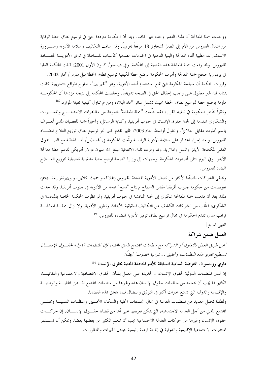ووجدت حملة المعالجة أن ذلك النصر وحده غير كاف. وبدا أن الحكومة مترددة حتى في توسيع نطاق خطة الوقاية من انتقال الفيروس من الأم إلى الطفل لتتجاوز 18 موقعاً تجريبياً. وقد ساقت التكاليف وسلامة الأدوية وضــــرورة الاستشارات الطبية أثناء المعالجة والبنية التحتية في الخدمات الصحية كأسباب للمماطلة في توفير الأدويــــة المضــــادة للفيروس. وقد رفعت حملة المعالجة هذه القضية إلى المحكمة. وفي ديسمبر/ كانون الأول 2001، قبلت المحكمة العليا

في بريتوريا حجج حملة المعالجة وأمرت الحكومة بوضع خطة لكيفية توسيع نطاق الخطة قبل مارس/ آذار 2002. وقررت المحكمة أن سياسة الحكومة التي تمنع استخدام أحد الأدوية، وهو "نفيرابين"، خارج المواقع التجريبية كانت بمثابة قيد غير معقول على واجب إحقاق الحق في الصحة تدريجياً. وخلصت المحكمة إلى نتيجة مؤداها أن الحكومـــة

ملزمة بوضع خطة لتوسيع نطاق الخطة بحيث تشمل سائر أنحاء البلاد، ومن ثم تناول كيفية تعبئة الموارد.<sup>189</sup> ونظراً لتأخر الحكومة في تنفيذ القرار، فقد نظَّمت "حملة المعالجة" بحموعة من مظاهرات الاحتجــــاج والمســـــــيرات والشكاوى المقدمة إلى لجنة حقوق الإنسان في حنوب أفريقيا، وكتابة الرسائل، وأخيراً حملة للعصيان المدني تُعـــرف باسم "الموت مقابل العلاج". وبحلول أواسط العام 2003، ظهر تقدم كبير نحو توسيع نطاق توزيع العلاج المضــاد للفيروس. وبعد إجراء احتبار على سلامة الأدوية الرئيسية وقَّعت الحكومة في أغسطس/ آب اتفاقية مع الصـــندوق العالمي لمكافحة الأيدز والسل والملاريا، وقد وفرت تلك الاتفاقية مبلغ 41 مليون دولار أمريكي لدعم خطة معالجة الأيدز. وفي اليوم التالي أصدرت الحكومة توحيهات إلى وزارة الصحة لوضع خطة تشغيلية تفصيلية لتوزيع العـــلاج المضاد للفيروس.

وتتلقى الشركات المصنِّعة لأكثر من نصف الأدوية المضادة للفيروس (غلاكسو سميث كلاين، وبويهرنغر إنغلـــهايم) تعويضات من حكومة جنوب أفريقيا مقابل السماح بإنتاج "نسخ" عامة من الأدوية في جنوب أفريقيا. وقد حدث ذلك بعد أن قدمت حملة المعالجة شكوى إلى لجنة المناقشة في حنوب أفريقيا. ولو نظرت الحكمة الخاصة بالمنافسة في الشكوى، لطُلب من الشركات الكشف عن التكاليف الحقيقية للأبحاث وتطوير الأدوية. ولا تزال حملـــة المعالجــــة تراقب مدى تقدم الحكومة في مجال توسيع نطاق توفير الأدوية المضادة للفيروس.<sup>99</sup>

انتهى المربع]

## العمل ضمن شراكة

"عن طريق العمل بالتعاون أو الشراكة مع منظمات الجتمع المدني الحلية، فإن المنظمات الدولية لحقــوق الإنســـان تستطيع تعزيز هذه المنظمات، وتحقيق …شرعية الصوت" أيضاً:

ماري روبنسون، المفوضة السامية السابقة للأمم المتحدة المعنية بحقوق الإنسان الثل

إن لدى المنظمات الدولية لحقوق الإنسان، والجديدة على العمل بشأن الحقوق الاقتصادية والاجتماعية والثقافيـــة، الكثير مما يجب أن تتعلمه من منظمات حقوق الإنسان هذه وغيرها من منظمات المحتمع المسدين المحليسة والوطنيسة والإقليمية والدولية التي تتمتع بخبرات أكبر في التوثيق والنضال فيما يتعلق هذه القضايا.

ولطالما ناضل العديد من المنظمات العاملة في مجال المجتمعات المحلية والسكان الأصليين ومنظمات التنميــــة وممثلـــي المحتمع المدن من أجل العدالة الاجتماعية، التي يمكن تعريفها على ألها من قضايا حقـــوق الإنســـان. إن حركـــات حقوق الإنسان وغيرها من حركات العدالة الاحتماعية يجب أن تتعلم الكثير من بعضها بعضا. ويمكن أن تســــتمر المنتديات الاحتماعية الإقليمية والدولية في إتاحة فرصة رئيسية لتبادل الخبرات والمنظورات.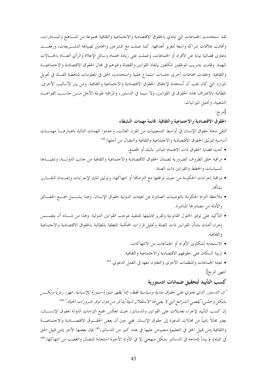لقد استخدمت الجماعات التي تنادى بالحقوق الاقتصادية والاحتماعية والثقافية مجموعة من المنساهج والمبسادرات، وأقامت علاقات شراكة واسعة لتعزيز أهدافها. كما عملت مع المشرعين والمحامين لصياغة التشـــريعات، ورفعـــت دعاوى قضائية نيابة عن الأفراد أو الجماعات، وعملت على زيادة اهتمام وسائل الإعلام والرأي العـــام بالحـــالات المهمة. وقامت بتدريب الموظفين المكلفين بإنفاذ القوانين والقضاة وغيرهم في مجال الحقوق الاقتصادية والاجتماعيـــة والثقافية. وعقدت جماعات أخرى جلسات استماع علنية واستخدمت الحق في المعلومات لمناهضة الفساد في تحويل الموارد التي كان يجب أن تُستخدم لإحقاق الحقوق الاقتصادية والاحتماعية والثقافية. ومن بين الأساليب الأخرى: المطالبة بالاعتراف بمذه الحقوق في القوانين، ولا سيما في الدستور، والمراقبة طويلة الأحل مـــن حانـــب القواعـــد الشعبية، وتحليل الميزانيات.

[مربع:

#### الحقوق الاقتصادية والاجتماعية والثقافية: قائمة مهمات النشطاء

التقى دعاة حقوق الإنسان في أواسط التسعينيات من القرن الفائت، وحددوا المهمات التالية باعتبارهـــا مهمــــات أساسية لتوثيق الحقوق الاقتصادية والاجتماعية والثقافية والنضال من أجلها:<sup>192</sup>

- تحديد قضايا الحقوق ذات الاهتمام المباشر بالبلد أو المحتمع.
- مراقبة خلق الظروف الضرورية لضمان الحقوق الاقتصادية والاحتماعية والثقافية من حانب الدولـــة، وتنفيـــذها للسياسات والخطط والقوانين ذات الصلة.
- مراقبة إجراءات الحكومة من حيث توافقها مع التزامالها أو انتهاكها، وتوثيق تلك الإجراءات وإعـــداد التقــــارير بشألها.
- ملاحظة التزام الحكومة بالتوصيات الصادرة عن الهيئات الدولية لحقوق الإنسان. وهذا يشـــمل جمـــع الحقـــائق والأدلة من مصادرها المباشرة.
- التأكيد على توفير الحلول القانونية وتقرير قابليتها للتنفيذ بموجب القوانين الدولية. وهذا من شـــانه أن يتضـــمن إجراء أبحاث بشأن القوانين ذات الصلة وتحليل قرارات المحكمة المتعلقة بالمطالبة بالحقوق الاقتصادية والاجتماعية و الثقافية.
	- الاستجابة لشكاوى الأفراد أو الجماعات من الانتهاكات.
	- تربية السكان على حقوقهم الاقتصادية والاحتماعية والثقافية.
	- تعبئة الجماعات والمنظمات الأخرى والتعاون معها في العمل الدعوى.<sup>193</sup>

انتهى المربع]

### كسب التأييد لتحقيق ضمانات ادستورية

"إن الدستور الذي يحتوي على حقوق مدنية وسياسية فقط، إنما ُيظهر صورة مبتورة للإنسانية. فيو، رمزيًا ولكب بشكل وحشي، 'يقصى الشرائح التي لا يعني لها الاستقلال شيئاً 'يذكر من دون توفر ضرورات الحياة." <sup>194</sup> إن كسب التأييد لإجراء تعديلات على القوانين والدساتير، بحيث تعكس جميع التزامات الدولة بحقوق الإنســــان، يعتبر مجالاً نامياً من مجالات الدعوة إلى حقوق الإنسان. ففي حين أن بعض الحقـــوق الاقتصــــادية والاجتماعيـــة والثقافية (من قبيل الحق في التعليم) منصوص عليها في عدد كبير من الدساتير،<sup>195</sup> فإن بعضها الآخر (من قبيل الحق في المياه) لم يبدأ إدماجه في الدساتير بشكل منهجي إلا في الآونة الأخيرة استجابةً للنضال والغضب من انتهاكها.<sup>196</sup>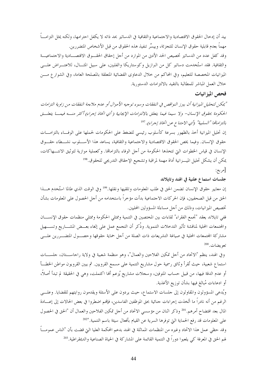بيد أن إدخال الحقوق الاقتصادية والاحتماعية والثقافية في الدساتير بحد ذاته لا يكفل احترامها، ولكنه يمثل التزامـــأ مهماً بعدم قابلية حقوق الإنسان للتجزئة، وييسِّر تنفيذ هذه الحقوق من قبل الأشخاص المتضررين. وقد كفل عدد من الدساتير تخصيص الحد الأدبى من الموارد من أحل إحقاق الحقـــوق الاقتصـــادية والاحتماعيـــة والثقافية. فقد استُخدمت دساتير كل من البرازيل وكوستاريكا والفلبين، على سبيل المثـــال، للاعتـــراض علــــي الميزانيات المخصصة للتعليم، وفي المحاكم من خلال الدعاوى القضائية المتعلقة بالمصلحة العامة، وفي الشوار ع مـــن خلال العمل المباشر للمطالبة بالتقيد بالالتزامات الدستورية.

#### فحص الميز انيات

"يمكن لتحليل الميزانية أن يبرز النواقص في النفقات وسوء توجيه الأموال أو علىم ملاءمة النفقات من زاوية التزامات الحكومة بحقوق الإنسان- ولا سيما فيما يتعلق بالالتزامات الإيجابية ( أي اتخاذ إجراء) أكثر منه فيمسا يتعلسق بالتزاماتها "السلبية" (أي الامتناع عن اتخاذ إجراء). <sup>197</sup>

إن تحليل الميزانية أخذ بالظهور بسرعة كأسلوب رئيسي للضغط على الحكومات لحملها على الوفــاء بالتزامـــات حقوق الإنسان. وفيما يخص الحقوق الاقتصادية والاجتماعية والثقافية، يساعد هذا الأســـلوب نشـــطاء حقـــوق الإنسان في قياس الخطوات التي تتخذها الحكومة من أجل الوفاء بالتزاماتها. وكعملية موازية لتوثيق الانتـــهاكات، يمكن أن يشكل تحليل المسزانية أداة مهمة لمراقبة وتشجيع الإحقاق التدريجي للحقوق. <sup>198</sup>

[مربع:

جلسات استماع علنية في الهند وتايلاند

إن معايير حقوق الإنسان تضمن الحق في طلب المعلومات وتلقيها ونقلها.<sup>199</sup> وفي الوقت الذي طالما استُخدم هـــذا الحق من قبل الصحفيين، فإن الحركات الاجتماعية بدأت مؤخراً باستخدامه من أجل الحصول على المعلومات بشأن تخصيص الميزانيات، وذلك من أحل مساءلة المسؤولين المحليين.

ففي تايلاند يعقد "تجمع الفقراء" لقاءات بين المختصين في التنمية وممثلي الحكومة وممثلي منظمات حقوق الإنســـان والمحتمعات المحلية لمناقشة تأثير التدحلات التنموية. وذُكر أن التجمع عمل على إلغاء بعــض المشــــاريع وتســــهيل مشاركة المحتمعات المحلية في صياغة التشريعات ذات الصلة من أحل حماية حقوقها وحصـــول المتضـــررين علــــى تعويضات.<sup>200</sup>

وفي الهند، ينظم "الاتحاد من أجل تمكين الفلاحين والعمال"، وهو منظمة شعبية في ولاية راحاســـتان، حلســـات استماع شعبية، حيث تُقرأ وثائق رسمية حول مشاريع التنمية على مسمع القرويين. ثم يبين القرويون مواطن الخطـــأ أو عدم الدقة فيها، من قبيل حساب المتوفين، وسجلات مشاريع يُزعم ألها اكتملت، وهي في الحقيقة لم تبدأ أصلاً، أو ادعاءات مُبالغ فيها بشأن توزيع الأغذية.

ويُدعى المسؤولون والمقاولون إلى جلسات الاستماع، حيث يردون على الأسئلة ويقدمون روايتهم للقضايا. وعلـــي الرغم من أنه نادراً ما اتُخذت إجراءات جنائية بحق الموظفين الفاسدين، فإنهم اضطروا في بعض الحالات إلى إعــــادة المال بعد افتضاح أمرهم. <sup>201</sup> وذكر اثنان من مؤسسي الاتحاد من أجل تمكين الفلاحين والعمال أن "الحق في الحصول على المعلومات قد رفع الحماية التي توفرها السرية عن القيام بأفعال سيئة باسم التنمية.''202 وقد حظى عمل هذا الاتحاد وغيره من المنظمات المماثلة في الهند بدعم المحكمة العليا التي قضت بأن "الناس عمومــــاً لهم الحق في المعرفة كي يلعبوا دوراً في التنمية القائمة على المشاركة في الحياة الصناعية والديمقراطية.<sup>203</sup>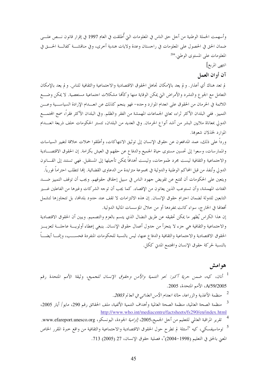وأسهمت الحملة الوطنية من أحل حق الناس في المعلومات التي أُطلقت في العام 1997 في إقرار قانون نـــص علــــي ضمان الحق في الحصول على المعلومات في راجستان وعدة ولايات هندية أخرى، وفي مناقشـــة كفالـــة الحـــق في المعلومات على المستوى الوطني.<sup>204</sup>

### انتهى المربع]

### آن أوان العمل

لم تعد هناك أي أعذار. و لم يعد بالإمكان تحاهل الحقوق الاقتصادية والاحتماعية والثقافية للناس. و لم يعد بالإمكان التعامل مع الجوع والتشرد والأمراض التي يمكن الوقاية منها وكأفما مشكلات احتماعية مستعصية. لا يمكن وضـــع اللائمة في الحرمان من الحقوق على انعدام الموارد وحده– فهو ينجم كذلك عن انعـــدام الإرادة السياســـية وعـــن التمييز. ففي البلدان الأكثر ثراء، تعاني الجماعات المهمشة من الفقر والظلم. وفي البلدان الأكثر فقراً، سمح المحتمـــع الدولي بمعاناة ملايين البشر من أشد أنواع الحرمان. وفي العديد من البلدان، تتستر الحكومات حلف ذريعة انعـــدام الموارد لخذلان شعوبها.

ورداً على ذلك، عمد المدافعون عن حقوق الإنسان إلى توثيق الانتهاكات، وأطلقوا حملات حلاقة لتغيير السياسات والممارسات، وسعوا إلى تحسين مستوى حياة الجميع والدفاع عن حقهم في العيش بكرامة. إن الحقوق الاقتصـــادية والاحتماعية والثقافية ليست مجرد طموحات، وليست أهدافاً يمكن تأجيلها إلى المستقبل. فهي تستند إلى القـــانون الدو لي وتُنفذ من قبل المحاكم الوطنية والدولية في مجموعة متزايدة من الدعاوي القضائية. إنما تتطلب احتراماً فورياً. ويتعين على الحكومات أن تمتنع عن تقويض جهود الناس في سبيل إحقاق حقوقهم. ويجب أن توقف التمييز ضــــد الفئات المهمشة، وأن تستوعب الذين يعانون من الإقصاء. كما يجب أن توجه الشركات وغيرها من الفاعلين غــــير التابعين للدولة لضمان احترام حقوق الإنسان. إن هذه الالتزامات لا تقف عند حدود بلدالها، بل تتحاوزها لتشمل أفعالها في الخارج، سواء كانت بمفردها أو من خلال المؤسسات المالية الدولية.

إن هذا الكراس يُظهر ما يمكن تحقيقه عن طريق النضال الذي يتسم بالعزم والتصميم. ويبين أن الحقوق الاقتصادية والاحتماعية والثقافية هي جزء لا يتجزأ من حدول أعمال حقوق الإنسان. ينبغي إعطاء أولويسة عاجلسة لتعزيسز الحقوق الاقتصادية والاحتماعية والثقافية والدفاع عنها، ليس بالنسبة للحكومات المنفردة فحســـب، وإنمـــا أيضــــاً بالنسبة لحركة حقوق الإنسان والمحتمع المدني ككل.

### هو امش

<sup>1</sup> أنان، كيه، ضم*ن حرية أكبر: نحو التنمية والأمن وحقوق الإنسان للجميع،* وثيقة الأمم المتحدة رقم A/59/2005. الأمم المتحدة، 2005.

- منظمة الأغذية والزراعة، حا*لة انعدام الأمن الغذائي في العالم 2003.*
- $\overline{\mathbf{3}}$ منظمة الصحة العالمية، منظمة الصحة العالمية وأهداف التنمية الألفية، ملف الحقائق رقم 290، مايو/ أيار 2005، http://www.who.int/mediacentre/factsheets/fs290/en/index.html

تقرير المراقبة العالمي للتعليم من أحل الجميع،2005، *إلزامية* الجودة، اليونسكو، www.efareport.unesco.org. <sup>5</sup> توماسيفسكي، كيه "أسئلة لم تطرح حول الحقوق الاقتصادية والاحتماعية والثقافية من واقع خبرة المقرر الخاص المعنى بالحق في التعليم (1998–2004)"، فصلية حقوق الإنسان، 27 (2005) 713.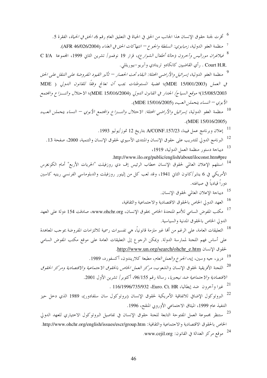- <sup>6</sup> أقرت لجنة حقوق الإنسان هذا الجانب من الحق في الحياة في التعليق العام رقم 6، *الحق في الحياة*، الفقرة 5. <sup>7</sup> منظمة العفو الدولية، *زمبابوي: السلطة والجوع – انتهاكات الحق في الغذاء* (AFR 46/026/2004). <sup>8</sup> ف*يلاغران موراليس وأخرون (حالة أطفال الشوارع)*، قرار 19 نوفمبر/ تشرين الثاني 1999، المجموعة C I/A . Court H.R . رأي القاضيين كانكادو ترينادي وآبريو -بيوريللي. 9<br>في منظمة العفو الدولية، إسرائيل والأراضبي المحتل*ة: البقاء تحت الحصار — تأثير القيود المفروضة على التنقل على الحق*
- في العمل (MDE 15/001/2003)؛ قضية المستوطنات يجب أن تعالج وفقاً للقانون الدولي ( MDE 15/085/2003)؛ موقع السياج/ الجدار في القانون الدولي (MDE 15/016/2004)؛ الاحتلال والنسزاع والجتمع الأبوي – النساء يتحملن العبء (15/016/2005).
- <sup>10</sup> منظمة العفو الدولية، ٳسر*ائيل والأراضي المحتلة: الاحتلال والنـــزاع والمجتمع الأبوي النساء يتحملن العبء*  $(MDE 15/016/2005)$ 
	- .<br>11 إعلان وبرنامج عمل فيينا، A/CONF.157/23 بتاريخ 12 تموز/يوليو 1993.
	- <sup>12</sup> البرنامج الدولي للتدريب على حقوق الإنسان والمنتدى الأسيوي لحقوق الإنسان والتنمية، 2000، صفحة 13.
		- <sup>13</sup> ديباجة دستور منظمة العمل الدولية، 1919،
		- .http://www.ilo.org/public/english/about/iloconst.htm#pre
- استلهم الإعلان العالمي لحقوق الإنسان حطاب الرئيس إف دي روزفيلت "الحريات الأربع" أمام الكونغرس الأمريكي في 6 يناير/كانون الثاني 1941، وقد لعب كل من إلينور روزفيلت والدبلوماسي الفرنسي رينيه كاسين دوراً قيادياً في صياغته.
	- <sup>15</sup> ديباحة الإعلان العالمي لحقوق الإنسان.
	- <sup>16</sup> العهد الدولي الخاص بالحقوق الاقتصادية والاحتماعية والثقافية،
- <sup>17</sup> مكتب المفوض السامي للأمم المتحدة الخاص بحقوق الإنسان، www.ohchr.org، صادقت 154 دولة على العهد الدولي الخاص بالحقوق المدنية والسياسية.
- <sup>18</sup> التعليقات العامة، على الرغم من ألها غير ملزمة قانونياً، هي تفسيرات رسمية للالتزامات المفروضة بموجب المعاهدة على أساس فهم اللجنة لممارسة الدولة. ويمكن الرجوع إلى التعليقات العامة على موقع مكتب المفوض السامي لحقوق الإنسان http://www.un.org/search/ohchr\_e.htm.
	- <sup>19</sup> دريز، جيه وسين، إيه، *الجوع والعمل العام*، مطبعة كلاريندون، أكسفورد، 1989.
- <sup>20</sup> اللحنة الأفريقية لحقوق الإنسان والشعوب، *مركز العمل الخاص بالحقوق الاحتماعية والاقتصادية ومركز الحقوق* الاقتصادية والاجتما*عية ضد نيجيريا*، رسالة رقم 96/155، أكتوبر/ تشرين الأول 2001.
	- .<br>21 غيرا وآخرون ضد إيطاليا، Euro. Ct. HR، السلام 116/1996/735/932
- <sup>22</sup> البروتوكول الإضافي للاتفاقية الأمريكية لحقوق الإنسان (بروتوكول سان سلفادور)، 1989 الذي دحل حيز التنفيذ عام 1999، الميثاق الاجتماعي الأوروبي المنقح، 1996.
- <sup>23</sup> ستنظر مجموعة العمل المفتوحة التابعة للجنة حقوق الإنسان في تفاصيل البروتوكول الاختياري للعهد الدولي الخاص بالحقوق الاقتصادية والاحتماعية والثقافية: http://www.ohchr.org/english/issues/escr/group.htm. <sup>24</sup> موقع مركز العدالة في القانون: www.cejil.org.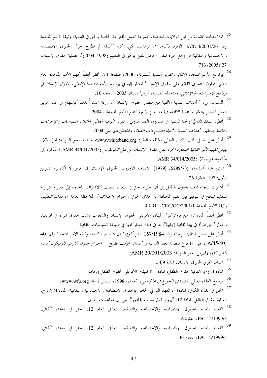- <sup>25</sup> الملاحظات المقدمة من قبل الولايات المتحدة، محموعة العمل المفتوحة الخاصة بالحق في التنمية، وثيقة الأمم المتحدة رقم E/CN.4/2001/26 الوارد ذكرها في توماسيفسكي، كيه "أسئلة لم تطرح حول الحقوق الاقتصادية والاحتماعية والثقافية من واقع خبرة المقرر الخاص المعنى بالحق في التعليم (1998-2004)"، فصلية حقوق الإنسان،  $.713(2005)$  27
- <sup>26</sup> برنامج الأمم المتحدة الإنمائ<sub>ي</sub>، *تقرير التنمية البشرية*، 2000، صفحة 73. أنظر أيضاً "فهم الأمم المتحدة العام لنهج التعاون التنموي القائم على حقوق الإنسان" المشار إليه في برنامج الأمم المتحدة الإنمائي، ح*قوق الإنسان في* برنامج الأمم المتحدة الإنمائي، ملاحظة تطبيقية، أبريل/ نيسان 2005، صفحة 16.
- <sup>27</sup> ألستون، بي، " أهداف التنمية الألفية من منظور حقوق الإنسان ". ورقة بحث أُعدت كإسهام في عمل فريق العمل الخاص بالفقر والتنمية الاقتصادية لمشروع الألفية التابع للأمم المتحدة ، 2004.
- <sup>28</sup> أنظر: البنك الدولي ولجنة التنمية في صندوق النقد الدولي ، *تقرير المراقبة العالمي 2004: السياسات والإحراءات* الخاصة بتحقيق أهداف التنمية الأافيةوالنتائج ذات الصلة، واشنطن دي سي 2004.
- <sup>29</sup> أنظر على سبيل المثال: النداء العالمي لمكافحة الفقر: www.whiteband.org؛ منظمة العفو الدولية: *غواتيمالا:* ينبغي تقييم تأثير اتفاقية التجارة الحرة على حقوق الإنسان من قبل الكونغرس (AMR 34/010/2005)؛ ما كرة إلى حكومة *غواتيمالا (AMR 34/014/2005*)
- <sup>30</sup> *ايري ضد أيرلندا*، (6289/73) [1979] الاتفاقية الأوروبية لحقوق الإنسان 3، قرار 9 أكتوبر/ تشرين الأول1979، الفقرة 26.
- ۔<br><sup>31</sup> أشارت اللحنة المعنية بحقوق الطفل إلى أن احترام الحق في التعليم يتطلب "الاعتراف بالحاحة إلى مقاربة متوازنة للتعليم تنجح في التوفيق بين القيم المختلفة من حلال الحوار واحترام الاختلاف"، الملاحظة العامة 1، *هدف التعليم*، وثيقة الأمم المتحدة CRC/GC/2001/1، الفقرة 4.
- <sup>32</sup> أنظر أيضاً المادة 17 من بروتوكول الميثاق الأفريقي لحقوق الإنسان والشعوب بشأن حقوق المرأة في أفريقيا، وحول "حق المرأة في بيئة ثقافية إيجابية"، بما في ذلك مشاركتها في صياغة السياسات الثقافية.
- <sup>33</sup> أنظر على سبيل المثال: الرسالة رقم 167/1984 ، *لوبيكون ليك باند ضد كندا*، وثيقة الأمم المتحدة رقم 40 (A/45/40)، على 1؛ فرع منظمة العفو الدولية في *كندا: "الوقت يضيع" – احترام حقوق الأرض للوبيكون كري* تَأْخِرِ كَثِيرًا (فَهِرْسِ العفوِ الدولية: AMR 20/001/2003).
	- <sup>34</sup> الميثاق العربي لحقوق الإنسان، المادة 9(4).
	- <sup>35</sup> المادة 24(3)، اتفاقية حقوق الطفل، المادة 21؛ الميثاق الأفريقي لحقوق الطفل ورفاهه.
	- 36 برنامج الغذاء العالمي، *التصدي للجوع في عالم مليء بالغذاء*، 1998، الفصل www.wfp.org ،4-1.
- <sup>37</sup> الحق في الغذاء الكافي: المادة11، العهد الدولي الخاص بالحقوق الاقتصادية والاحتماعية والثقافية؛ المادة 24(2) ج، اتفاقية حقوق الطفل؛ المادة 12، "بروتوكول سان سلفادور"، من بين معاهدات أخرى.
- <sup>38</sup> اللحنة المعنية بالحقوق الاقتصادية والاحتماعية والثقافية، التعليق العام 12، *الحق في الغذاء الكافي*، .6 (E/C.12/1999/5) الفقرة 6.
- <sup>39</sup> اللحنة المعنية بالحقوق الاقتصادية والاحتماعية والثقافية، التعليق العام 12، *الحق في الغذاء الكافي*، .36 E/C.12/1999/5، الفقرة 36.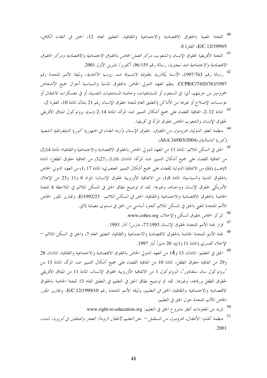- <sup>40</sup> اللجنة المعنية بالحقوق الاقتصادية والاجتماعية والثقافية، التعليق العام 12، *الحق في الغذاء الكافي*، E/C.12/1999/5، الفقرة 8.
- .<br><sup>41</sup> اللجنة الأفريقية لحقوق الإنسان والشعوب، *مركز العمل الخاص بالحقوق الاجتماعية والاقتصادية ومركز الحقوق* الاقتصادية والاحتماعية ضد نيجيريا، رسالة رقم 96/155، أكتوبر/ تشرين الأول 2001.
- <sup>42</sup> رسالة رقم 1997/763، *الآنسة يكاترينا بافلوفنا لانتسوفا ضد روسيا الاتحادية*، وثيقة الأمم المتحدة رقم CCPR/C/74/D/763/1997. ينظم العهد الدولي الخاص بالحقوق المدنية والسياسية أحوال جميع الأشخاص المحرومين من حريتهم، أي: في السجون أو المستشفيات، وخاصة المستشفيات النفسية، أو في معسكرات الاعتقال أو مؤسسات الإصلاح أو غيرها من الأماكن (التعليق العام للجنة حقوق الإنسان رقم 21 بشأن المادة 10، الفقرة 2).
- <sup>43</sup> المادة 12-2، اتفاقية القضاء على جميع أشكال التمييز ضد المرأة، المادة 14-2 (ب)، بروتوكول الميثاق الأفريقي لحقوق الإنسان والشعوب الخاص بحقوق المرأة في أفريقيا.
- <sup>44</sup> منظمة العفو الدولية، محر*ومون من الحقوق: حقوق الإنسان وأزمة الغذاء في جمهورية كوريا الديمقراطية الشعبية* (كوريا الشمالية) (ASA 24/003/2004)
- <sup>45</sup> الحق في السكن الملائم: المادة 11 من العهد الدولي الخاص بالحقوق الاقتصادية والاحتماعية والثقافية؛ المادة 2<sub>1</sub>4) من اتفاقية القضاء على جميع أشكال التمييز ضد المرأة؛ المادتان 16(1) و27(3) من اتفاقية حقوق الطفل؛ المادة 5(هـــ) (iii) من الاتفاقية الدولية للقضاء على جميع أشكال التمييز العنصري؛ المادة 17 (1) من العهد الدولي الخاص بالحقوق المدنية والسياسية؛ المادة 13(1) من الاتفاقية الأوروبية لحقوق الإنسان؛ المواد 8 و11 و23 من الإعلان الأمريكي لحقوق الإنسان وواجباته، وغيرها. لقد تم توضيح نطاق الحق في المسكن الملائم في الملاحظة 4 للجنة الخاصة بالحقوق الاقتصادية والاجتماعية والثقافية، *الحق في المسكن الملائم*، E/1992/23، وتقارير المقرر الخاص للأمم المتحدة المعنى بالحق في المسكن الملائم كجزء أساسي من الحق في مستوى معيشة لائق.
	- <sup>46</sup> المركز الخاص بحقوق السكن والإخلاء، www.cohre.org.
	- <sup>47</sup> قرار لجنة الأمم المتحدة لحقوق الإنسان 77/1993، مارس/ آذار 1993.
- <sup>48</sup> لجنة الأمم المتحدة الحاصة بالحقوق الاقتصادية والاحتماعية والثقافية، التعليق العام 7، (الحق في السكن الملائم الإخلاء القسرى (المادة 11 (1))، 20 مايو/ أيار 1997.
- <sup>49</sup> الحق في التعليم: المادتان 13 و14 من العهد الدولي الخاص بالحقوق الاقتصادية والاحتماعية والثقافية، المادتان 28 و29 من اتفاقية حقوق الطفل، المادة 10 من اتفاقية القضاء على جميع أشكال التمييز ضد المرأة، المادة 13 من "بروتوكول سان سلفادور"، البروتوكول 1 من الاتفاقية الأوروبية لحقوق الإنسان، المادة 11 من الميثاق الأفريقي لحقوق الطفل ورفاهه، وغيرها. لقد تم توضيح نطاق الحق في التعليم في التعليق العام 13 للجنة الخاصة بالحقوق الاقتصادية والاجتماعية والثقافية، *الحق في التعليم*، وثيقة الأمم المتحدة رقم E/C.12/1999/10، وتقارير المقرر الخاص للأمم المتحدة حول الحق في التعليم.
	- <sup>50</sup> لمزيد من المعلومات أنظر مشروع الحق في التعليم: www.right-to-education.org.
- ۔<br><sup>51</sup> منظمة أنقذوا الأطفال، محر*ومون من المستقبل حق التعليم لأطفال الروما/ الغجر والمتنقلين في أوروبا، لندن،* .2001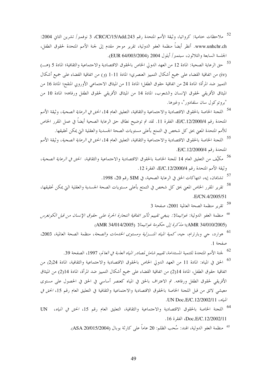- <sup>52</sup> ملاحظات ختامية: كرواتيا، وثيقة الأمم المتحدة رقم CRC/C/15/Add.243، 3 نوفمبر/ تشرين الثاني 2004: www.unhchr.ch. أنظر أيضاً منظمة العفو الدولية، تقرير موجز مقدم إلى لجنة الأمم المتحدة لحقوق الطفل، الجلسة السابعة والثلاثون، سبتمبر/ أيلول 2004 (EUR 64/003/2004).
- ۔<br><sup>53</sup> حق الرعاية الصحية: المادة 12 من العهد الدولي الخاص بالحقوق الاقتصادية والاحتماعية والثقافية؛ المادة 5 (هـــ) (iv) من اتفاقية القضاء على جميع أشكال التمييز العنصري؛ المادة 11-1 (و) من اتفاقية القضاء على جميع أشكال التمييز ضد المرأة؛ المادة 24 من اتفاقية حقوق الطفل؛ المادة 11 من الميثاق الاحتماعي الأوروبي المنقح؛ المادة 16 من الميثاق الأفريقي لحقوق الإنسان والشعوب، المادة 14 من الميثاق الأفريقي لحقوق الطفل ورفاهه؛ المادة 10 من "بروتوكول سان سلفادور"، وغيرها.
- <sup>54</sup> اللجنة الخاصة بالحقوق الاقتصادية والاجتماعية والثقافية، التعليق العام 14، *الحق في الرعاية الصحية*، وثيقة الأمم المتحدة رقم E/C.12/2000/4، الفقرة 11. لقد تم توضيح نطاق حق الرعاية الصحية أيضاً في عمل المقرر الحاص للأمم المتحدة المعنى بحق كل شخص في التمتع بأعلى مستويات الصحة الجسدية والعقلية التي يمكن تحقيقها.
- <sup>55</sup> اللجنة الخاصة بالحقوق الاقتصادية والاجتماعية والثقافية، التعليق العام 14، *الحق في الرعاية الصحية*، وثيقة الأمم المتحدة رقم E/C.12/2000/4.
- <sup>56</sup> مكيَّف من التعليق العام 14 للجنة الخاصة بالحقوق الاقتصادية والاحتماعية والثقافية، *الحق في الرعاية الصحية*، وثيقة الأمم المتحدة رقم E/C.12/2000/4، الفقرة 12.
	- ۔<br><sup>57</sup> تشابمان، إيه، انتهاكات الحق في الرعاية الصحية، في SIM رقم 20، 1998.
- <sup>58</sup> تقرير المقرر الخاص المعنى بحق كل شخص في التمتع بأعلى مستويات الصحة الجسدية والعقلية التي يمكن تحقيقها، .E/CN.4/2005/51
	- <sup>59</sup> تقرير منظمة الصحة العالمية 2001، صفحة 3
- <sup>60</sup> منظمة العفو الدولية: *غواتيمالا: ينبغي تقييم تأثير اتفاقية التجارة الحرة على حقوق الإنسان من قبل الكونغرس* (AMR 34/010/2005)؛ م*ذكرة إلى حكومة غواتيمالا* (AMR 34/014/2005)
- <sup>61</sup> هوارد، حي وبارترام، حيه، *كمية المياه المنـــزلية ومستوى الخدمات والصحة*، منظمة الصحة العالمية، 2003، صفحة 1.
	- <sup>62</sup> لجنة الأمم المتحدة للتنمية المستدامة، *تقييم شامل لمصادر المياه العذبة في العالم*، 1997، الصفحة 39.
- <sup>63</sup> الحق في المياه: المادة 11 من العهد الدولي الخاص بالحقوق الاقتصادية والاحتماعية والثقافية، المادة 29(2) من اتفاقية حقوق الطفل، المادة 14(2) من اتفاقية القضاء على جميع أشكال التمييز ضد المرأة، المادة 14(2) من الميثاق الأفريقي لحقوق الطفل ورفاهه. تم الاعتراف بالحق في المياه كعنصر أساسي في الحق في الحصول على مستوى معيشي لائق من قبل اللجنة الخاصة بالحقوق الاقتصادية والاجتماعية والثقافية في التعليق العام رقم 15، الحق في /لياه، UN Doc.E/C.12/2002/11.
- <sup>64</sup> اللحنة الخاصة بالحقوق الاقتصادية والاحتماعية والثقافية، التعليق العام رقم 15، *الحق في المياه*، UN Doc.E/C.12/2002/11، الفقرة 16.
	- <sup>65</sup> منظمة العفو الدولية، الهند: سُحب الظلم: 20 عاماً على كارثة بوبال (80015/2004). (ASA 20/015/2004).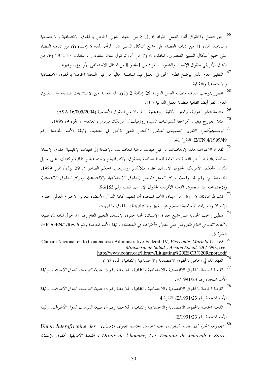- <sup>66</sup> حق العمل والحقوق أثناء العمل: المواد 6 إلى 8 من العهد الدولي الخاص بالحقوق الاقتصادية والاجتماعية والثقافية، المادة 11 من اتفاقية القضاء على جميع أشكال التمييز ضد المرأة، المادة 5 (هـــ) (i) من اتفاقية القضاء على جميع أشكال التمييز العنصري، المادتان 6 و7 من "بروتوكول سان سلفادور"، المادتان 15 و 29 (6) من الميثاق الأفريقي لحقوق الإنسان والشعوب، المواد من 1-4 و 8 من الميثاق الاجتماعي الأوروبي، وغيرها.
- <sup>67</sup> التعليق العام الذي يوضح نطاق الحق في العمل قيد المناقشة حالياً من قبل اللجنة الخاصة بالحقوق الاقتصادية والاجتماعية والثقافية.
- <sup>68</sup> محظور بموجب اتفاقية منظمة العمل الدولية 29 (المادة 2 (1)). ثمة العديد من الاستثناءات الضيقة لهذا القانون العام. أنظر أيضاً اتفاقية منظمة العمل الدولية 105.
	- <sup>69</sup> منظمة العفو الدولية، ميانمار: الأقلية الروهينغية- الحرمان من الحقوق الأساسية (ASA 16/005/2004)
	- <sup>70</sup> مثلاً: حورج فيغيل، "مراجعة لتشوشات السيدة روزفيلت"، أميريكان بيربوس، العدد–1، الجزء 9، 1995.
- ۔<br><sup>71</sup> توم*اسيفيكس، التقرير التمهيدي للمقرر الخاص المعني بالحق في التعليم*، وثيقة الأمم المتحدة رقم E/CN.4/1999/49. الفقرة 41.
- ۔<br><sup>72</sup> لقد تم الاعتراف بمذہ الإرهاصات من قبل هيئات مراقبة المعاهدات، بالإضافة إلى الهيئات الإقليمية لحقوق الإنسان الخاصة بالتنفيذ. أنظر التعليقات العامة للجنة الخاصة بالحقوق الاقتصادية والاجتماعية والثقافية وكذلك، على سبيل المثال، المحكمة الأمريكية لحقوق الإنسان، *قضية بيلائكيز رودريغيز*، الحكم الصادر في 29 يوليو/ تموز 1989، الجموعة ج، رقم 4، وقضية مركز العمل الخاص بالحقوق الاجتماعية والاقتصادية ومركز الحقوق الاقتصادية والاحتماعية ضد نيجيريا، اللجنة الأفريقية لحقوق الإنسان، قضية رقم 96/155.
- ۔<br>3 تشترط المادتان 55 و56 من ميثاق الأمم المتحدة أن تتعهد كافة الدول الأعضاء بتعزيز الاحترام العالمي لحقوق الإنسان والحريات الأساسية للجميع دون تمييز والالتزام بتلك الحقوق والحريات.
- <sup>74</sup> ينطبق واحب الحماية على جميع حقوق الإنسان: لجنة حقوق الإنسان، التعليق العام رقم 31 حول المادة 2، *طبيعة* الالتزام القانوين العام المفروض على اللهول الأطراف في المعاهدة، وثيقة الأمم المتحدة رقم HRI/GEN/1/Rev.6، الفقرة 8.
- Cámara Nacional en lo Contencioso-Administrativo Federal, IV, Viceconte, Mariela C. v El<sup>75</sup> Ministerio de Salud y Accion Social, 2/6/1998, see
	- http://www.cohre.org/library/Litigating%20ESCR%20Report.pdf
	- 76<br>16 العهد الدولي الخاص بالحقوق الاقتصادية والاحتماعية والثقافية، المادة 2(1).
- ۔<br><sup>77</sup> اللحنة الخاصة بالحقوق الاقتصادية والاحتماعية والثقافية، الملاحظة رقم 3، *طبيعة التزامات الدول الأطراف*، وثيقة الأمم المتحدة , قم E/1991/23.
- .<br><sup>78</sup> اللجنة الخاصة بالحقوق الاقتصادية والاحتماعية والثقافية، الملاحظة رقم 3، *طبيعة التزامات الدول الأطراف*، وثيقة الأمم المتحدة رقم E/1991/23، الفقرة 4.
- <sup>79</sup> اللحنة الخاصة بالحقوق الاقتصادية والاحتماعية والثقافية، الملاحظة رقم 3، *طبيعة التزامات الدول الأطراف*، وثيقة الأمم المتحدة , قم E/1991/23.
- <sup>80</sup> المجموعة الحرة للمساعدة القانونية، لجنة المحامين الخاصة بحقوق الإنسان، Union Interafricaine des ، Droits de l'homme, Les Témoins de Jehovah v Zaire ، اللجنة الأفريقية لحقوق الإنسان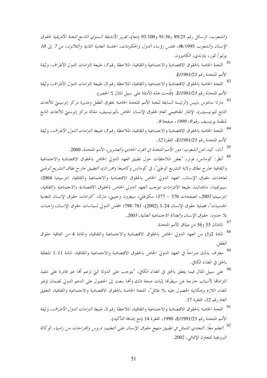والشعوب، الرسائل , فيه 89/25 ,91/56 ,99/100 (معاً)، تقرير الأنشطة السنوي التاسع للجنة الأفريقية لحقوق الإنسان والشعوب 96/1995، مجلس رؤساء الدول والحكومات، الجلسة العادية الثانية والثلاثون، من 7 إلى 10 يوليو/ تموز، ياوندي، الكاميرون.

- .<br>81 اللجنة الخاصة بالحقوق الاقتصادية والاجتماعية والثقافية، الملاحظة رقم 3، طبيعة التزامات الدول الأطراف، وثيقة الأمم المتحدة , قم E/1991/23.
- <sup>82</sup> اللجنة الخاصة بالحقوق الاقتصادية والاحتماعية والثقافية، الملاحظة رقم 3، طبيعة التزامات الدول الأطراف، وثيقة الأمم المتحدة رقم E/1991/23. (قُدمت هذه الأمثلة على سبيل المثال لا الحصر).
- <sup>83</sup> مارتا سانتوس باييس (الرئيسة السابقة للجنة الأمم المتحدة الخاصة بحقوق الطفل ومديرة مركز إنوسينتي للأبحاث التابع لليونيسيف)، الإطار المفاهيمي العام لحقوق الإنسان الخاص باليونيسيف، مقالة مركز إنوسنتي للأبحاث التابع لمنظمة يونيسيف رقم 9، 1999، صفحة 8.
- <sup>84</sup> اللحنة الخاصة بالحقوق الاقتصادية والاحتماعية والثقافية، الملاحظة رقم 3، *طبيعة التزامات الدول الأطراف*، وثيقة  $12$  الأمم المتحدة , قم E/1991/23، الفقرة 12.
	- <sup>85</sup> أنان، كيه، *نحن الشعوب*: *دور الأمم المتحدة في القرن الحادي والعشرين*، الأمم المتحدة، 2000.
- <sup>86</sup> أنظر: كومانس، فونز، "بعض الملاحظات حول تطبيق العهد الدولي الخاص بالحقوق الاقتصادية والاحتماعية والثقافية خارج نطاق ولاية التشريع الوطني"، في كومانس وكامينغا (محرران)، *التطبيق حارج نطاق التشريع الوطني لعاهدات حقوق الإنسان*، العهد الدولي الخاص بالحقوق الاقتصادية والاحتماعية والثقافية، انترسينتيا 2004؛ سيبولفيدا، ماغدالينا، طبيعة *الالتزامات بموجب العهد الدو*لي *الخاص بالحقوق الاقتصادية والاجتماعية والثقافية*، انترسينتيا 2003، الصفحات 370 – 377؛ سكوغلي، سيغرون وجيبني، مارك، "التزامات حقوق الإنسان المتعدية الجنسيات"، فصلية حقوق الإنسان 24-3 (2002)، 781-798؛ المجلس الدولي لسياسات حقوق الإنسان، *واجبات* بلا حدود: حقوق الإنسان والعدالة الاجتماعية العالمية، 2003.
	- <sup>87</sup> المادتان 55 و56 من ميثاق الأمم المتحدة.
- <sup>88</sup> المادة 2(1) من العهد الدولي الخاص بالحقوق الاقتصادية والاحتماعية والثقافية، والمادة 4 من اتفاقية حقوق الطفل.
- <sup>89</sup> معترف بذلك صراحةً في العهد الدولي الخاص بالحقوق الاقتصادية والاحتماعية والثقافية، المادة 11-1 المتعلقة بالحق في الغذاء الكافي.
- <sup>90</sup> على سبيل المثال فيما يتعلق بالحق في الغذاء الكافي، "يتوحب على الدولة التي تزعم ألها غير قادرة على تنفيذ التزاماتها لأسباب خارجة عن سيطرقما إثبات صحة ذلك وأنها سعت إلى الحصول على الدعم الدولي لضمان توفير الغذاء اللازم وإمكانية الحصول عليه بلا طائل"، اللجنة الخاصة بالحقوق الاقتصادية والاحتماعية والثقافية، التعليق العام رقم 12، الفقرة 17.
- <sup>91</sup> اللحنة الخاصة بالحقوق الاقتصادية والاحتماعية والثقافية، الملاحظة رقم 3، *طبيعة التزامات الدول الأطراف*، وثيقة الأمم المتحدة رقم E/1991/23، 1990، الفقرة 14 (مع إضافة التأكيد).
- <sup>92</sup> التعلم معاً: التح*دي ا*لمتمثل في تطبيق منهج حقوق الإنسان *على التعليم، دروس واقتراحات من زامبيا*، الوكالة النرويجية للتعاون الإنمائي، 2002.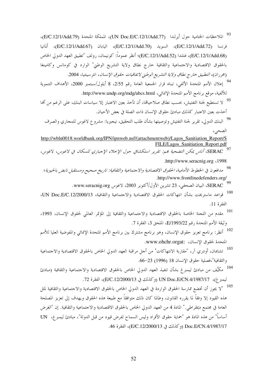- <sup>93</sup> الملاحظات الختامية حول أيرلندا (UN Doc.E/C.12/1/Add.77)، المملكة المتحدة (E/C.12/1/Add.79)، فرنسا (E/C.12/1/Add.72)، السويد (E/C.12/1/Add.70)، اليابان (E/C.12/1/Add.67)، ألمانيا (E/C.12/1/Add.68)، فنلندا (E/C.12/1/Add.52)؛ أنظر عموماً: كونيمان، رولف "تطبيق العهد الدولي الخاص بالحقوق الاقتصادية والاجتماعية والثقافية حارج نطاق ولاية التشريع الوطني" الوارد في كومانس وكامينغا (محرران)، *التطبيق خارج نطاق ولاية التشريع الوطني لاتفاقيات حقوق الإنسان*، انترسينتيا، 2004. <sup>94</sup> إعلان الأمم المتحدة الألفى، تبناه قرار الجمعية العامة رقم 2/55، 8 أيلول/سبتمبر 2000، الأهداف التنموية للألفية، موقع برنامج الأمم المتحدة الإنمائي، http://www.undp.org/mdg/abcs.html. <sup>95</sup> لا تستطيع لجنة التفتيش، بحسب نطاق صلاحياقما، أن تأخذ بعين الاعتبار إلا سياسات البنك، على الرغم من أنما أخذت بعين الاعتبار كذلك مبادئ حقوق الإنسان ذات الصلة في بعض الأحيان. <sup>96</sup> البنك الدولي، تقرير لجنة التفتيش وتوصيتها بشأن طلب التحقيق، نيجيريا: مشروع لاغوس للمحاري والصرف الصحى، http://wbln0018.worldbank.org/IPN/ipnweb.nsf/(attachmentweb)/Lagos\_Sanitiation\_Report/\$ FILE/Lagos\_Sanitiation\_Report.pdf SERAC، أناس يمكن التضحية بمم: تقرير استكشافي حول الإحلاء الإجباري للسكان في لاغوس، لاغوس، .http://www.seracnig.org <1998 .<br><sup>98</sup> مدافعون في الخطوط الأمامية، *الحقوق الاقتصادية والاحتماعية والثقافية: تاريخ صحيح ومستقبل نابض بالحيوية*؛ .http://www.frontlinedefenders.org/ 99 SERAC، البيان الصحفي، 23 تشرين الأول/أكتوبر 2003، لاغوس www.seracnig.org. <sup>100</sup> قواعد ماستريخت بشأن انتهاكات الحقوق الاقتصادية والاحتماعية والثقافية، UN Doc.E/C.12/2000/13، الفقرة 11. .<br><sup>101</sup> مقدم من اللجنة الخاصة بالحقوق الاقتصادية والاحتماعية والثقافية إلى المؤتمر العالمي لحقوق الإنسان، 1993، وثيقة الأمم المتحدة رقم E/1993/22، الملحق 3، الفقرة 7. .<br><sup>102</sup> أنظر: برنامج تعزيز حقوق الإنسان، وهو برنامج مشترك بين برنامج الأمم المتحدة الإنمائي والمفوضية العليا للأمم المتحدة لحقوق الإنسان، :www.ohchr.orgat.
- .<br><sup>103</sup> تشابمان، أودري آر، "مقاربة الانتهاكات' من أحل مراقبة العهد الدولي الخاص بالحقوق الاقتصادية والاحتماعية والثقافية"،فصلية حقوق الإنسان 18 (1996) 53–66.
- .<br>104 مكيَّف من مبادئ ليمبر غ بشأن تنفيذ العهد الدولي الخاص بالحقوق الاقتصادية والاحتماعية والثقافية (مبادئ ليمبرغ)، UN Doc.E/CN.4/1987/17 (وكذلك في E/C.12/2000/13)، الفقرة 72.
- <sup>105 "</sup>لا يجوز أن تخضع ممارسة الحقوق الواردة في العهد الدولي الخاص بالحقوق الاقتصادية والاحتماعية والثقافية لمثل هذه القيود إلا وفقاً لما يقرره القانون، وطالما كان ذلك متوافقاً مع طبيعة هذه الحقوق ويهدف إلى تعزيز المصلحة العامة في مجتمع ديمقراطي." المادة 4 من العهد الدولي الخاص بالحقوق الاقتصادية والاحتماعية والثقافية. إن "الغرض أساساً" من هذه المادة هو "حماية حقوق الأفراد وليس السماح لفرض قيود من قبل الدولة"، مبادئ ليمبرغ، UN Doc.E/CN.4/1987/17 (وكذلك في E/C.12/2000/13)، الفقرة 46.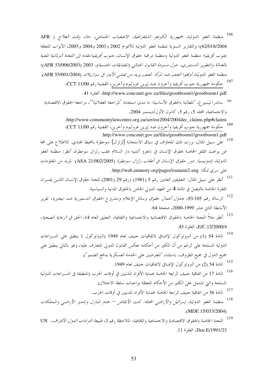<sup>106</sup> منظمة العفو الدولية، جم*هورية الكونغو الديمقراطية، الاغتصاب الجماعبي، حان وقت العلاج ( AFR* 62/018/2004)؛ والتقارير السنوية لمنظمة العفو الدولية للأعوام 2002 و2003 و2004 و2005، الأبواب المتعلقة بجنوب أفريقيا؛ منظمة العفو الدولية ومنظمة مراقبة حقوق الإنسان، *جنوب أفريقيا:مقدم إلى اللجنة البرلمانية المعنية* بالعدالة والتطوير الدستوري، حول مسودة القانون الجنائبي (المضايقات الجنسية)، 2003 (AFR 53/006/2003)؛ منظمة العفو الدولية، *أوقفوا العنف ضد المرأة: العنف يزيد من تفشي الأيدز في سوازيلاند (*AFR 55/001/2004). <sup>107</sup> حكومة جمهورية حنوب أفريقيا وآخرون ضد إيرين غروثبوم وآخرين، القضية رقم CCT 11/00،

http://www.concourt.gov.za/files/grootboom1/grootboom1.pdf. الفقرة 41.

- <sup>108</sup> ساندرا ليبنبير غ، "المطالبة بالحقوق الأساسية: ما مدى استحابة <sup>م</sup>المراجعة العقلانية'"، مراجعة الحقوق الاقتصادية والاجتماعية، المحلد 5، رقم 5، كانون الأول/ديسمبر 2004،
	- .http://www.communitylawcentre.org.za/ser/esr2004/2004dec\_claims.php#claims 109 حكومة جمهورية حنوب أفريقيا وآخرون ضد إيرين غروثبوم وآخرين، القضية رقم CCT 11/00،
		- .http://www.concourt.gov.za/files/grootboom1/grootboom1.pdf
- 110 على سبيل المثال، برزت تلك المخاوف في سياق الاستجابة [لزلزال] سومطرة بالمحيط الهندي. للاطلاع على لمحة عن بواعث القلق الخاصة بحقوق الإنسان في نانغرو أتشيه دار السلام عقب زلزال سومطرة، أنظر: منظمة العفو الدولية، *إندونيسيا: دور حقوق الإنسان في أعقاب زلزال سومطرة* (ASA 21/002/2005). لمزيد من المعلومات علی سری لنکا: http://web.amnesty.org/pages/tsunami2-eng.
- <sup>111</sup> أنظر على سبيل المثال: التعليقين العامين رقم 5 (1981) ورقم 29 (2001) للحنة حقوق الإنسان اللذين يفسران الفقرة الخاصة بالتنصل في المادة 4 من العهد الدولي الخاص بالحقوق المدنية والسياسية.
- <sup>112</sup> الرسالة رقم 93/105، *جدول أعمال حقوق وسائل الإعلام ومشروع الحقوق الدستورية ضد نيجيريا، تق*رير الأنشطة الثاني عشر 1999-2000، صفحة 64.
- .<br><sup>113</sup> أنظر مثلاً اللجنة الخاصة بالحقوق الاقتصادية والاحتماعية والثقافية، التعليق العام 14، *الحق في الرعاية الصحية*، E/C.12/2000/4. الفقرة 45.
- <sup>114</sup> المادة 54 (1) من البروتوكول الإضافي لاتفاقيات حنيف لعام 1949 (البروتوكول 1 ينطبق على النـــزاعات الدولية المسلحة على الرغم من أن الكثير من أحكامه تعكس القانون الدولي المتعارف عليه، وهو بالتالي ينطبق على جميع الدول في جميع الظروف، باستثناء "المعترضين على الحدمة العسكرية بدافع الضمير").
	- <sup>115</sup> المادة 54 (2) من البروتوكول الإضافي لاتفاقيات حنيف لعام 1949.
- .<br><sup>116</sup> المادة 17 من اتفاقية جنيف الرابعة الحاصة بحماية الأفراد المدنيين في أوقات الحرب (المنطبقة في النـــزاعات الدولية المسلحة والتي تشتمل على الكثير من الأحكام المتعلقة بواجبات سلطة الاحتلال).
	- <sup>117</sup> المادة 56 من اتفاقية جنيف الرابعة الحاصة بحماية الأفراد المدنيين في أوقات الحرب.
- 118 منظمة العفو الدولية، إسرائيل والأراضبي المحتلة: تحت الأنقاض — هدم المنازل وتدمير الأراضبي والممتلكات  $(MDE 15/033/2004)$
- 119 اللجنة الخاصة بالحقوق الاقتصادية والاجتماعية والثقافية، الملاحظة رقم 3، *طبيعة التزامات الدول الأطراف*، UN Doc.E/1991/23، الفقرة 11.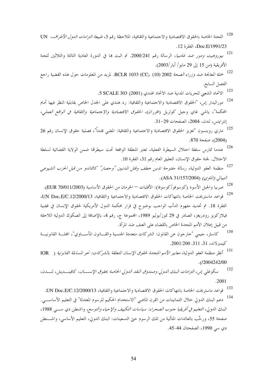- .<br><sup>120</sup> اللجنة الخاصة بالحقوق الاقتصادية والاجتماعية والثقافية، الملاحظة رقم 3، *طبيعة التزامات الدول الأطراف*، UN Doc.E/1991/23، الفقرة 12.
- .<br><sup>121</sup> *بيوروهيت ومور ضد غامبيا*، الرسالة رقم 2000/241. تم البت ها في الدورة العادية الثالثة والثلاثين للجنة الأفريقية (من 15 إلى 29 مايو/ أيا, /2003).
- <sup>122</sup> حم*لة المعالجة ضد وزراء الصحة* 2002 (CC) BCLR 1033. لمزيد من المعلومات حول هذه القضية راجع الفصل السابع.
	- .5 SCALE 303 (2001) الاتحاد الشعبي للحريات المدنية ضد الاتحاد الهندي (2001) 5 SCALE 303.
- .<br><sup>124</sup> موراليدار إس، "الحقوق الاقتصادية والاحتماعية والثقافية: رد هندي على الجدل الخاص بقابلية النظر فيها أمام المحكمة"، ياشي غاي وحيل كوتريل (محرران)، *الحقوق الاقتصادية والاجتماعية والثقافية في الواقع العملي*، إنترايتس، لندن، 2004، الصفحات 29-31.
- <sup>125</sup> ماري روبنسون "تعزيز الحقوق الاقتصادية والاحتماعية والثقافية: المضي قدماً"، فصلية حقوق الإنسان رقم 26 (2004)، صفحة 870.
- .<br>126 عندما تمارس سلطة احتلال السيطرة الفعلية، تعتبر المنطقة الواقعة تحت سيطرقما ضمن الولاية القضائية لسلطة الاحتلال. لجنة حقوق الإنسان، التعليق العام رقم 31، الفقرة 10.
- .<br><sup>127</sup> منظمة العفو الدولية، ر*سالة مفتوحة تدين خطف وقتل المدنيين "وحصار" كاتماندو من قبل الحزب الشيوعي النيبالي (الماوي)* (ASA 31/157/2004).
	- <sup>128</sup> صربيا والجبل الأسود (كوسوفو/كوسوفا): الأقليات الحرمان من الحقوق الأساسية (EUR 70/011/2003).
- .<br><sup>129</sup> قواعد ماستريخت الخاصة بانتهاكات الحقوق الاقتصادية والاحتماعية والثقافية، UN Doc.E/C.12/2000/13، الفقرة 18. تم تحديد مفهوم الدأب الواحب بوضوح في قرار محكمة الدول الأمريكية لحقوق الإنسان في قضية فيلازكويز رودريغز، الصادر في 29 تموز/يوليو 1989، المجموعة ج، رقم 4، بالإضافة إلى الصكوك الدولية اللاحقة من قبيل إعلان الأمم المتحدة الخاص بالقضاء على العنف ضد المرأة.
- 130 كاسلز، جيمي "خارجون عن القانون: الشركات متعددة الجنسية والقـــانون المأســـاوي"، المجلـــة القانونيـــة كسم لاند، 31، 311، 2001/200.
- <sup>131</sup> أنظر منظمة العفو الدولية، *معايير الأمم المتحدة لحقوق الإنسان المتعلقة بالشركات: نحو المساءلة القانونية (* IOR  $(12004242/00)$
- 132 سكوغلي إس، *التزامات البنك الدو*لي *وصندوق النقد الدو*لي الخلصة بحقوق الإنسسان، كافينـــديش، لنـــدن، .2001
	- .<br><sup>133</sup> قواعد ماستريخت الخاصة بانتهاكات الحقوق الاقتصادية والاحتماعية والثقافية، UN Doc.E/C.12/2000/13.
- .<br><sup>134</sup> دعم البنك الدولى حلال الثمانينات من القرن الماضي "الاستخدام الحكيم للرسوم المعتدلة" في التعليم الأساســــي. البنك الدولي، *التعليم في أفريقيا جنوب الصحراء: سياسات التكييف والإحياء والتوسع*، واشنطن دي ســـي 1988، صفحة 55، ورحَّب بالعائدات المتأتية من تلك الرسوم حيّ التسعينات: البنك الدولي، التعليم الأساسي، واشـــنطن دي سي 1990، الصفحتان 44-45.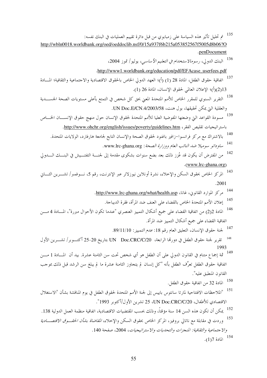- .<br><sup>135</sup> تم تحليل تأثير هذه السياسة على زمبابوي من قبل دائرة تقييم العمليات في البنك نفسه: http://wbln0018.worldbank.org/oed/oeddoclib.nsf/0/15a937f6b215a053852567f5005d8b06?O .penDocument
	- <sup>136</sup> البنك الدولي، ر*سومالاستخدام في التعليم الأساسي*، يوليو/ تموز 2004، .http://www1.worldbank.org/education/pdf/EFAcase\_userfees.pdf
- 137 اتفاقية حقوق الطفل، المادة 28 (1) (أ)؛ العهد الدولي الخاص بالحقوق الاقتصادية والاجتماعية والثقافية؛ المسادة (1)(أ)؛ الإعلان العالمي لحقوق الإنسان، المادة 26 (1).
- .<br><sup>138</sup> التقرير السنوي للمقرر الخاص للأمم المتحدة المعني بحق كل شخص في التمتع بأعلى مستويات الصحة الجســــدية والعقلية التي يمكن تحقيقها، بول هنت، UN Doc.E/CN.4/2003/58.
- 139 مسودة القواعد التي وضعتها المفوضية العليا للأمم المتحدة لحقوق الإنسان حول منهج حقوق الإنســـان الخـــاص باستر اتيجيات تقليص الفقر ، http://www.ohchr.org/english/issues/poverty/guidelines.htm.
	- 140 بالاشتراك مع مركز فرانسوا–زافير باغنود لحقوق الصحة والإنسان التابع لجامعة هارفارد، الولايات المتحدة.
		- 141 ساو داتو سومبلا ضد النائب العام وو زارة الصحة : www.lrc-ghana.org.
- 142 من المفترض أن يكون قد عُزز ذلك بعد بضع سنوات بشكوى مقدمة إلى لجنــــة التفتــــيش في البنــــك الـــــدولي .(www.lrc-ghana.org)
- .<br><sup>143</sup> المركز الخاص بحقوق السكن والإخلاء، نشرة أونلاين نيوزلاتر عبر الإنترنت، رقم 5، نـــوفمبر/ تشــــرين الثــــاني .2001
	- 144 مركز الموارد القانوين، غانا، http://www.lrc-ghana.org/what/health.asp.
		- .<br><sup>145</sup> إعلان الأمم المتحدة الخاص بالقضاء على العنف ضد المرأة، فقرة الديباحة.
- .<br><sup>146</sup> المادة 2<sub>(</sub>2) من اتفاقية القضاء على جميع أشكال التمييز العنصري "عندما تكون الأحوال مبررة"، المسادة 4 مــــن اتفاقية القضاء على جميع أشكال التمييز ضد المرأة.
	- .<br><sup>147</sup> لجنة حقوق الإنسان، التعليق العام رقم 18: *عدم التمييز*: 89/11/10.
- تقرير لجنة حقوق الطفل في دورتما الرابعة، UN Doc.CRC/C/20 بتاريخ 20-25 أكتـــوبر/ تشــــرين الأول 148 1993
- 149 ثمة إجماع متنام في القانون الدولي على أن الطفل هو أي شخص تحت سن الثامنة عشرة. بيد أن المـــادة 1 مــــن اتفاقية حقوق الطفل تعرِّف الطفل بأنه "كل إنسان لم يتجاوز الثامنة عشرة ما لم يبلغ سن الرشد قبل ذلك بموجب القانون المنطبق عليه".
	- <sup>150</sup> المادة 32 من اتفاقية حقوق الطفل.
- .<br>151 "الملاحظات الافتتاحية لمارتا سانتوس باييس إلى لجنة الأمم المتحدة لحقوق الطفل في يوم المناقشة بشأن "الاستغلال الاقتصادي للأطفال، UN Doc.CRC/C/20، 25 تشرين الأول/أكتوبر 1993".
- .<br><sup>152</sup> يمكن أن تكون هذه السن 14 سنة مؤقتاً، وذلك بحسب المقتضيات الاقتصادية، اتفاقية منظمة العمل الدولية 138. 153 وردت في مقابلة مع ناتالي بروفيز، المركز الخاص بحقوق السكن والإخلاء، *المقاضاة بشأن الحقـــوق الاقتصـــادية* والا جتماعية والثقافية: المنجزات والتحديات والاستراتيجيات، 2004، صفحة 140.  $(1)7$ المادة 154.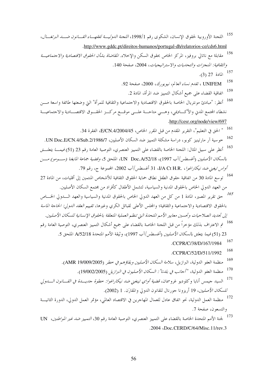- .<br><sup>155</sup> اللجنة الأوروبية لحقوق الإنسان، الشكوى رقم 1/1998، *اللجنة الدوليـــة لفقهـــاء القــــانون ضــــد البرتغـــال*، .http://www.gddc.pt/direitos-humanos/portugal-dh/relatorios-ce/cds6.html
- 156 مقابلة مع ناتالي بروفيز، المركز الخاص بحقوق السكن والإخلاء. *المقاضاة بشأن الحقوق الاقتصادية والاجتماعيـــة* والثقافية: المنجزات والتحديات والاستراتيجيات، 2004، صفحة 140.
	- 157 المادة 27 (3).
	- 158 UNIFEM ، تقدم نساء العالم، نيويورك، 2000، صفحة 92.
		- 159 اتفاقية القضاء على جميع أشكال التمييز ضد المرأة، المادة 2.
- 160 أنظر: "مبادئ مونتريال الخاصة بالحقوق الاقتصادية والاحتماعية والثقافية للمرأة" التي وضعتها طائفة واسعة مـــن نشطاء المحتمع المدن والأكــاديمي، وهـــي متاحـــة علـــي موقـــع مركـــز الحقـــوق الاقتصـــادية والاجتماعيـــة .http://cesr.org/node/view/697
	- <sup>161 "</sup> الحق فى التعليم"، التقرير المقدم من قبل المقرر الخاص، E/CN.4/2004/45، الفقرة 34.
- خوسية آر مارتينيز كوبو، دراسة مشكلة التمييز ضد السكان الأصليين، UN Doc.E/CN.4/Sub.2/1986/7. .<br><sup>163</sup> أنظر علم سبيل المثال: اللجنة الخاصة بالقضاء على التمييز العنصري، التوصية العامة رقم 23 (51) *فيمــــا يتعلــــق* بالسكان الأصليين (أغسطس/آب 1997)، UN Doc.A/52/18، الملحق 5، وقضية جماعة المايغنا (سـومو) مـــن أواس تيغني ض*د نيكاراغوا*، I/A Ct H.R.، فأغسطس/آب 2002، الجمهوعة ج، رقم 79.
- <sup>164</sup> توسع المادة 30 من اتفاقية حقوق الطفل نطاق حماية الحقوق الثقافية للأشخاص المنتمين إلى أقليات، من المادة 27 من العهد الدولي الخاص بالحقوق المدنية والسياسية، لتشمل الأطفال كأفراد من محتمع السكان الأصليين.
- 165 حق تقرير المصير، المادة 1 من كل من العهد الدولي الخاص بالحقوق المدنية والسياسية والعهد الـــدولي الخـــاص بالحقوق الاقتصادية والاحتماعية والثقافية؛ والمجلس الأعلى لقبائل الكري وغيرها، *تقييم العقد الدولي: الحاحة الماسة* إلى تجديد الصلاحيات وتحسين معايير الأمم التحدة التي تنظم العملية التعلقة بالحقوق الإنسانية للسكان الأصليين.
- تم الاعتراف بذلك مؤخراً من قبل اللجنة الخاصة بالقضاء على جميع أشكال التمييز العنصري، التوصية العامة رقم 166 23 (51) *فيما يتعلق بالسكان الأصليين* (أغسطس/آب 1997)، وثيقة الأمم المتحدة A/52/18 الملحق 5.
	- 167 .CCPR/C/38/D/167/1984
	- 168 .CCPR/C/52/D/511/1992
	- 169 منظمة العفو الدولية، البرازيل، *سلامة السكان الأصليين وبقاؤهم في خطر* (AMR 19/009/2005).
		- 170 منظمة العفو الدولية، "أجانب في *بلدنا": السكان الأصليون في البرازيل* (19/002/2005).
- 171 السيد جيمس أنايا وكلوديو غروسمان، *قضية أواي تينغني ضد نيكاراغوا: حطوة جديسدة في القسانون السدو*لي للسكا*ن الأصليين*، 19 أريزونا جورنال للقانون الدولي والمقارَن. 1 (2002).
- 172 منظمة العمل الدولية، نحو اتفاق عادل للعمال المهاجرين في الاقتصاد العالمي، مؤتمر العمل الدولي، الدورة الثانيـــة والتسعون، صفحة 7.
- 173 لجنة الأمم المتحدة الخاصة بالقضاء على التمييز العنصري، التوصية العامة رقم 30، *التمييز ضد غير المواطنين*، UN .2004 (Doc.CERD/C/64/Misc.11/rev.3)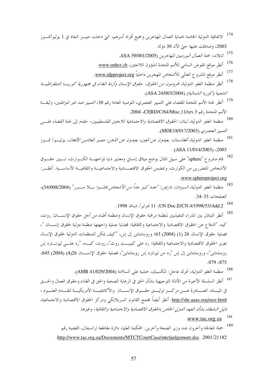- <sup>174</sup> الاتفاقية الدولية الحاصة بحماية العمال المهاجرين وجميع أفراد أسرهم، التي دحلت حيـــز النفاذ في 1 يوليو/تمـــوز 2003، وصادقت عليها حيّ الآن 30 دولة.
	- .<br><sup>175</sup> تايلاند: محنة العمال البورميي*ن المهاجرين* (0001/2005. ASA 39/00.
	- .<br><sup>176</sup> أنظر موقع المفوض السامي للأمم المتحدة لشؤون اللاجئين، <u>www.unhcr.ch</u>.
	- <sup>177</sup> أنظر موقع المشروع العالمي للأشخاص المهجرين داخلياً <u>www.idpproject.org.</u>
- .<br><sup>178</sup> أنظر منظمة العفو الدولية، محر*ومون من الحقوق: حقوق الإنسان وأزمة الغذاء في جمهورية كوريــــا <i>الديمقراطيـــة* الشعبية (كوريا الشمالية) (ASA 24/003/2004).
- .<br><sup>179</sup> أنظر لجنة الأمم المتحدة للقضاء على التمييز العنصري، التوصية العامة رقم 30، *التمييز ضد غير المواطنين*، وثيقـــة الأمم المتحدة رقم CERD/C/64/Misc.11/rev.3، 2004.
- <sup>180</sup> منظمة العفو الدولية، *لبنان: الحقوق الاقتصادية والا*حتم*اعية للاحثين الفلسطينيين- مقدم إلى لجنة القضاء علــــى التمييز العنصرى* (MDE18/017/2003).
- .<br><sup>181</sup> منظمة العفو الدولية، *أفغانستان: بعيدون عن العين، بعيدون عن الذهن: مصير العائدين الأفغان*، يوليـــو/ تمـــوز  $(ASA 11/014/2003)$   $(2003$
- <sup>182</sup> قام مشروع "sphere" على سبيل المثال بوضع ميثاق إنساني ومعايير دنيا لمواجهـــة الكـــوارث، تـــبين حقـــوق الأشخاص المتضررين من الكوارث، وتتضمن الحقوق الاقتصـــادية والاجتماعيـــة والثقافيـــة الأساســـية. أنظـــر : .www.sphereproject.org
- .<br><sup>183</sup> منظمة العفو الدولية، *السودان: دارفور: "عدد كبير جداً من الأشخاص قتلــوا بـــلا مــــبرر" (54/008/2004*)، الصفحات 33-34.
	- 184 UN Doc.E/CN.4/1998/53/Add.2 ، 1 إ فيراير / شباط 1998.
- .<br><sup>185</sup> أنظر التبادل بين المدراء التنفيذيين لمنظمة مراقبة حقوق الإنسان ومنظمة أطباء من أحل حقوق الإنســــان: روث، كيه، "الدفاع عن الحقوق الاقتصادية والاحتماعية والثقافية: قضايا عملية واجهتها منظمة دولية لحقوق إنســـان "، فصلية حقوق الإنسان 26 (1) (2004) 63؛ وروبنشتاين إل إس، "كيف يمكن للمنظمات الدولية لحقوق الإنسان تعزيز الحقوق الاقتصادية والاجتماعية والثقافية: رد على كينيـــث روث"، روث، كيـــه، "رد علـــي ليونـــارد إس روبنشتاين"، وروبنشتاين إل إس "رد من ليونارد إس روبنشتاين"، فصلية حقوق الإنســـان 26(4) (2004) 845، " .879 .875
	- <sup>186</sup> منظمة العفو الدولية، تحرك عاجل: المكسيك، حشية على السلامة (AMR 41/029/2004).
- <sup>187</sup> أنظر السلسلة الأحيرة من الأدلة التوحيهية بشأن الحق في الرعاية الصحية والحق في الغذاء وحقوق العمال والحـــق في الميساه، الصسادرة عسن مركسز توثيسق حقسوق الإنسسان ۖ والأكاديميسة الأمريكيسة لتقسدم العلسوم ، <u>http://shr.aaas.org/escr.html.</u> أنظر أيضاً مجتمع القانون السريلانكي ومركز الحقوق الاقتصادية والاحتماعية، دليل النشطاء بشأن العهد الدولي الخاص بالحقوق الاقتصادية والاجتماعية والثقافية، وغيرها.
	- 188 .www.tac.org.za
	- 189 حملة المعالجة وآخرون ضد وزير الصحة وآخرين. المحكمة العليا، دائرة مقاطعة ترانسفال، القضية رقم .http://www.tac.org.za/Documents/MTCTCourtCase/mtctjudgement.doc .2001/21182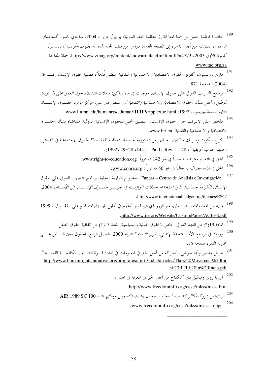- .<br>190 محاضرة فاطمة حسن من حملة المعالجة إلى منظمة العفو الدولية، يونيو/ حزيران 2004، سانجاي باسو، "استخدام الدعاوي القضائية من أجل الدعوة إلى الصحة العامة: دروس من قضية لجنة المنافسة الجنوب–أفريقية"، ديسمبر/ كانون الأول 2003، http://www.zmag.org/content/showarticle.cfm?ItemID=4773. حملة المعالجة، .www.tac.org.za
- .<br><sup>191</sup> ما<sub>ا</sub> ي روبنسون، "تعزيز الحقوق الاقتصادية والاجتماعية والثقافية: المضي قُدماً"، فصلية حقوق الإنسان رقــــم 26 (2004)، صفحة 871.
- .<br>192 برنامج التدريب الدولي على حقوق الإنسان، موحات في ماء ساكن: تأملات *النشطاء حول العمل على المستويين الوطني والمحلي بشأن الحقوق الاقتصادية والاجتماعية والثقافية*"، واشنطن دي سي، مركز موارد حقسوق الإنســان التابع لجامعة مينيسوتا، 1997، www1.umn.edu/humanrts/edumat/IHRIP/ripple/toc.html.
- .<br><sup>193</sup> ملخص على الإنترنت حول حقوق الإنسان، "التطبيق المحلي للحقوق الإنسانية الدولية: المقاضاة بشأن الحقـــوق الاقتصادية والاجتماعية والثقافية" www.hri.ca.
- .<br><sup>194</sup> كريغ سكوت وباتريك ماكلين، حبال رمل دستورية أم ضمانات قابلة للمقاضاة؟ الحقوق الاحتماعية في الدستور الجديد لجنوب أفريقيا "، 148-1. Rev. 1-148، 1992) 29-29.
	- .<br><sup>195</sup> الحق في التعليم معترف به حالياً في نحو 142 دستوراً: <u>www.right-to-education.org</u>.
		- .<br><sup>196</sup> الحق في المياه معترف به حالياً في نحو 50 دستوراً: <u>www.cohre.org</u>.
- 197 Fundar – Centro de Análisis e Investigación ، مشروع الموازنة الدولية، برنامج التدريب الدولي على حقوق الإنسان، للكرامة حساب: دليل استخدام تحليلات الموازنة في تعزيــز حقــوق الإنســـان إلى الأمـــام، 2004. .http://www.internationalbudget.org/themes/ESC/
- لمزيد من المعلومات، أنظر: ماريا سوكورو آي ديوكونو "منهج في تحليل الميـــزانيات قائم على الحقـــوق"، 1999 .http://www.iie.org/Website/CustomPages/ACFE8.pdf
	- 199 المادة 219) من العهد الدولي الخاص بالحقوق المدنية والسياسية، المادة 13(1) من اتفاقية حقوق الطفل.
- 200 وردت في برنامج الأمم المتحدة الإنمائ<sub>ي</sub>، *تقرير التنمية البشرية* 2000، الفصل الرابع، الحقوق تعين النـــاس علــــى مجارية الفقر ، صفحة 75.
- .<br>201 هارش ماندير وأبما جوشي، "الحركة من أجل الحق في المعلومات في الهند: قـــوة الشــــعب لمكافحـــة الفســــاد"، http://www.humanrightsinitiative.org/programs/ai/rti/india/articles/The%20Movement%20for .%20RTI%20in%20India.pdf
	-

.http://www.freedominfo.org/case/mkss/mkss.htm

203 ريلاينس بتروكيمكالز لمتد ضد أصحاب صحف إنديان إكسبرس بومباي لمتد، AIR 1989 SC 190.

> 204 .www.freedominfo.org/case/mkss/mkss-lo.ppt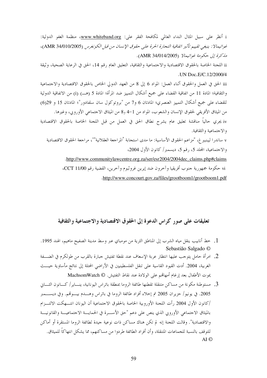i أنظر على سبيل المثال النداء العالمي لمكافحة الفقر على: www.whiteband.org، منظمة العفو الدولية: غواتيمالا : ينبغي تقييم تأثير اتفاقية التجارة الحرة على حقوق الإنسان من قبل الكونغرس (AMR 34/010/2005)، مذكرة إلى حكومة غواتيمالا (AMR 34/014/2005).

ii اللجنة الخاصة بالحقوق الاقتصادية والاجتماعية والثقافية، التعليق العام رقم 14، الحق في الرعاية الصحية، وثيقة .UN Doc.E/C.12/2000/4

iii الحق في العمل والحقوق أثناء العمل: المواد 6 إلى 8 من العهد الدولي الخاص بالحقوق الاقتصادية والاحتماعية والثقافية؛ المادة 11 من اتفاقية القضاء على جميع أشكال التمييز ضد المرأة؛ المادة 5 (هـــ) (i) من الاتفاقية الدولية للقضاء على جميع أشكال التمييز العنصري؛ المادتان 6 و7 من "بروتوكول سان سلفادور"؛ المادتان 15 و 6(6) من الميثاق الأفريقي لحقوق الإنسان والشعوب، المواد من 1-4 و8 من الميثاق الاحتماعي الأوروبي، وغيرها. iv يجري حالياً مناقشة تعليق عام يشرح نطاق الحق في العمل من قبل اللجنة الخاصة بالحقوق الاقتصادية والاجتماعية والثقافية. v ساندرا ليبنبير غ، "مزاعم الحقوق الأساسية: ما مدى استجابة <sup>ف</sup>المراجعة العقلانية'"، مراجعة الحقوق الاقتصادية والاجتماعية، المجلد 5، رقم 5، ديسمبر/ كانون الأول 2004، .http://www.communitylawcentre.org.za/ser/esr2004/2004dec\_claims.php#claims vi حكومة جمهورية حنوب أفريقيا وآخرون ضد إيرين غروثبوم وآخرين، القضية رقم CCT 11/00، .http://www.concourt.gov.za/files/grootboom1/grootboom1.pdf

### تعليقات على صور كراس الدعوة إلى الحقوق الاقتصادية والاجتماعية والثقافية

- 1. خط أنابيب ينقل مياه الشرب إلى المناطق الثرية من مومباي عبر وسط مدينة الصفيح ماهيم، الهند 1995. Sebastião Salgado ©
- 2. امرأة حامل يتوحب عليها انتظار عربة الإسعاف عند نقطة تفتيش جبارة بالقرب من طولكرم في الضــــفة الغربية، 2004. أدت القيود القاسية على تنقل الفلسطينيين في الأراضي المحتلة إلى نتائج مأساوية حيـــث يموت الأطفال بعد إرغام أمهاقمم على الولادة عند نقاط التفتيش. @ MachsomWatch
- 3. مستوطنة مكونة من مساكن متنقلة تقطنها طائفة الروما بمنطقة باتراس اليونانية، ينـــاير/ كـــانون الثــــاين 2005. في يونيو/ حزيران 2005 تم إخلاء أفراد طائفة الروما في باتراس وهــــدم بيــــوتمم. وفي ديســــمبر /كانون الأول 2004 , أت اللجنة الأوروبية الخاصة بالحقوق الاجتماعية أن اليونان انتـــهكت الالتـــزام بالميثاق الاجتماعي الأوروبي الذي ينص على دعم "حق الأســرة في الحمايـــة الاجتماعيـــة والقانونيـــة والاقتصادية". وقالت اللجنة إنه لم تكن هناك مساكن ذات نوعية جيدة لطائفة الروما المستقرة أو أماكن للتوقف بالنسبة للجماعات المتنقلة، وأن أفراد الطائفة طردوا من مساكنهم، مما يشكل انتهاكًا للميثاق. AI ©